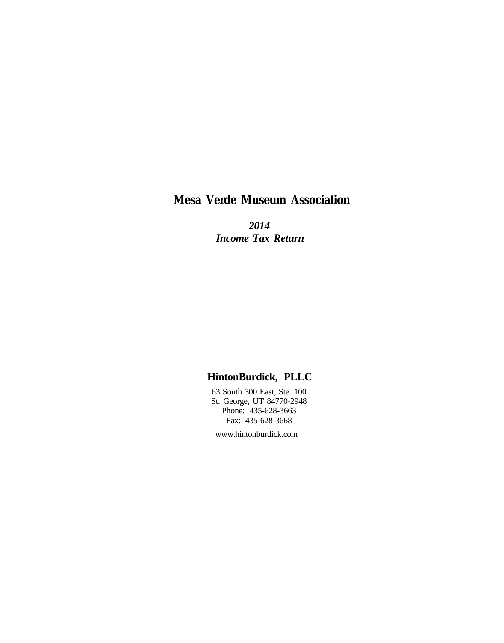## **Mesa Verde Museum Association**

 *2014 Income Tax Return*

## **HintonBurdick, PLLC**

 63 South 300 East, Ste. 100 St. George, UT 84770-2948 Phone: 435-628-3663 Fax: 435-628-3668

www.hintonburdick.com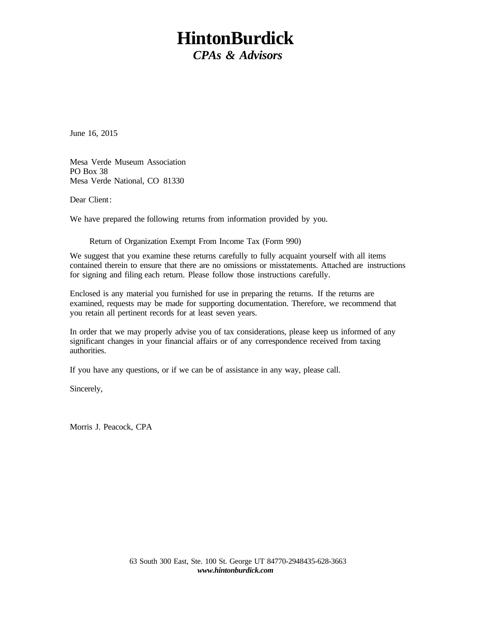# **HintonBurdick** *CPAs & Advisors*

June 16, 2015

Mesa Verde Museum Association PO Box 38 Mesa Verde National, CO 81330

Dear Client:

We have prepared the following returns from information provided by you.

Return of Organization Exempt From Income Tax (Form 990)

We suggest that you examine these returns carefully to fully acquaint yourself with all items contained therein to ensure that there are no omissions or misstatements. Attached are instructions for signing and filing each return. Please follow those instructions carefully.

Enclosed is any material you furnished for use in preparing the returns. If the returns are examined, requests may be made for supporting documentation. Therefore, we recommend that you retain all pertinent records for at least seven years.

In order that we may properly advise you of tax considerations, please keep us informed of any significant changes in your financial affairs or of any correspondence received from taxing authorities.

If you have any questions, or if we can be of assistance in any way, please call.

Sincerely,

Morris J. Peacock, CPA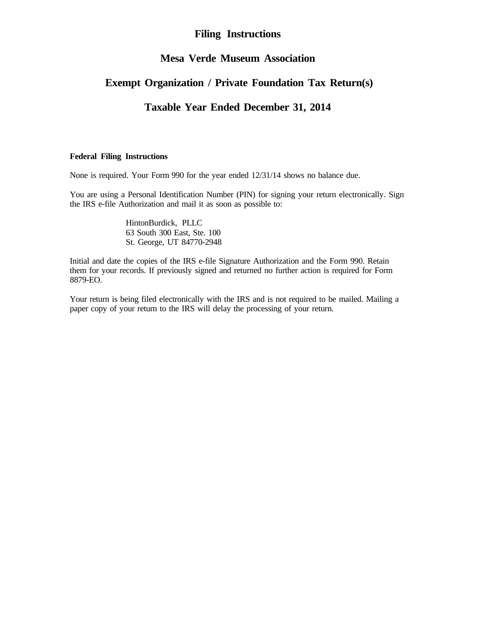## **Filing Instructions**

## **Mesa Verde Museum Association**

## **Exempt Organization / Private Foundation Tax Return(s)**

## **Taxable Year Ended December 31, 2014**

## **Federal Filing Instructions**

None is required. Your Form 990 for the year ended 12/31/14 shows no balance due.

You are using a Personal Identification Number (PIN) for signing your return electronically. Sign the IRS e-file Authorization and mail it as soon as possible to:

> HintonBurdick, PLLC 63 South 300 East, Ste. 100 St. George, UT 84770-2948

Initial and date the copies of the IRS e-file Signature Authorization and the Form 990. Retain them for your records. If previously signed and returned no further action is required for Form 8879-EO.

Your return is being filed electronically with the IRS and is not required to be mailed. Mailing a paper copy of your return to the IRS will delay the processing of your return.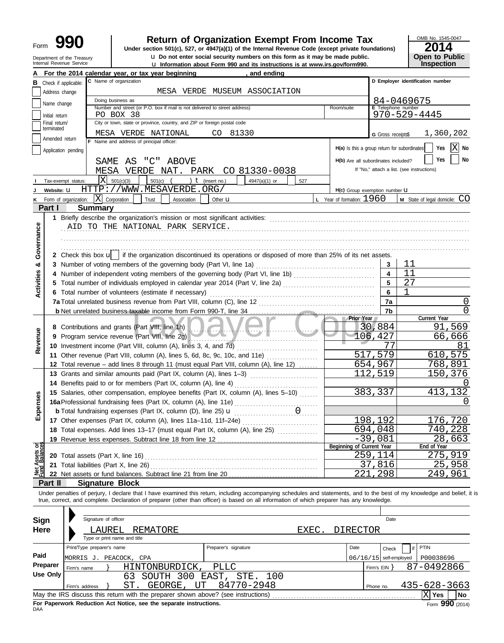| Form | Ч                                                      |
|------|--------------------------------------------------------|
|      | Department of the Treasury<br>Internal Revenue Service |

# **990 2014 Depending Solution Staturn of Organization Exempt From Income Tax 2014**

**u** Do not enter social security numbers on this form as it may be made public.

**u** Information about Form 990 and its instructions is at www.irs.gov/form990.

OMB No. 1545-0047 **Open to Public<br>Inspection** 

|                                |                                 | For the 2014 calendar year, or tax year beginning                                                                                                                               | and ending                              |                                              |                          |                                            |
|--------------------------------|---------------------------------|---------------------------------------------------------------------------------------------------------------------------------------------------------------------------------|-----------------------------------------|----------------------------------------------|--------------------------|--------------------------------------------|
|                                | <b>B</b> Check if applicable:   | C Name of organization                                                                                                                                                          |                                         |                                              |                          | D Employer identification number           |
|                                | Address change                  |                                                                                                                                                                                 | MESA VERDE MUSEUM ASSOCIATION           |                                              |                          |                                            |
|                                | Name change                     | Doing business as                                                                                                                                                               |                                         |                                              |                          | 84-0469675                                 |
|                                |                                 | Number and street (or P.O. box if mail is not delivered to street address)<br>PO BOX 38                                                                                         |                                         | Room/suite                                   | E Telephone number       | $970 - 529 - 4445$                         |
|                                | Initial return<br>Final return/ | City or town, state or province, country, and ZIP or foreign postal code                                                                                                        |                                         |                                              |                          |                                            |
|                                | terminated                      | MESA VERDE NATIONAL                                                                                                                                                             | CO 81330                                |                                              |                          |                                            |
|                                | Amended return                  | F Name and address of principal officer:                                                                                                                                        |                                         |                                              | G Gross receipts\$       | 1,360,202                                  |
|                                | Application pending             |                                                                                                                                                                                 |                                         | H(a) Is this a group return for subordinates |                          | ΙX<br>Yes<br>No                            |
|                                |                                 |                                                                                                                                                                                 |                                         | H(b) Are all subordinates included?          |                          | Yes<br>No                                  |
|                                |                                 | SAME AS "C" ABOVE                                                                                                                                                               |                                         |                                              |                          | If "No," attach a list. (see instructions) |
|                                |                                 | MESA VERDE NAT. PARK CO 81330-0038                                                                                                                                              |                                         |                                              |                          |                                            |
|                                | Tax-exempt status:              | ΙX<br>501(c)(3)<br>501(c)<br>) $t$ (insert no.)                                                                                                                                 | 4947(a)(1) or<br>527                    |                                              |                          |                                            |
|                                | Website: U                      | HTTP://WWW.MESAVERDE.ORG/                                                                                                                                                       |                                         | H(c) Group exemption number <b>U</b>         |                          |                                            |
| ĸ                              | Form of organization:           | $\mathbf{X}$ Corporation<br>Trust<br>Association<br>Other $\mathbf u$                                                                                                           |                                         | <b>L</b> Year of formation: $1960$           |                          | M State of legal domicile: CO              |
|                                | Part I                          | <b>Summary</b>                                                                                                                                                                  |                                         |                                              |                          |                                            |
|                                |                                 |                                                                                                                                                                                 |                                         |                                              |                          |                                            |
|                                |                                 | AID TO THE NATIONAL PARK SERVICE.                                                                                                                                               |                                         |                                              |                          |                                            |
|                                |                                 |                                                                                                                                                                                 |                                         |                                              |                          |                                            |
| Governance                     |                                 |                                                                                                                                                                                 |                                         |                                              |                          |                                            |
|                                |                                 | 2 Check this box $\mathbf{u}$ if the organization discontinued its operations or disposed of more than 25% of its net assets.                                                   |                                         |                                              |                          |                                            |
| න්                             | 3.                              | Number of voting members of the governing body (Part VI, line 1a)                                                                                                               |                                         |                                              | 3                        | 11                                         |
|                                | 4                               | Number of independent voting members of the governing body (Part VI, line 1b) [10] (10] [10] [10] Number of independent voting members of the governing body (Part VI, line 1b) |                                         |                                              | $\overline{\mathbf{4}}$  | 11                                         |
| <b>Activities</b>              | 5.                              | Total number of individuals employed in calendar year 2014 (Part V, line 2a)                                                                                                    |                                         |                                              | 5                        | 27                                         |
|                                |                                 | 6 Total number of volunteers (estimate if necessary)                                                                                                                            |                                         |                                              | 6                        | $\mathbf{1}$                               |
|                                |                                 | 7a Total unrelated business revenue from Part VIII, column (C), line 12                                                                                                         |                                         |                                              | 7a                       | 0                                          |
|                                |                                 |                                                                                                                                                                                 |                                         |                                              | 7b                       | 0                                          |
|                                |                                 |                                                                                                                                                                                 |                                         | <b>Prior Year</b>                            |                          | Current Year                               |
|                                |                                 | 8 Contributions and grants (Part VIII, line 1h)                                                                                                                                 | $\blacksquare$ . $N$ . $\blacksquare$ . |                                              | 30,884                   | 91,569                                     |
| Revenue                        | 9                               | Program service revenue (Part VIII, line 2g)                                                                                                                                    |                                         |                                              | 106,427                  | 66,666                                     |
|                                |                                 | 10 Investment income (Part VIII, column (A), lines 3, 4, and 7d)                                                                                                                |                                         |                                              | 77                       | 81                                         |
|                                |                                 | 11 Other revenue (Part VIII, column (A), lines 5, 6d, 8c, 9c, 10c, and 11e)                                                                                                     |                                         |                                              | 517,579                  | 610,575                                    |
|                                |                                 | 12 Total revenue – add lines 8 through 11 (must equal Part VIII, column (A), line 12)                                                                                           |                                         |                                              | 654,967                  | <u>768,891</u>                             |
|                                |                                 | 13 Grants and similar amounts paid (Part IX, column (A), lines 1-3)                                                                                                             |                                         |                                              | 112,519                  | 150,376                                    |
|                                |                                 | 14 Benefits paid to or for members (Part IX, column (A), line 4)                                                                                                                |                                         |                                              |                          |                                            |
|                                |                                 | 15 Salaries, other compensation, employee benefits (Part IX, column (A), lines 5-10)                                                                                            |                                         |                                              | 383,337                  | 413,132                                    |
| Expenses                       |                                 |                                                                                                                                                                                 |                                         |                                              |                          |                                            |
|                                |                                 | <b>b</b> Total fundraising expenses (Part IX, column (D), line 25) <b>u</b>                                                                                                     | 1.1.1.1.1                               |                                              |                          |                                            |
|                                |                                 | 17 Other expenses (Part IX, column (A), lines 11a-11d, 11f-24e)                                                                                                                 |                                         |                                              | 198,192                  | 176,720                                    |
|                                |                                 | 18 Total expenses. Add lines 13-17 (must equal Part IX, column (A), line 25)                                                                                                    |                                         |                                              | 694,048                  | 740,228                                    |
|                                |                                 | 19 Revenue less expenses. Subtract line 18 from line 12                                                                                                                         |                                         | Beginning of Current Year                    | $-39,081$                | 28,663<br>End of Year                      |
| Net Assets or<br>Fund Balances |                                 | 20 Total assets (Part X, line 16)                                                                                                                                               |                                         |                                              | 259,114                  | 275,919                                    |
|                                |                                 | 21 Total liabilities (Part X, line 26)                                                                                                                                          |                                         |                                              | 37,816                   | 25,958                                     |
|                                |                                 |                                                                                                                                                                                 |                                         | 221                                          | ,298                     | 249,961                                    |
|                                | Part II                         | <b>Signature Block</b>                                                                                                                                                          |                                         |                                              |                          |                                            |
|                                |                                 | Under penalties of perjury, I declare that I have examined this return, including accompanying schedules and statements, and to the best of my knowledge and belief, it is      |                                         |                                              |                          |                                            |
|                                |                                 | true, correct, and complete. Declaration of preparer (other than officer) is based on all information of which preparer has any knowledge.                                      |                                         |                                              |                          |                                            |
|                                |                                 |                                                                                                                                                                                 |                                         |                                              |                          |                                            |
| <b>Sign</b>                    |                                 | Signature of officer                                                                                                                                                            |                                         |                                              | Date                     |                                            |
| <b>Here</b>                    |                                 | LAUREL<br>REMATORE                                                                                                                                                              | EXEC.                                   | DIRECTOR                                     |                          |                                            |
|                                |                                 | Type or print name and title                                                                                                                                                    |                                         |                                              |                          |                                            |
|                                |                                 | Print/Type preparer's name                                                                                                                                                      | Preparer's signature                    | Date                                         | Check                    | PTIN<br>if                                 |
| Paid                           |                                 |                                                                                                                                                                                 |                                         |                                              |                          |                                            |
|                                | Preparer                        | MORRIS J. PEACOCK, CPA                                                                                                                                                          |                                         |                                              | $06/16/15$ self-employed | P00038696<br>87-0492866                    |
|                                | <b>Use Only</b>                 | HINTONBURDICK,<br><b>PLLC</b><br>Firm's name                                                                                                                                    |                                         |                                              | Firm's $EIN$ }           |                                            |
|                                |                                 | SOUTH 300 EAST,<br>63<br>ST.                                                                                                                                                    | STE.<br>100<br>84770-2948               |                                              |                          | $435 - 628 - 3663$                         |
|                                |                                 | GEORGE, UT<br>Firm's address                                                                                                                                                    |                                         |                                              | Phone no.                |                                            |
|                                |                                 |                                                                                                                                                                                 |                                         |                                              |                          | $ \mathrm{X} $ Yes<br>No                   |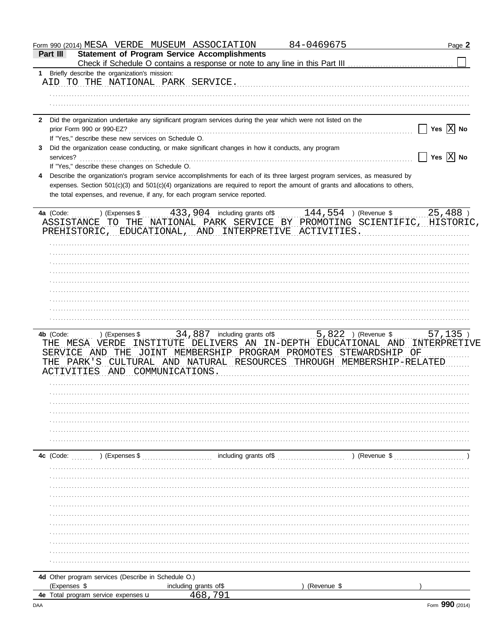|                | Form 990 (2014) MESA VERDE MUSEUM ASSOCIATION                               |                                                                                                                                | 84-0469675  | Page 2                             |
|----------------|-----------------------------------------------------------------------------|--------------------------------------------------------------------------------------------------------------------------------|-------------|------------------------------------|
| Part III       |                                                                             | <b>Statement of Program Service Accomplishments</b>                                                                            |             |                                    |
|                |                                                                             |                                                                                                                                |             |                                    |
| 1.             | Briefly describe the organization's mission:                                |                                                                                                                                |             |                                    |
|                | AID TO THE NATIONAL PARK SERVICE.                                           |                                                                                                                                |             |                                    |
|                |                                                                             |                                                                                                                                |             |                                    |
|                |                                                                             |                                                                                                                                |             |                                    |
|                |                                                                             |                                                                                                                                |             |                                    |
| $\mathbf{2}$   |                                                                             | Did the organization undertake any significant program services during the year which were not listed on the                   |             |                                    |
|                |                                                                             |                                                                                                                                |             | Yes $ X $ No<br>$\mathbf{L}$       |
|                | If "Yes," describe these new services on Schedule O.                        |                                                                                                                                |             |                                    |
| 3<br>services? |                                                                             | Did the organization cease conducting, or make significant changes in how it conducts, any program                             |             | $\Box$ Yes $\boxed{\mathrm{X}}$ No |
|                | If "Yes," describe these changes on Schedule O.                             |                                                                                                                                |             |                                    |
|                |                                                                             | Describe the organization's program service accomplishments for each of its three largest program services, as measured by     |             |                                    |
|                |                                                                             | expenses. Section 501(c)(3) and 501(c)(4) organizations are required to report the amount of grants and allocations to others, |             |                                    |
|                | the total expenses, and revenue, if any, for each program service reported. |                                                                                                                                |             |                                    |
|                |                                                                             |                                                                                                                                |             |                                    |
|                |                                                                             | 4a (Code:  ) (Expenses \$  433, 904 including grants of \$  144, 554 ) (Revenue \$  25, 488 )                                  |             |                                    |
|                |                                                                             | ASSISTANCE TO THE NATIONAL PARK SERVICE BY PROMOTING SCIENTIFIC, HISTORIC,                                                     |             |                                    |
|                |                                                                             | PREHISTORIC, EDUCATIONAL, AND INTERPRETIVE ACTIVITIES.                                                                         |             |                                    |
|                |                                                                             |                                                                                                                                |             |                                    |
|                |                                                                             |                                                                                                                                |             |                                    |
|                |                                                                             |                                                                                                                                |             |                                    |
|                |                                                                             |                                                                                                                                |             |                                    |
|                |                                                                             |                                                                                                                                |             |                                    |
|                |                                                                             |                                                                                                                                |             |                                    |
|                |                                                                             |                                                                                                                                |             |                                    |
|                |                                                                             |                                                                                                                                |             |                                    |
|                |                                                                             |                                                                                                                                |             |                                    |
|                |                                                                             |                                                                                                                                |             |                                    |
|                |                                                                             |                                                                                                                                |             |                                    |
|                |                                                                             |                                                                                                                                |             |                                    |
|                |                                                                             | THE MESA VERDE INSTITUTE DELIVERS AN IN-DEPTH EDUCATIONAL AND INTERPRETIVE                                                     |             |                                    |
|                |                                                                             | SERVICE AND THE JOINT MEMBERSHIP PROGRAM PROMOTES STEWARDSHIP OF                                                               |             |                                    |
|                |                                                                             | THE PARK'S CULTURAL AND NATURAL RESOURCES THROUGH MEMBERSHIP-RELATED                                                           |             |                                    |
|                | ACTIVITIES AND COMMUNICATIONS.                                              |                                                                                                                                |             |                                    |
|                |                                                                             |                                                                                                                                |             |                                    |
|                |                                                                             |                                                                                                                                |             |                                    |
|                |                                                                             |                                                                                                                                |             |                                    |
|                |                                                                             |                                                                                                                                |             |                                    |
|                |                                                                             |                                                                                                                                |             |                                    |
|                |                                                                             |                                                                                                                                |             |                                    |
|                |                                                                             |                                                                                                                                |             |                                    |
|                |                                                                             |                                                                                                                                |             |                                    |
| 4c (Code:      | ) (Expenses \$                                                              | including grants of\$                                                                                                          | (Revenue \$ |                                    |
|                |                                                                             |                                                                                                                                |             |                                    |
|                |                                                                             |                                                                                                                                |             |                                    |
|                |                                                                             |                                                                                                                                |             |                                    |
|                |                                                                             |                                                                                                                                |             |                                    |
|                |                                                                             |                                                                                                                                |             |                                    |
|                |                                                                             |                                                                                                                                |             |                                    |
|                |                                                                             |                                                                                                                                |             |                                    |
|                |                                                                             |                                                                                                                                |             |                                    |
|                |                                                                             |                                                                                                                                |             |                                    |
|                |                                                                             |                                                                                                                                |             |                                    |
|                |                                                                             |                                                                                                                                |             |                                    |
|                |                                                                             |                                                                                                                                |             |                                    |
|                |                                                                             |                                                                                                                                |             |                                    |
|                | 4d Other program services (Describe in Schedule O.)                         |                                                                                                                                |             |                                    |
|                |                                                                             |                                                                                                                                |             |                                    |
| (Expenses \$   | 4e Total program service expenses u                                         | including grants of\$<br>468,791                                                                                               | (Revenue \$ |                                    |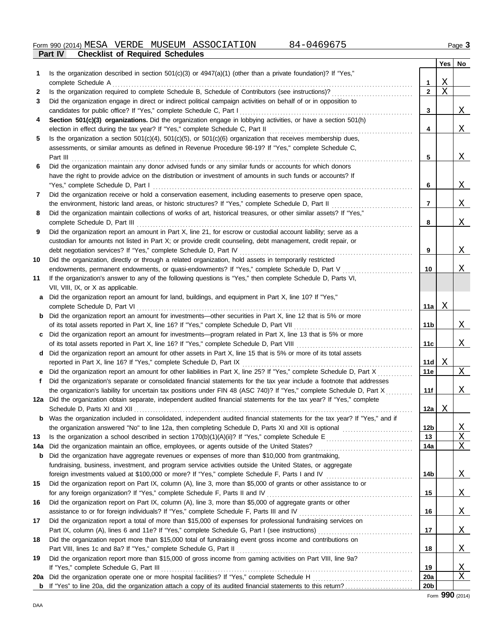|     | Γαιι ιν<br>onecumental cum cediule contentivo                                                                              |                 |         |              |
|-----|----------------------------------------------------------------------------------------------------------------------------|-----------------|---------|--------------|
|     |                                                                                                                            |                 | Yes     | No           |
| 1.  | Is the organization described in section $501(c)(3)$ or $4947(a)(1)$ (other than a private foundation)? If "Yes,"          |                 |         |              |
|     | complete Schedule A                                                                                                        | 1               | X       |              |
| 2   | Is the organization required to complete Schedule B, Schedule of Contributors (see instructions)?                          | $\mathbf{2}$    | $\rm X$ |              |
| 3   | Did the organization engage in direct or indirect political campaign activities on behalf of or in opposition to           |                 |         |              |
|     | candidates for public office? If "Yes," complete Schedule C, Part I                                                        | 3               |         | X            |
| 4   | Section 501(c)(3) organizations. Did the organization engage in lobbying activities, or have a section 501(h)              |                 |         |              |
|     | election in effect during the tax year? If "Yes," complete Schedule C, Part II                                             | 4               |         | X            |
| 5   | Is the organization a section $501(c)(4)$ , $501(c)(5)$ , or $501(c)(6)$ organization that receives membership dues,       |                 |         |              |
|     | assessments, or similar amounts as defined in Revenue Procedure 98-19? If "Yes," complete Schedule C,                      |                 |         |              |
|     | Part III                                                                                                                   | 5               |         | <u>X</u>     |
| 6   | Did the organization maintain any donor advised funds or any similar funds or accounts for which donors                    |                 |         |              |
|     | have the right to provide advice on the distribution or investment of amounts in such funds or accounts? If                |                 |         |              |
|     | "Yes," complete Schedule D, Part I                                                                                         | 6               |         | X            |
| 7   | Did the organization receive or hold a conservation easement, including easements to preserve open space,                  |                 |         |              |
|     | the environment, historic land areas, or historic structures? If "Yes," complete Schedule D, Part II                       | 7               |         | X            |
| 8   | Did the organization maintain collections of works of art, historical treasures, or other similar assets? If "Yes,"        |                 |         |              |
|     | complete Schedule D, Part III                                                                                              | 8               |         | Χ            |
| 9   | Did the organization report an amount in Part X, line 21, for escrow or custodial account liability; serve as a            |                 |         |              |
|     | custodian for amounts not listed in Part X; or provide credit counseling, debt management, credit repair, or               |                 |         |              |
|     | debt negotiation services? If "Yes," complete Schedule D, Part IV                                                          | 9               |         | Χ            |
| 10  | Did the organization, directly or through a related organization, hold assets in temporarily restricted                    |                 |         |              |
|     |                                                                                                                            |                 |         | Χ            |
|     | endowments, permanent endowments, or quasi-endowments? If "Yes," complete Schedule D, Part V                               | 10              |         |              |
| 11  | If the organization's answer to any of the following questions is "Yes," then complete Schedule D, Parts VI,               |                 |         |              |
|     | VII, VIII, IX, or X as applicable.                                                                                         |                 |         |              |
|     | a Did the organization report an amount for land, buildings, and equipment in Part X, line 10? If "Yes,"                   |                 |         |              |
|     | complete Schedule D, Part VI                                                                                               | 11a             | Χ       |              |
|     | <b>b</b> Did the organization report an amount for investments—other securities in Part X, line 12 that is 5% or more      |                 |         |              |
|     | of its total assets reported in Part X, line 16? If "Yes," complete Schedule D, Part VII                                   | 11b             |         | $\mathbf{X}$ |
|     | c Did the organization report an amount for investments—program related in Part X, line 13 that is 5% or more              |                 |         |              |
|     | of its total assets reported in Part X, line 16? If "Yes," complete Schedule D, Part VIII                                  | 11c             |         | X            |
|     | d Did the organization report an amount for other assets in Part X, line 15 that is 5% or more of its total assets         |                 |         |              |
|     | reported in Part X, line 16? If "Yes," complete Schedule D, Part IX                                                        | 11d             | Χ       |              |
|     | e Did the organization report an amount for other liabilities in Part X, line 25? If "Yes," complete Schedule D, Part X    | 11e             |         | X            |
| f.  | Did the organization's separate or consolidated financial statements for the tax year include a footnote that addresses    |                 |         |              |
|     | the organization's liability for uncertain tax positions under FIN 48 (ASC 740)? If "Yes," complete Schedule D, Part X     | 11f             |         | Χ            |
|     | 12a Did the organization obtain separate, independent audited financial statements for the tax year? If "Yes," complete    |                 |         |              |
|     |                                                                                                                            | 12a $ $         | Χ       |              |
|     | Was the organization included in consolidated, independent audited financial statements for the tax year? If "Yes," and if |                 |         |              |
|     |                                                                                                                            | 12 <sub>b</sub> |         | <u>X</u>     |
| 13  |                                                                                                                            | 13              |         | X            |
| 14a | Did the organization maintain an office, employees, or agents outside of the United States?                                | 14a             |         | Χ            |
| b   | Did the organization have aggregate revenues or expenses of more than \$10,000 from grantmaking,                           |                 |         |              |
|     | fundraising, business, investment, and program service activities outside the United States, or aggregate                  |                 |         |              |
|     |                                                                                                                            | 14b             |         | <u>X</u>     |
| 15  | Did the organization report on Part IX, column (A), line 3, more than \$5,000 of grants or other assistance to or          |                 |         |              |
|     | for any foreign organization? If "Yes," complete Schedule F, Parts II and IV                                               | 15              |         | <u>X</u>     |
|     |                                                                                                                            |                 |         |              |
| 16  | Did the organization report on Part IX, column (A), line 3, more than \$5,000 of aggregate grants or other                 |                 |         |              |
|     |                                                                                                                            | 16              |         | <u>X</u>     |
| 17  | Did the organization report a total of more than \$15,000 of expenses for professional fundraising services on             |                 |         |              |
|     |                                                                                                                            | 17              |         | <u>X</u>     |
| 18  | Did the organization report more than \$15,000 total of fundraising event gross income and contributions on                |                 |         |              |
|     | Part VIII, lines 1c and 8a? If "Yes," complete Schedule G, Part II                                                         | 18              |         | <u>X</u>     |
| 19  | Did the organization report more than \$15,000 of gross income from gaming activities on Part VIII, line 9a?               |                 |         |              |
|     | If "Yes," complete Schedule G, Part III                                                                                    | 19              |         | X            |
| 20a |                                                                                                                            | 20a             |         | Χ            |
|     |                                                                                                                            | <b>20b</b>      |         |              |

Form **990** (2014)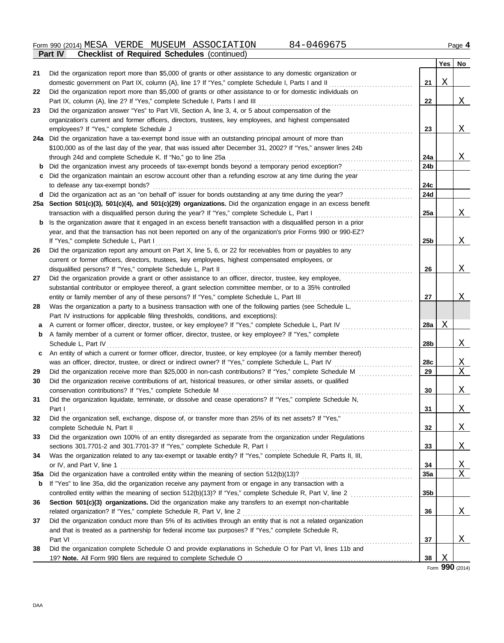|     | $5.001$ or response concerned (commenced)                                                                        |                 | Yes | No           |
|-----|------------------------------------------------------------------------------------------------------------------|-----------------|-----|--------------|
| 21  | Did the organization report more than \$5,000 of grants or other assistance to any domestic organization or      |                 |     |              |
|     | domestic government on Part IX, column (A), line 1? If "Yes," complete Schedule I, Parts I and II                | 21              | Χ   |              |
| 22  | Did the organization report more than \$5,000 of grants or other assistance to or for domestic individuals on    |                 |     |              |
|     | Part IX, column (A), line 2? If "Yes," complete Schedule I, Parts I and III                                      | 22              |     | <u>X</u>     |
| 23  | Did the organization answer "Yes" to Part VII, Section A, line 3, 4, or 5 about compensation of the              |                 |     |              |
|     | organization's current and former officers, directors, trustees, key employees, and highest compensated          |                 |     |              |
|     | employees? If "Yes," complete Schedule J                                                                         | 23              |     | $\mathbf{X}$ |
|     | 24a Did the organization have a tax-exempt bond issue with an outstanding principal amount of more than          |                 |     |              |
|     | \$100,000 as of the last day of the year, that was issued after December 31, 2002? If "Yes," answer lines 24b    |                 |     |              |
|     | through 24d and complete Schedule K. If "No," go to line 25a                                                     | 24a             |     | <u>X</u>     |
| b   | Did the organization invest any proceeds of tax-exempt bonds beyond a temporary period exception?                | 24b             |     |              |
| c   | Did the organization maintain an escrow account other than a refunding escrow at any time during the year        |                 |     |              |
|     | to defease any tax-exempt bonds?                                                                                 | 24c             |     |              |
| d   | Did the organization act as an "on behalf of" issuer for bonds outstanding at any time during the year?          | 24d             |     |              |
|     | 25a Section 501(c)(3), 501(c)(4), and 501(c)(29) organizations. Did the organization engage in an excess benefit |                 |     |              |
|     | transaction with a disqualified person during the year? If "Yes," complete Schedule L, Part I                    | 25a             |     | <u>X</u>     |
| b   | Is the organization aware that it engaged in an excess benefit transaction with a disqualified person in a prior |                 |     |              |
|     | year, and that the transaction has not been reported on any of the organization's prior Forms 990 or 990-EZ?     |                 |     |              |
|     | If "Yes," complete Schedule L, Part I                                                                            | 25b             |     | $\mathbf{X}$ |
| 26  | Did the organization report any amount on Part X, line 5, 6, or 22 for receivables from or payables to any       |                 |     |              |
|     | current or former officers, directors, trustees, key employees, highest compensated employees, or                |                 |     |              |
|     | disqualified persons? If "Yes," complete Schedule L, Part II                                                     | 26              |     | $\mathbf{X}$ |
| 27  | Did the organization provide a grant or other assistance to an officer, director, trustee, key employee,         |                 |     |              |
|     | substantial contributor or employee thereof, a grant selection committee member, or to a 35% controlled          |                 |     |              |
|     | entity or family member of any of these persons? If "Yes," complete Schedule L, Part III                         | 27              |     | $\mathbf{X}$ |
| 28  | Was the organization a party to a business transaction with one of the following parties (see Schedule L,        |                 |     |              |
|     | Part IV instructions for applicable filing thresholds, conditions, and exceptions):                              |                 |     |              |
| a   | A current or former officer, director, trustee, or key employee? If "Yes," complete Schedule L, Part IV          | 28a             | Χ   |              |
| b   | A family member of a current or former officer, director, trustee, or key employee? If "Yes," complete           |                 |     |              |
|     | Schedule L, Part IV                                                                                              | 28b             |     | <u>X</u>     |
| c   | An entity of which a current or former officer, director, trustee, or key employee (or a family member thereof)  |                 |     |              |
|     | was an officer, director, trustee, or direct or indirect owner? If "Yes," complete Schedule L, Part IV           | 28c             |     | <u>X</u>     |
| 29  | Did the organization receive more than \$25,000 in non-cash contributions? If "Yes," complete Schedule M         | 29              |     | X            |
| 30  | Did the organization receive contributions of art, historical treasures, or other similar assets, or qualified   |                 |     |              |
|     | conservation contributions? If "Yes," complete Schedule M                                                        | 30              |     | X            |
| 31  | Did the organization liquidate, terminate, or dissolve and cease operations? If "Yes," complete Schedule N,      |                 |     |              |
|     | Part I                                                                                                           | 31              |     | $\mathbf{X}$ |
| 32  | Did the organization sell, exchange, dispose of, or transfer more than 25% of its net assets? If "Yes,"          |                 |     |              |
|     | complete Schedule N, Part II                                                                                     | 32              |     | <u>X</u>     |
| 33  | Did the organization own 100% of an entity disregarded as separate from the organization under Regulations       |                 |     |              |
|     | sections 301.7701-2 and 301.7701-3? If "Yes," complete Schedule R, Part I                                        | 33              |     | <u>X</u>     |
| 34  | Was the organization related to any tax-exempt or taxable entity? If "Yes," complete Schedule R, Parts II, III,  |                 |     |              |
|     | or IV, and Part V, line 1                                                                                        | 34              |     | <u>X</u>     |
| 35a |                                                                                                                  | 35a             |     | Χ            |
| b   | If "Yes" to line 35a, did the organization receive any payment from or engage in any transaction with a          |                 |     |              |
|     |                                                                                                                  | 35 <sub>b</sub> |     |              |
| 36  | Section 501(c)(3) organizations. Did the organization make any transfers to an exempt non-charitable             |                 |     |              |
|     | related organization? If "Yes," complete Schedule R, Part V, line 2                                              | 36              |     | <u>X</u>     |
| 37  | Did the organization conduct more than 5% of its activities through an entity that is not a related organization |                 |     |              |
|     | and that is treated as a partnership for federal income tax purposes? If "Yes," complete Schedule R,             |                 |     |              |
|     | Part VI                                                                                                          | 37              |     | <u>X</u>     |
| 38  | Did the organization complete Schedule O and provide explanations in Schedule O for Part VI, lines 11b and       |                 | Χ   |              |
|     |                                                                                                                  | 38              |     |              |

Form **990** (2014)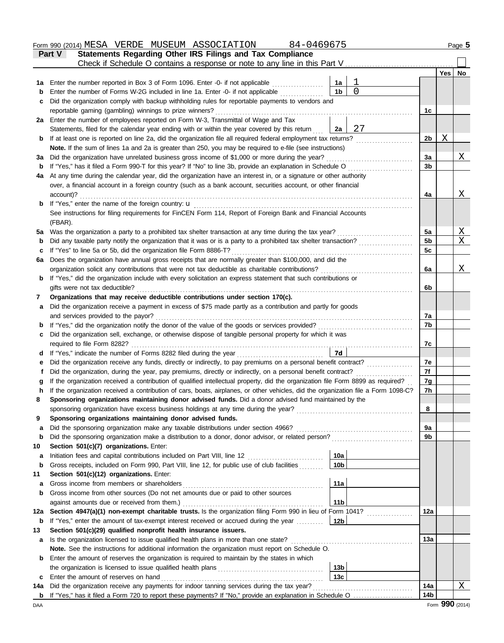|         | 84-0469675<br>Form 990 (2014) MESA VERDE MUSEUM ASSOCIATION                                                                                                                                                     |                 |          |                |     | Page 5       |
|---------|-----------------------------------------------------------------------------------------------------------------------------------------------------------------------------------------------------------------|-----------------|----------|----------------|-----|--------------|
|         | Statements Regarding Other IRS Filings and Tax Compliance<br><b>Part V</b>                                                                                                                                      |                 |          |                |     |              |
|         | Check if Schedule O contains a response or note to any line in this Part V                                                                                                                                      |                 |          |                |     |              |
|         |                                                                                                                                                                                                                 |                 |          |                | Yes | No           |
| 1a      | Enter the number reported in Box 3 of Form 1096. Enter -0- if not applicable                                                                                                                                    | 1a              |          |                |     |              |
| b       | Enter the number of Forms W-2G included in line 1a. Enter -0- if not applicable                                                                                                                                 | 1 <sub>b</sub>  | $\Omega$ |                |     |              |
| c       | Did the organization comply with backup withholding rules for reportable payments to vendors and                                                                                                                |                 |          |                |     |              |
|         | reportable gaming (gambling) winnings to prize winners?                                                                                                                                                         |                 |          | 1 <sub>c</sub> |     |              |
|         | 2a Enter the number of employees reported on Form W-3, Transmittal of Wage and Tax                                                                                                                              |                 | 27       |                |     |              |
|         | Statements, filed for the calendar year ending with or within the year covered by this return<br>If at least one is reported on line 2a, did the organization file all required federal employment tax returns? | 2a              |          | 2 <sub>b</sub> | Χ   |              |
| b       | Note. If the sum of lines 1a and 2a is greater than 250, you may be required to e-file (see instructions)                                                                                                       |                 |          |                |     |              |
| За      | Did the organization have unrelated business gross income of \$1,000 or more during the year?                                                                                                                   |                 |          | 3a             |     | Χ            |
| b       | If "Yes," has it filed a Form 990-T for this year? If "No" to line 3b, provide an explanation in Schedule O                                                                                                     |                 |          | 3b             |     |              |
| 4a      | At any time during the calendar year, did the organization have an interest in, or a signature or other authority                                                                                               |                 |          |                |     |              |
|         | over, a financial account in a foreign country (such as a bank account, securities account, or other financial                                                                                                  |                 |          |                |     |              |
|         | account)?                                                                                                                                                                                                       |                 |          | 4a             |     | Χ            |
| b       | If "Yes," enter the name of the foreign country: <b>u</b>                                                                                                                                                       |                 |          |                |     |              |
|         | See instructions for filing requirements for FinCEN Form 114, Report of Foreign Bank and Financial Accounts                                                                                                     |                 |          |                |     |              |
|         | (FBAR).                                                                                                                                                                                                         |                 |          |                |     |              |
| 5a      | Was the organization a party to a prohibited tax shelter transaction at any time during the tax year?                                                                                                           |                 |          | 5a             |     | X            |
| b       | Did any taxable party notify the organization that it was or is a party to a prohibited tax shelter transaction?                                                                                                |                 |          | 5 <sub>b</sub> |     | X            |
| c       | If "Yes" to line 5a or 5b, did the organization file Form 8886-T?                                                                                                                                               |                 |          | 5c             |     |              |
| 6a      | Does the organization have annual gross receipts that are normally greater than \$100,000, and did the                                                                                                          |                 |          |                |     |              |
|         | organization solicit any contributions that were not tax deductible as charitable contributions?                                                                                                                |                 |          | 6a             |     | X            |
| b       | If "Yes," did the organization include with every solicitation an express statement that such contributions or                                                                                                  |                 |          |                |     |              |
|         | gifts were not tax deductible?                                                                                                                                                                                  |                 |          | 6b             |     |              |
| 7       | Organizations that may receive deductible contributions under section 170(c).                                                                                                                                   |                 |          |                |     |              |
| a       | Did the organization receive a payment in excess of \$75 made partly as a contribution and partly for goods                                                                                                     |                 |          |                |     |              |
|         | and services provided to the payor?                                                                                                                                                                             |                 |          | 7a             |     |              |
| b       | If "Yes," did the organization notify the donor of the value of the goods or services provided?<br>Did the organization sell, exchange, or otherwise dispose of tangible personal property for which it was     |                 |          | 7b             |     |              |
| c       | required to file Form 8282?                                                                                                                                                                                     |                 |          | 7c             |     |              |
| d       | If "Yes," indicate the number of Forms 8282 filed during the year                                                                                                                                               | 7d              |          |                |     |              |
| е       | Did the organization receive any funds, directly or indirectly, to pay premiums on a personal benefit contract?                                                                                                 |                 |          | 7e             |     |              |
| f       | Did the organization, during the year, pay premiums, directly or indirectly, on a personal benefit contract?                                                                                                    |                 |          | 7f             |     |              |
|         | If the organization received a contribution of qualified intellectual property, did the organization file Form 8899 as required?                                                                                |                 |          | 7g             |     |              |
|         | If the organization received a contribution of cars, boats, airplanes, or other vehicles, did the organization file a Form 1098-C?                                                                              |                 |          | 7 <sub>h</sub> |     |              |
| 8       | Sponsoring organizations maintaining donor advised funds. Did a donor advised fund maintained by the                                                                                                            |                 |          |                |     |              |
|         | sponsoring organization have excess business holdings at any time during the year?                                                                                                                              |                 |          | 8              |     |              |
| 9       | Sponsoring organizations maintaining donor advised funds.                                                                                                                                                       |                 |          |                |     |              |
| a       | Did the sponsoring organization make any taxable distributions under section 4966?                                                                                                                              |                 |          | 9a             |     |              |
| b       | Did the sponsoring organization make a distribution to a donor, donor advisor, or related person?                                                                                                               |                 |          | 9b             |     |              |
| 10      | Section 501(c)(7) organizations. Enter:                                                                                                                                                                         |                 |          |                |     |              |
| a       | Initiation fees and capital contributions included on Part VIII, line 12 [11][11][11][11][11][11][11][11][11][                                                                                                  | 10a             |          |                |     |              |
| b       | Gross receipts, included on Form 990, Part VIII, line 12, for public use of club facilities                                                                                                                     | 10 <sub>b</sub> |          |                |     |              |
| 11      | Section 501(c)(12) organizations. Enter:                                                                                                                                                                        |                 |          |                |     |              |
| a       | Gross income from members or shareholders                                                                                                                                                                       | 11a             |          |                |     |              |
| b       | Gross income from other sources (Do not net amounts due or paid to other sources                                                                                                                                |                 |          |                |     |              |
|         | against amounts due or received from them.)<br>Section 4947(a)(1) non-exempt charitable trusts. Is the organization filing Form 990 in lieu of Form 1041?                                                       | 11 <sub>b</sub> |          | 12a            |     |              |
| 12a     |                                                                                                                                                                                                                 | 12 <sub>b</sub> |          |                |     |              |
| b<br>13 | If "Yes," enter the amount of tax-exempt interest received or accrued during the year<br>Section 501(c)(29) qualified nonprofit health insurance issuers.                                                       |                 |          |                |     |              |
| a       | Is the organization licensed to issue qualified health plans in more than one state?                                                                                                                            |                 |          | 13a            |     |              |
|         | Note. See the instructions for additional information the organization must report on Schedule O.                                                                                                               |                 |          |                |     |              |
| b       | Enter the amount of reserves the organization is required to maintain by the states in which                                                                                                                    |                 |          |                |     |              |
|         |                                                                                                                                                                                                                 | 13 <sub>b</sub> |          |                |     |              |
| c       | Enter the amount of reserves on hand                                                                                                                                                                            | 13 <sub>c</sub> |          |                |     |              |
| 14а     | Did the organization receive any payments for indoor tanning services during the tax year?                                                                                                                      |                 |          | 14a            |     | $\mathbf{X}$ |
| b       |                                                                                                                                                                                                                 |                 |          | 14b            |     |              |

DAA Form 990 (2014) Form 990 (2014) Form 990 (2014) CONDERN 2014 OF PROPERTY AND CONDERN 2014 OF PROPERTY AND RESPONDENT AND RESPONDENT AND RESPONDENT ASSAULT OF DESCRIPTION ON A Form 990 (2014)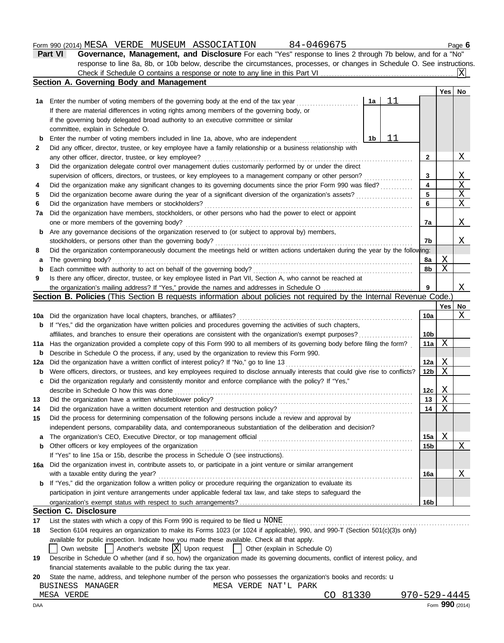## Form 990 (2014) Page **6** MESA VERDE MUSEUM ASSOCIATION 84-0469675

| Part VI | <b>Governance, Management, and Disclosure</b> For each "Yes" response to lines 2 through 7b below, and for a "No"         |        |  |
|---------|---------------------------------------------------------------------------------------------------------------------------|--------|--|
|         | response to line 8a, 8b, or 10b below, describe the circumstances, processes, or changes in Schedule O. See instructions. |        |  |
|         |                                                                                                                           |        |  |
|         | Section A. Governing Body and Management                                                                                  |        |  |
|         |                                                                                                                           | Yes No |  |

|             |                                                                                                                                     |                 |              | Yes   No             |
|-------------|-------------------------------------------------------------------------------------------------------------------------------------|-----------------|--------------|----------------------|
| 1a          | 11<br>Enter the number of voting members of the governing body at the end of the tax year<br>1a                                     |                 |              |                      |
|             | If there are material differences in voting rights among members of the governing body, or                                          |                 |              |                      |
|             | if the governing body delegated broad authority to an executive committee or similar                                                |                 |              |                      |
|             | committee, explain in Schedule O.                                                                                                   |                 |              |                      |
| b           | 11<br>Enter the number of voting members included in line 1a, above, who are independent<br>1b                                      |                 |              |                      |
| 2           | Did any officer, director, trustee, or key employee have a family relationship or a business relationship with                      |                 |              |                      |
|             | any other officer, director, trustee, or key employee?                                                                              | $\mathbf{2}$    |              | X                    |
| 3           | Did the organization delegate control over management duties customarily performed by or under the direct                           |                 |              |                      |
|             | supervision of officers, directors, or trustees, or key employees to a management company or other person?                          | 3               |              | <u>X</u>             |
| 4           | Did the organization make any significant changes to its governing documents since the prior Form 990 was filed?                    | 4               |              | X                    |
| 5           | Did the organization become aware during the year of a significant diversion of the organization's assets?                          | 5               |              | $\mathbf{X}$         |
| 6           | Did the organization have members or stockholders?                                                                                  | 6               |              | X                    |
| 7a          | Did the organization have members, stockholders, or other persons who had the power to elect or appoint                             |                 |              |                      |
|             | one or more members of the governing body?                                                                                          | 7a              |              | <u>X</u>             |
| b           | Are any governance decisions of the organization reserved to (or subject to approval by) members,                                   |                 |              |                      |
|             | stockholders, or persons other than the governing body?                                                                             | 7b              |              | X                    |
| 8           | Did the organization contemporaneously document the meetings held or written actions undertaken during the year by the following:   |                 |              |                      |
| а           | The governing body?                                                                                                                 | 8a              | Χ            |                      |
| b           | Each committee with authority to act on behalf of the governing body?                                                               | 8b              | Χ            |                      |
| 9           | Is there any officer, director, trustee, or key employee listed in Part VII, Section A, who cannot be reached at                    |                 |              |                      |
|             |                                                                                                                                     | 9               |              | X                    |
|             | Section B. Policies (This Section B requests information about policies not required by the Internal Revenue Code.)                 |                 |              |                      |
|             |                                                                                                                                     |                 | Yes l        | No                   |
| 10a         | Did the organization have local chapters, branches, or affiliates?                                                                  | 10a             |              | X                    |
| b           | If "Yes," did the organization have written policies and procedures governing the activities of such chapters,                      |                 |              |                      |
|             | affiliates, and branches to ensure their operations are consistent with the organization's exempt purposes?                         | 10 <sub>b</sub> |              |                      |
| 11a         | Has the organization provided a complete copy of this Form 990 to all members of its governing body before filing the form?         | 11a             | Χ            |                      |
| b           | Describe in Schedule O the process, if any, used by the organization to review this Form 990.                                       |                 |              |                      |
| 12a         | Did the organization have a written conflict of interest policy? If "No," go to line 13                                             | 12a             | Χ            |                      |
| $\mathbf b$ | Were officers, directors, or trustees, and key employees required to disclose annually interests that could give rise to conflicts? | 12b             | Χ            |                      |
| c           | Did the organization regularly and consistently monitor and enforce compliance with the policy? If "Yes,"                           |                 |              |                      |
|             | describe in Schedule O how this was done                                                                                            | 12 <sub>c</sub> | Χ            |                      |
| 13          | Did the organization have a written whistleblower policy?                                                                           | 13              | Χ            |                      |
| 14          | Did the organization have a written document retention and destruction policy?                                                      | 14              | Χ            |                      |
| 15          | Did the process for determining compensation of the following persons include a review and approval by                              |                 |              |                      |
|             | independent persons, comparability data, and contemporaneous substantiation of the deliberation and decision?                       |                 |              |                      |
|             | The organization's CEO, Executive Director, or top management official                                                              | 15a             | $\mathsf{X}$ |                      |
|             | <b>b</b> Other officers or key employees of the organization                                                                        | 15 <sub>b</sub> |              | $\mathbf{X}_{\perp}$ |
|             | If "Yes" to line 15a or 15b, describe the process in Schedule O (see instructions).                                                 |                 |              |                      |
|             | 16a Did the organization invest in, contribute assets to, or participate in a joint venture or similar arrangement                  |                 |              |                      |
|             | with a taxable entity during the year?                                                                                              | 16a             |              | <u>X</u>             |
| b           | If "Yes," did the organization follow a written policy or procedure requiring the organization to evaluate its                      |                 |              |                      |
|             | participation in joint venture arrangements under applicable federal tax law, and take steps to safeguard the                       |                 |              |                      |
|             |                                                                                                                                     | 16b             |              |                      |
|             | <b>Section C. Disclosure</b>                                                                                                        |                 |              |                      |
| 17          | List the states with which a copy of this Form 990 is required to be filed $\mathbf u$ NONE                                         |                 |              |                      |
| 18          | Section 6104 requires an organization to make its Forms 1023 (or 1024 if applicable), 990, and 990-T (Section 501(c)(3)s only)      |                 |              |                      |
|             | available for public inspection. Indicate how you made these available. Check all that apply.                                       |                 |              |                      |
|             | Own website $\vert$ Another's website $\vert X \vert$ Upon request<br>  Other (explain in Schedule O)                               |                 |              |                      |
|             | 19 Describe in Schedule Q whether (and if so, how) the organization made its governing documents, conflict of interest policy, and  |                 |              |                      |

| 19 Describe in Schedule O whether (and if so, how) the organization made its governing documents, conflict of interest policy, and |
|------------------------------------------------------------------------------------------------------------------------------------|
| financial statements available to the public during the tax year.                                                                  |

|  | 20 State the name, address, and telephone number of the person who possesses the organization's books and records: u |  |  |  |  |  |  |  |  |
|--|----------------------------------------------------------------------------------------------------------------------|--|--|--|--|--|--|--|--|
|--|----------------------------------------------------------------------------------------------------------------------|--|--|--|--|--|--|--|--|

| $ -$<br>RHS<br>4 A N I A<br>NF<br>$\mathbf{v}$ | PARK<br>. ) H.<br>NA''<br>$\mathcal{L}$<br>LV 1.1<br>. |    |
|------------------------------------------------|--------------------------------------------------------|----|
| MESA<br>6.RTJP<br>۰/ н'<br>⊥∟⊥                 | л,                                                     | -- |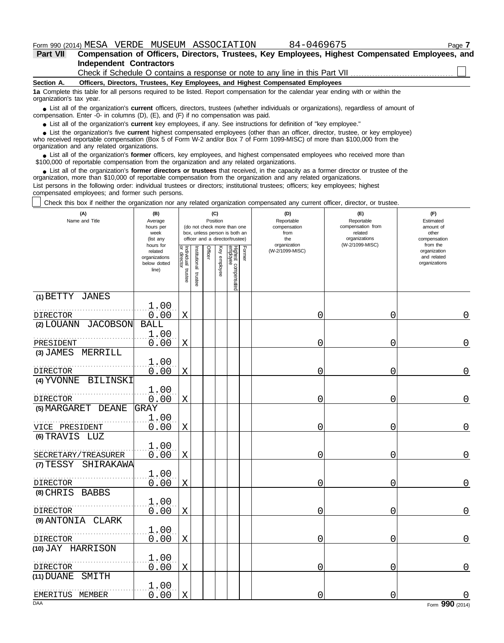| Part VII | Compensation of Officers, Directors, Trustees, Key Employees, Highest Compensated Employees, and |
|----------|--------------------------------------------------------------------------------------------------|
|          | <b>Independent Contractors</b>                                                                   |
|          | Check if Schedule O contains a response or note to any line in this Part VII                     |

**Section A. Officers, Directors, Trustees, Key Employees, and Highest Compensated Employees**

**1a** Complete this table for all persons required to be listed. Report compensation for the calendar year ending with or within the organization's tax year.

List all of the organization's **current** officers, directors, trustees (whether individuals or organizations), regardless of amount of ● List all of the organization's **current** officers, directors, trustees (whether indi compensation. Enter -0- in columns (D), (E), and (F) if no compensation was paid.

● List all of the organization's **current** key employees, if any. See instructions for definition of "key employee."

who received reportable compensation (Box 5 of Form W-2 and/or Box 7 of Form 1099-MISC) of more than \$100,000 from the organization and any related organizations. ■ List the organization's five **current** highest compensated employees (other than an officer, director, trustee, or key employee)<br>
a received reportable compensation (Box 5 of Form W-2 and/or Box 7 of Form 1099-MISC) of

■ List all of the organization's **former** officers, key employees, and highest compensated employees who received more than<br>00,000 of reportable compensation from the organization and any related organizations \$100,000 of reportable compensation from the organization and any related organizations.

• List all of the organization's **former directors or trustees** that received, in the capacity as a former director or trustee of the prization more than \$10,000 of reportable compensation from the organization and any rel organization, more than \$10,000 of reportable compensation from the organization and any related organizations.

List persons in the following order: individual trustees or directors; institutional trustees; officers; key employees; highest compensated employees; and former such persons.

Check this box if neither the organization nor any related organization compensated any current officer, director, or trustee.

| (A)<br>Name and Title         | (B)<br>Average<br>hours per<br>week<br>(list any               |                                      |                         |                | (C)<br>Position | (do not check more than one<br>box, unless person is both an<br>officer and a director/trustee) |        | (D)<br>Reportable<br>compensation<br>from<br>the | (E)<br>Reportable<br>compensation from<br>related<br>organizations<br>compensation<br>(W-2/1099-MISC)<br>organization |                                                          |  |
|-------------------------------|----------------------------------------------------------------|--------------------------------------|-------------------------|----------------|-----------------|-------------------------------------------------------------------------------------------------|--------|--------------------------------------------------|-----------------------------------------------------------------------------------------------------------------------|----------------------------------------------------------|--|
|                               | hours for<br>related<br>organizations<br>below dotted<br>line) | Individual<br>or director<br>trustee | nstitutional<br>trustee | <b>Officer</b> | Key employee    | Highest compensated<br>employee                                                                 | Former | (W-2/1099-MISC)                                  |                                                                                                                       | from the<br>organization<br>and related<br>organizations |  |
| (1) BETTY JANES               |                                                                |                                      |                         |                |                 |                                                                                                 |        |                                                  |                                                                                                                       |                                                          |  |
| DIRECTOR                      | 1.00<br>0.00                                                   | $\mathbf X$                          |                         |                |                 |                                                                                                 |        | 0                                                | 0                                                                                                                     | 0                                                        |  |
| (2) LOUANN<br><b>JACOBSON</b> | <b>BALL</b><br>1.00                                            |                                      |                         |                |                 |                                                                                                 |        |                                                  |                                                                                                                       |                                                          |  |
| PRESIDENT                     | 0.00                                                           | $\rm X$                              |                         |                |                 |                                                                                                 |        | 0                                                | 0                                                                                                                     | $\overline{0}$                                           |  |
| $(3)$ JAMES<br>MERRILL        | 1.00                                                           |                                      |                         |                |                 |                                                                                                 |        |                                                  |                                                                                                                       |                                                          |  |
| <b>DIRECTOR</b>               | 0.00                                                           | Χ                                    |                         |                |                 |                                                                                                 |        | 0                                                | 0                                                                                                                     | 0                                                        |  |
| (4) YVONNE BILINSKI           |                                                                |                                      |                         |                |                 |                                                                                                 |        |                                                  |                                                                                                                       |                                                          |  |
| <b>DIRECTOR</b>               | 1.00<br>0.00                                                   | $\mathbf X$                          |                         |                |                 |                                                                                                 |        | 0                                                | 0                                                                                                                     | $\mathbf 0$                                              |  |
| (5) MARGARET DEANE            | <b>GRAY</b>                                                    |                                      |                         |                |                 |                                                                                                 |        |                                                  |                                                                                                                       |                                                          |  |
| VICE PRESIDENT                | 1.00<br>0.00                                                   | X                                    |                         |                |                 |                                                                                                 |        | 0                                                | $\Omega$                                                                                                              | $\mathbf 0$                                              |  |
| (6) TRAVIS LUZ                |                                                                |                                      |                         |                |                 |                                                                                                 |        |                                                  |                                                                                                                       |                                                          |  |
| SECRETARY/TREASURER           | 1.00<br>0.00                                                   | $\mathbf X$                          |                         |                |                 |                                                                                                 |        | 0                                                | 0                                                                                                                     | $\overline{0}$                                           |  |
| (7) TESSY<br>SHIRAKAWA        |                                                                |                                      |                         |                |                 |                                                                                                 |        |                                                  |                                                                                                                       |                                                          |  |
| DIRECTOR                      | 1.00<br>0.00                                                   | $\mathbf X$                          |                         |                |                 |                                                                                                 |        | 0                                                | 0                                                                                                                     | $\overline{0}$                                           |  |
| $(8)$ CHRIS<br><b>BABBS</b>   |                                                                |                                      |                         |                |                 |                                                                                                 |        |                                                  |                                                                                                                       |                                                          |  |
| DIRECTOR                      | 1.00<br>0.00                                                   | $\mathbf X$                          |                         |                |                 |                                                                                                 |        | 0                                                | 0                                                                                                                     | 0                                                        |  |
| (9) ANTONIA CLARK             |                                                                |                                      |                         |                |                 |                                                                                                 |        |                                                  |                                                                                                                       |                                                          |  |
| DIRECTOR                      | 1.00<br>0.00                                                   | $\mathbf X$                          |                         |                |                 |                                                                                                 |        | 0                                                | 0                                                                                                                     | $\mathbf 0$                                              |  |
| (10) JAY HARRISON             |                                                                |                                      |                         |                |                 |                                                                                                 |        |                                                  |                                                                                                                       |                                                          |  |
| DIRECTOR                      | 1.00<br>0.00                                                   | Χ                                    |                         |                |                 |                                                                                                 |        | 0                                                | 0                                                                                                                     | $\mathbf 0$                                              |  |
| (11) DUANE<br>SMITH           |                                                                |                                      |                         |                |                 |                                                                                                 |        |                                                  |                                                                                                                       |                                                          |  |
| EMERITUS MEMBER               | 1.00<br>0.00                                                   | X                                    |                         |                |                 |                                                                                                 |        | 0                                                | 0                                                                                                                     |                                                          |  |
| <b>DAA</b>                    |                                                                |                                      |                         |                |                 |                                                                                                 |        |                                                  |                                                                                                                       | Form 990 (2014)                                          |  |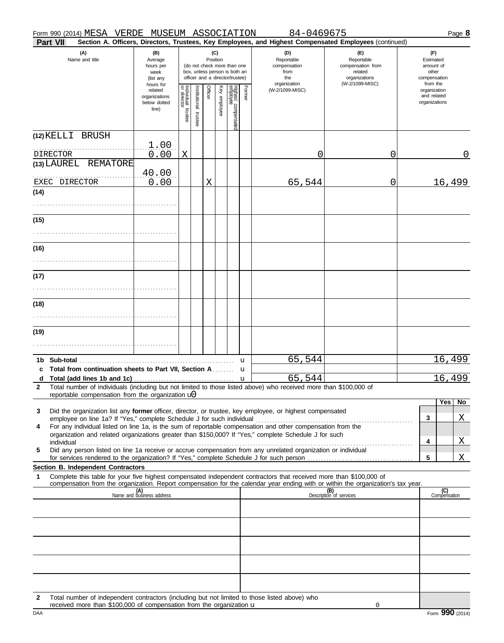| Part VII                                                                                                                                                                                                                                                                                                                                             |                                                                |                                   |                          |          |              |                                                                                                 |             | Section A. Officers, Directors, Trustees, Key Employees, and Highest Compensated Employees (continued) |                                                                    |                                                          |
|------------------------------------------------------------------------------------------------------------------------------------------------------------------------------------------------------------------------------------------------------------------------------------------------------------------------------------------------------|----------------------------------------------------------------|-----------------------------------|--------------------------|----------|--------------|-------------------------------------------------------------------------------------------------|-------------|--------------------------------------------------------------------------------------------------------|--------------------------------------------------------------------|----------------------------------------------------------|
| (A)<br>Name and title                                                                                                                                                                                                                                                                                                                                | (B)<br>Average<br>hours per<br>week<br>(list any               |                                   |                          | Position | (C)          | (do not check more than one<br>box, unless person is both an<br>officer and a director/trustee) |             | (D)<br>Reportable<br>compensation<br>from<br>the                                                       | (E)<br>Reportable<br>compensation from<br>related<br>organizations | (F)<br>Estimated<br>amount of<br>other<br>compensation   |
|                                                                                                                                                                                                                                                                                                                                                      | hours for<br>related<br>organizations<br>below dotted<br>line) | Individual trustee<br>or director | Institutional<br>trustee | Officer  | Key employee | Highest compensate<br>employee                                                                  | Former      | organization<br>(W-2/1099-MISC)                                                                        | (W-2/1099-MISC)                                                    | from the<br>organization<br>and related<br>organizations |
| (12) KELLI BRUSH<br>DIRECTOR                                                                                                                                                                                                                                                                                                                         | 1.00<br>0.00                                                   | Χ                                 |                          |          |              |                                                                                                 |             | 0                                                                                                      | 0                                                                  | 0                                                        |
| (13) LAUREL REMATORE<br>EXEC DIRECTOR                                                                                                                                                                                                                                                                                                                | 40.00<br>0.00                                                  |                                   |                          | X        |              |                                                                                                 |             | 65,544                                                                                                 | 0                                                                  | 16,499                                                   |
| (14)                                                                                                                                                                                                                                                                                                                                                 |                                                                |                                   |                          |          |              |                                                                                                 |             |                                                                                                        |                                                                    |                                                          |
| (15)                                                                                                                                                                                                                                                                                                                                                 |                                                                |                                   |                          |          |              |                                                                                                 |             |                                                                                                        |                                                                    |                                                          |
| (16)                                                                                                                                                                                                                                                                                                                                                 |                                                                |                                   |                          |          |              |                                                                                                 |             |                                                                                                        |                                                                    |                                                          |
| (17)                                                                                                                                                                                                                                                                                                                                                 |                                                                |                                   |                          |          |              |                                                                                                 |             |                                                                                                        |                                                                    |                                                          |
| (18)                                                                                                                                                                                                                                                                                                                                                 |                                                                |                                   |                          |          |              |                                                                                                 |             |                                                                                                        |                                                                    |                                                          |
| (19)                                                                                                                                                                                                                                                                                                                                                 |                                                                |                                   |                          |          |              |                                                                                                 |             |                                                                                                        |                                                                    |                                                          |
|                                                                                                                                                                                                                                                                                                                                                      |                                                                |                                   |                          |          |              |                                                                                                 | $\mathbf u$ | 65,544                                                                                                 |                                                                    | 16,499                                                   |
| Total from continuation sheets to Part VII, Section A u<br>c<br>d                                                                                                                                                                                                                                                                                    |                                                                |                                   |                          |          |              |                                                                                                 |             | 65,544                                                                                                 |                                                                    | 16,499                                                   |
| Total number of individuals (including but not limited to those listed above) who received more than \$100,000 of<br>$\mathbf{2}$<br>reportable compensation from the organization $\mathbf{u}$                                                                                                                                                      |                                                                |                                   |                          |          |              |                                                                                                 |             |                                                                                                        |                                                                    | Yes<br>No                                                |
| Did the organization list any former officer, director, or trustee, key employee, or highest compensated<br>3<br>For any individual listed on line 1a, is the sum of reportable compensation and other compensation from the<br>4<br>organization and related organizations greater than \$150,000? If "Yes," complete Schedule J for such           |                                                                |                                   |                          |          |              |                                                                                                 |             |                                                                                                        |                                                                    | Χ<br>$\mathbf{3}$                                        |
| individual with the contract of the contract of the contract of the contract of the contract of the contract of the contract of the contract of the contract of the contract of the contract of the contract of the contract o<br>Did any person listed on line 1a receive or accrue compensation from any unrelated organization or individual<br>5 |                                                                |                                   |                          |          |              |                                                                                                 |             |                                                                                                        |                                                                    | X<br>4<br>$\sqrt{5}$<br>Χ                                |
| Section B. Independent Contractors<br>Complete this table for your five highest compensated independent contractors that received more than \$100,000 of<br>1                                                                                                                                                                                        |                                                                |                                   |                          |          |              |                                                                                                 |             |                                                                                                        |                                                                    |                                                          |
| compensation from the organization. Report compensation for the calendar year ending with or within the organization's tax year.                                                                                                                                                                                                                     | (A)<br>Name and business address                               |                                   |                          |          |              |                                                                                                 |             |                                                                                                        | (B)<br>Description of services                                     | (C)<br>Compensation                                      |
|                                                                                                                                                                                                                                                                                                                                                      |                                                                |                                   |                          |          |              |                                                                                                 |             |                                                                                                        |                                                                    |                                                          |
|                                                                                                                                                                                                                                                                                                                                                      |                                                                |                                   |                          |          |              |                                                                                                 |             |                                                                                                        |                                                                    |                                                          |
|                                                                                                                                                                                                                                                                                                                                                      |                                                                |                                   |                          |          |              |                                                                                                 |             |                                                                                                        |                                                                    |                                                          |
|                                                                                                                                                                                                                                                                                                                                                      |                                                                |                                   |                          |          |              |                                                                                                 |             |                                                                                                        |                                                                    |                                                          |

**2** Total number of independent contractors (including but not limited to those listed above) who received more than  $$100,000$  of compensation from the organization  $\bf{u}$ 

0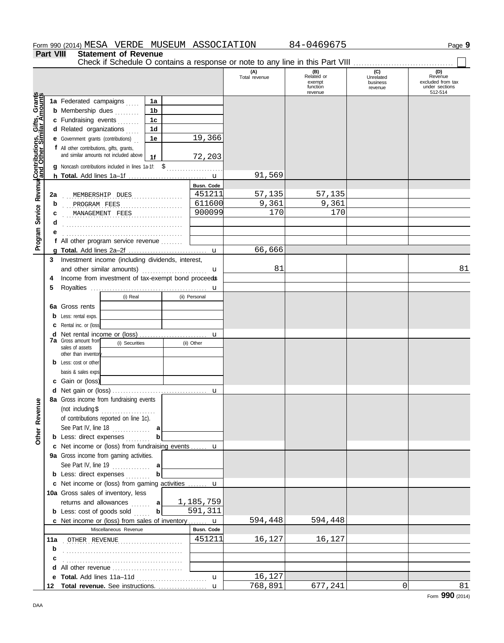|                                              | Part VIII         | <b>Statement of Revenue</b><br>Check if Schedule O contains a response or note to any line in this Part VIII                                                                                                                                                                                                                          |                                                 |                        |                                                    |                                         |                                                                  |
|----------------------------------------------|-------------------|---------------------------------------------------------------------------------------------------------------------------------------------------------------------------------------------------------------------------------------------------------------------------------------------------------------------------------------|-------------------------------------------------|------------------------|----------------------------------------------------|-----------------------------------------|------------------------------------------------------------------|
|                                              |                   |                                                                                                                                                                                                                                                                                                                                       |                                                 | (A)<br>Total revenue   | (B)<br>Related or<br>exempt<br>function<br>revenue | (C)<br>Unrelated<br>business<br>revenue | (D)<br>Revenue<br>excluded from tax<br>under sections<br>512-514 |
| Service Revenue Contributions, Gifts, Grants |                   | 1a Federated campaigns<br>1a<br><b>b</b> Membership dues<br>1b<br>c Fundraising events<br>1c<br>d Related organizations<br>1d<br><b>e</b> Government grants (contributions)<br>1е<br>f All other contributions, gifts, grants,<br>and similar amounts not included above<br>1f<br>g Noncash contributions included in lines 1a-1f: \$ | 19,366<br>72,203                                |                        |                                                    |                                         |                                                                  |
|                                              |                   |                                                                                                                                                                                                                                                                                                                                       |                                                 | 91,569                 |                                                    |                                         |                                                                  |
|                                              | 2a<br>b<br>С<br>d | MEMBERSHIP DUES<br>.<br>PROGRAM FEES<br>MANAGEMENT FEES<br>.                                                                                                                                                                                                                                                                          | <b>Busn. Code</b><br>451211<br>611600<br>900099 | 57,135<br>9,361<br>170 | 57,135<br>9,361<br>170                             |                                         |                                                                  |
| Program                                      |                   | f All other program service revenue                                                                                                                                                                                                                                                                                                   |                                                 | 66,666                 |                                                    |                                         |                                                                  |
|                                              | 3<br>4            | Investment income (including dividends, interest,<br>and other similar amounts)<br>.<br>Income from investment of tax-exempt bond proceeds                                                                                                                                                                                            | u                                               | 81                     |                                                    |                                         | 81                                                               |
| Other Revenue                                | 5<br>6а<br>d      | (i) Real<br>Gross rents<br>Less: rental exps.<br>Rental inc. or (loss)<br><b>7a</b> Gross amount from<br>(i) Securities<br>sales of assets<br>other than inventor<br>Less: cost or other<br>basis & sales exps.<br>c Gain or (loss)                                                                                                   | u<br>(ii) Personal<br>u<br>(ii) Other           |                        |                                                    |                                         |                                                                  |
|                                              |                   | 8a Gross income from fundraising events<br>(not including $$$<br>.<br>of contributions reported on line 1c).<br>See Part IV, line 18 $\ldots$<br>а<br><b>b</b> Less: direct expenses<br>b                                                                                                                                             |                                                 |                        |                                                    |                                         |                                                                  |
|                                              |                   | c Net income or (loss) from fundraising events  u                                                                                                                                                                                                                                                                                     |                                                 |                        |                                                    |                                         |                                                                  |
|                                              |                   | 9a Gross income from gaming activities.<br><b>b</b> Less: direct expenses<br>b                                                                                                                                                                                                                                                        |                                                 |                        |                                                    |                                         |                                                                  |
|                                              |                   | c Net income or (loss) from gaming activities  u<br>10a Gross sales of inventory, less<br>returns and allowances  a<br>$\mathbf b$<br><b>b</b> Less: cost of goods sold                                                                                                                                                               | 1,185,759<br>591,311                            |                        |                                                    |                                         |                                                                  |
|                                              |                   | c Net income or (loss) from sales of inventory  u                                                                                                                                                                                                                                                                                     |                                                 | 594,448                | 594,448                                            |                                         |                                                                  |
|                                              |                   | Miscellaneous Revenue                                                                                                                                                                                                                                                                                                                 | Busn. Code<br>451211                            | 16,127                 | 16,127                                             |                                         |                                                                  |
|                                              | b<br>с            | 11a OTHER REVENUE                                                                                                                                                                                                                                                                                                                     |                                                 |                        |                                                    |                                         |                                                                  |
|                                              |                   |                                                                                                                                                                                                                                                                                                                                       |                                                 |                        |                                                    |                                         |                                                                  |
|                                              |                   | e Total. Add lines 11a-11d                                                                                                                                                                                                                                                                                                            | $\mathbf{u}$                                    | 16,127                 |                                                    |                                         |                                                                  |
|                                              |                   |                                                                                                                                                                                                                                                                                                                                       |                                                 | 768,891                | 677,241                                            | 0                                       | 81                                                               |

Form **990** (2014)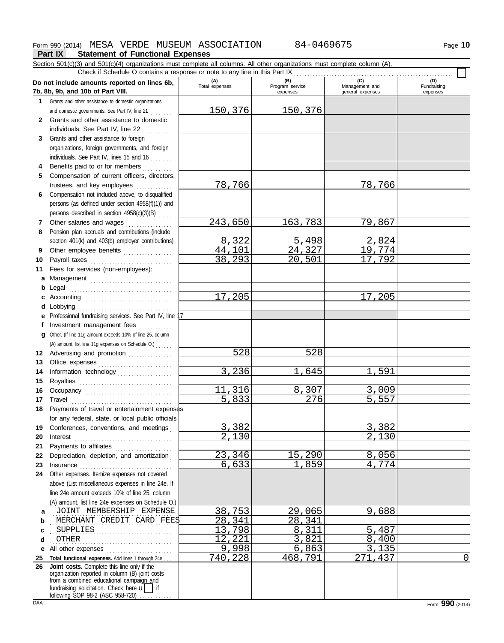## Form 990 (2014) Page **10** MESA VERDE MUSEUM ASSOCIATION 84-0469675

## **Part IX Statement of Functional Expenses**

Section 501(c)(3) and 501(c)(4) organizations must complete all columns. All other organizations must complete column (A). Check if Schedule O contains a response or note to any line in this Part IX . . . . . . . . . . . . . . . . . . . . . . . . . . . . . . . . . . . . . . . . . . . . . . . . . . . . . . . . . . .

|              | Do not include amounts reported on lines 6b,<br>7b, 8b, 9b, and 10b of Part VIII.                                                                                                                                              | (A)<br>Total expenses | (B)<br>Program service<br>expenses | (C)<br>Management and<br>general expenses | (D)<br>Fundraising<br>expenses |
|--------------|--------------------------------------------------------------------------------------------------------------------------------------------------------------------------------------------------------------------------------|-----------------------|------------------------------------|-------------------------------------------|--------------------------------|
| 1.           | Grants and other assistance to domestic organizations                                                                                                                                                                          |                       |                                    |                                           |                                |
|              | and domestic governments. See Part IV, line 21                                                                                                                                                                                 | 150,376               | 150,376                            |                                           |                                |
| $\mathbf{2}$ | Grants and other assistance to domestic                                                                                                                                                                                        |                       |                                    |                                           |                                |
|              | individuals. See Part IV, line 22                                                                                                                                                                                              |                       |                                    |                                           |                                |
| 3            | Grants and other assistance to foreign                                                                                                                                                                                         |                       |                                    |                                           |                                |
|              | organizations, foreign governments, and foreign                                                                                                                                                                                |                       |                                    |                                           |                                |
|              |                                                                                                                                                                                                                                |                       |                                    |                                           |                                |
|              | individuals. See Part IV, lines 15 and 16                                                                                                                                                                                      |                       |                                    |                                           |                                |
| 4            | Benefits paid to or for members                                                                                                                                                                                                |                       |                                    |                                           |                                |
| 5            | Compensation of current officers, directors,                                                                                                                                                                                   |                       |                                    |                                           |                                |
|              | trustees, and key employees                                                                                                                                                                                                    | 78,766                |                                    | <u>78,766</u>                             |                                |
| 6            | Compensation not included above, to disqualified                                                                                                                                                                               |                       |                                    |                                           |                                |
|              | persons (as defined under section 4958(f)(1)) and                                                                                                                                                                              |                       |                                    |                                           |                                |
|              | persons described in section 4958(c)(3)(B)                                                                                                                                                                                     |                       |                                    |                                           |                                |
| 7            | Other salaries and wages                                                                                                                                                                                                       | 243,650               | 163,783                            | 79,867                                    |                                |
| 8            | Pension plan accruals and contributions (include                                                                                                                                                                               |                       |                                    |                                           |                                |
|              | section 401(k) and 403(b) employer contributions)                                                                                                                                                                              | 8,322                 | 5,498                              | 2,824                                     |                                |
| 9            | Other employee benefits                                                                                                                                                                                                        | 44,101                | 24,327                             | 19,774                                    |                                |
| 10           | Payroll taxes                                                                                                                                                                                                                  | 38,293                | 20,501                             | 17,792                                    |                                |
| 11           | Fees for services (non-employees):                                                                                                                                                                                             |                       |                                    |                                           |                                |
| а            | Management                                                                                                                                                                                                                     |                       |                                    |                                           |                                |
| b            | Legal                                                                                                                                                                                                                          |                       |                                    |                                           |                                |
| c            | Accounting                                                                                                                                                                                                                     | 17,205                |                                    | 17,205                                    |                                |
| d            | Lobbying                                                                                                                                                                                                                       |                       |                                    |                                           |                                |
| е            | Professional fundraising services. See Part IV, line                                                                                                                                                                           |                       |                                    |                                           |                                |
| f            | Investment management fees                                                                                                                                                                                                     |                       |                                    |                                           |                                |
| a            | Other. (If line 11g amount exceeds 10% of line 25, column                                                                                                                                                                      |                       |                                    |                                           |                                |
|              | (A) amount, list line 11g expenses on Schedule O.)                                                                                                                                                                             |                       |                                    |                                           |                                |
| 12           | Advertising and promotion [1] [1] Advertising and promotion                                                                                                                                                                    | 528                   | 528                                |                                           |                                |
| 13           |                                                                                                                                                                                                                                |                       |                                    |                                           |                                |
| 14           | Information technology                                                                                                                                                                                                         | 3,236                 | 1,645                              | 1,591                                     |                                |
| 15           | Royalties                                                                                                                                                                                                                      |                       |                                    |                                           |                                |
| 16           | Occupancy                                                                                                                                                                                                                      | 11,316                | 8,307                              | 3,009                                     |                                |
| 17           | Travel                                                                                                                                                                                                                         | 5,833                 | 276                                | 5,557                                     |                                |
| 18           | Payments of travel or entertainment expenses                                                                                                                                                                                   |                       |                                    |                                           |                                |
|              | for any federal, state, or local public officials                                                                                                                                                                              |                       |                                    |                                           |                                |
|              | 19 Conferences, conventions, and meetings                                                                                                                                                                                      | 3,382                 |                                    | 3,382                                     |                                |
| 20           | Interest                                                                                                                                                                                                                       | 2,130                 |                                    | 2,130                                     |                                |
| 21           | Payments to affiliates [11] [11] Payments to affiliates                                                                                                                                                                        |                       |                                    |                                           |                                |
| 22           | Depreciation, depletion, and amortization                                                                                                                                                                                      | 23,346                | 15,290                             | 8,056                                     |                                |
| 23           | Insurance with a construction of the state of the state of the state of the state of the state of the state of the state of the state of the state of the state of the state of the state of the state of the state of the sta | 6,633                 | 1,859                              | 4,774                                     |                                |
| 24           | Other expenses. Itemize expenses not covered                                                                                                                                                                                   |                       |                                    |                                           |                                |
|              | above (List miscellaneous expenses in line 24e. If                                                                                                                                                                             |                       |                                    |                                           |                                |
|              | line 24e amount exceeds 10% of line 25, column                                                                                                                                                                                 |                       |                                    |                                           |                                |
|              | (A) amount, list line 24e expenses on Schedule O.)                                                                                                                                                                             |                       |                                    |                                           |                                |
| a            | JOINT MEMBERSHIP EXPENSE                                                                                                                                                                                                       | 38,753                | 29,065                             | 9,688                                     |                                |
| b            | MERCHANT CREDIT CARD FEES                                                                                                                                                                                                      | 28,341                | 28,341                             |                                           |                                |
| c            | SUPPLIES                                                                                                                                                                                                                       | 13,798                | 8,311                              | 5,487                                     |                                |
| d            | <b>OTHER</b>                                                                                                                                                                                                                   | 12,221                | 3,821                              | 8,400                                     |                                |
|              |                                                                                                                                                                                                                                | 9,998                 | 6,863                              | 3,135                                     |                                |
| е            | All other expenses                                                                                                                                                                                                             | 740,228               | 468,791                            | 271<br>,437                               | 0                              |
| 25<br>26     | Total functional expenses. Add lines 1 through 24e.<br>Joint costs. Complete this line only if the                                                                                                                             |                       |                                    |                                           |                                |
|              | organization reported in column (B) joint costs                                                                                                                                                                                |                       |                                    |                                           |                                |
|              | from a combined educational campaign and                                                                                                                                                                                       |                       |                                    |                                           |                                |
|              | fundraising solicitation. Check here $\mathbf{u}$   if                                                                                                                                                                         |                       |                                    |                                           |                                |
| DAA          | following SOP 98-2 (ASC 958-720)                                                                                                                                                                                               |                       |                                    |                                           | Form 990 (2014)                |
|              |                                                                                                                                                                                                                                |                       |                                    |                                           |                                |

L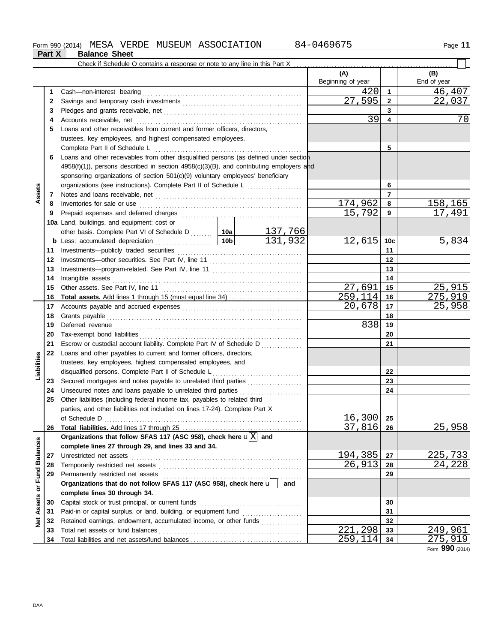**Part X Balance Sheet**

|                  |    | Check if Schedule O contains a response or note to any line in this Part X $\ldots$              |         |                          |                 |                    |
|------------------|----|--------------------------------------------------------------------------------------------------|---------|--------------------------|-----------------|--------------------|
|                  |    |                                                                                                  |         | (A)<br>Beginning of year |                 | (B)<br>End of year |
|                  | 1  | Cash-non-interest bearing                                                                        |         | 420                      | $\mathbf{1}$    | 46,407             |
|                  | 2  |                                                                                                  |         | 27,595                   | $\mathbf{2}$    | 22,037             |
|                  | З  |                                                                                                  |         |                          | 3               |                    |
|                  | 4  |                                                                                                  |         | 39                       | 4               | 70                 |
|                  | 5  | Loans and other receivables from current and former officers, directors,                         |         |                          |                 |                    |
|                  |    | trustees, key employees, and highest compensated employees.                                      |         |                          |                 |                    |
|                  |    | Complete Part II of Schedule L                                                                   |         |                          | 5               |                    |
|                  | 6  | Loans and other receivables from other disqualified persons (as defined under section            |         |                          |                 |                    |
|                  |    | $4958(f)(1)$ , persons described in section $4958(c)(3)(B)$ , and contributing employers and     |         |                          |                 |                    |
|                  |    | sponsoring organizations of section 501(c)(9) voluntary employees' beneficiary                   |         |                          |                 |                    |
|                  |    |                                                                                                  |         |                          | 6               |                    |
| Assets           |    |                                                                                                  |         |                          | $\overline{7}$  |                    |
|                  | 7  |                                                                                                  |         |                          |                 |                    |
|                  | 8  |                                                                                                  |         | 174,962                  | 8               | 158,165            |
|                  | 9  |                                                                                                  |         | 15,792                   | 9               | 17, 491            |
|                  |    | 10a Land, buildings, and equipment: cost or                                                      |         |                          |                 |                    |
|                  |    | other basis. Complete Part VI of Schedule D    10a   137, 766                                    |         |                          |                 |                    |
|                  |    | <u>  10b</u><br><b>b</b> Less: accumulated depreciation                                          | 131,932 | 12,615                   | 10 <sub>c</sub> | 5,834              |
|                  | 11 |                                                                                                  |         | 11                       |                 |                    |
|                  | 12 |                                                                                                  |         | 12                       |                 |                    |
|                  | 13 |                                                                                                  |         | 13                       |                 |                    |
|                  | 14 | Intangible assets                                                                                |         | 14                       |                 |                    |
|                  | 15 |                                                                                                  |         | 27,691                   | 15              | 25,915             |
|                  | 16 |                                                                                                  |         | 259,114                  | 16              | 275,919            |
|                  | 17 |                                                                                                  |         | 20,678                   | 17              | 25,958             |
|                  | 18 |                                                                                                  |         |                          | 18              |                    |
|                  | 19 |                                                                                                  | 838     | 19                       |                 |                    |
|                  | 20 |                                                                                                  |         |                          | 20              |                    |
|                  | 21 | Escrow or custodial account liability. Complete Part IV of Schedule D                            |         |                          | 21              |                    |
|                  | 22 | Loans and other payables to current and former officers, directors,                              |         |                          |                 |                    |
| Liabilities      |    | trustees, key employees, highest compensated employees, and                                      |         |                          |                 |                    |
|                  |    | disqualified persons. Complete Part II of Schedule L                                             |         |                          | 22              |                    |
|                  | 23 | Secured mortgages and notes payable to unrelated third parties                                   |         |                          | 23              |                    |
|                  | 24 | Unsecured notes and loans payable to unrelated third parties                                     |         |                          | 24              |                    |
|                  | 25 | Other liabilities (including federal income tax, payables to related third                       |         |                          |                 |                    |
|                  |    | parties, and other liabilities not included on lines 17-24). Complete Part X                     |         |                          |                 |                    |
|                  |    |                                                                                                  |         | 16,300                   | 25              |                    |
|                  | 26 |                                                                                                  |         | 37,816                   | 26              | 25,958             |
|                  |    | Organizations that follow SFAS 117 (ASC 958), check here $\mathbf{u} \overline{\mathbf{X}} $ and |         |                          |                 |                    |
|                  |    | complete lines 27 through 29, and lines 33 and 34.                                               |         |                          |                 |                    |
|                  | 27 | Unrestricted net assets                                                                          |         | 194,385                  | 27              | 225,733            |
|                  | 28 |                                                                                                  |         | 26,913                   | 28              | <u>24,228</u>      |
|                  | 29 | Permanently restricted net assets                                                                |         |                          | 29              |                    |
| or Fund Balances |    | Organizations that do not follow SFAS 117 (ASC 958), check here $\mathbf{u}$                     | and     |                          |                 |                    |
|                  |    | complete lines 30 through 34.                                                                    |         |                          |                 |                    |
|                  | 30 | Capital stock or trust principal, or current funds                                               |         |                          | 30              |                    |
| Assets           | 31 |                                                                                                  |         |                          | 31              |                    |
| $\frac{1}{2}$    | 32 | Retained earnings, endowment, accumulated income, or other funds                                 |         |                          | 32              |                    |
|                  | 33 |                                                                                                  |         | 221, 298                 | 33              | 249,961            |
|                  | 34 |                                                                                                  |         | <u>259,114</u>           | 34              | <u>275,919</u>     |
|                  |    |                                                                                                  |         |                          |                 |                    |

Form **990** (2014)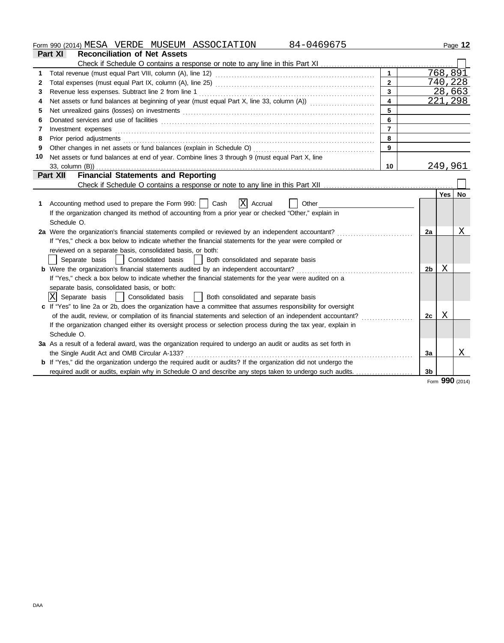Form 990 (2014) Page **12** MESA VERDE MUSEUM ASSOCIATION 84-0469675

|    | Part XI<br><b>Reconciliation of Net Assets</b>                                                                                                                                                                                                                                                                                                                                                                                                                                          |                         |                |          |                 |
|----|-----------------------------------------------------------------------------------------------------------------------------------------------------------------------------------------------------------------------------------------------------------------------------------------------------------------------------------------------------------------------------------------------------------------------------------------------------------------------------------------|-------------------------|----------------|----------|-----------------|
|    | Check if Schedule O contains a response or note to any line in this Part XI                                                                                                                                                                                                                                                                                                                                                                                                             |                         |                |          |                 |
| 1  |                                                                                                                                                                                                                                                                                                                                                                                                                                                                                         | $\mathbf{1}$            |                | 768, 891 |                 |
| 2  |                                                                                                                                                                                                                                                                                                                                                                                                                                                                                         | $\mathbf{2}$            |                |          | 740,228         |
| 3  | Revenue less expenses. Subtract line 2 from line 1                                                                                                                                                                                                                                                                                                                                                                                                                                      | $\overline{3}$          | 28,663         |          |                 |
| 4  | Net assets or fund balances at beginning of year (must equal Part X, line 33, column (A))                                                                                                                                                                                                                                                                                                                                                                                               | $\overline{\mathbf{4}}$ | 221,298        |          |                 |
| 5  | Net unrealized gains (losses) on investments [11] match and the contract of the state of the state of the state of the state of the state of the state of the state of the state of the state of the state of the state of the                                                                                                                                                                                                                                                          |                         |                |          |                 |
| 6  |                                                                                                                                                                                                                                                                                                                                                                                                                                                                                         | 6                       |                |          |                 |
| 7  | $Investment \textit{ expenses} \textit{________} \label{ex:ex:ex:1} \begin{minipage}[c]{0.9\linewidth} \textit{Investment} \textit{expenses} \end{minipage} \begin{minipage}[c]{0.9\linewidth} \textit{ex:1} & \textit{if} \textit{if} \textit{if} \textit{if} \textit{if} \textit{if} \textit{if} \textit{if} \textit{if} \textit{if} \textit{if} \textit{if} \textit{if} \textit{if} \textit{if} \textit{if} \textit{if} \textit{if} \textit{if} \textit{if} \textit{if} \textit{if}$ | $\overline{7}$          |                |          |                 |
| 8  | Prior period adjustments [11, 12] and the contract of the contract of the contract of the contract of the contract of the contract of the contract of the contract of the contract of the contract of the contract of the cont                                                                                                                                                                                                                                                          | 8                       |                |          |                 |
| 9  |                                                                                                                                                                                                                                                                                                                                                                                                                                                                                         | 9                       |                |          |                 |
| 10 | Net assets or fund balances at end of year. Combine lines 3 through 9 (must equal Part X, line                                                                                                                                                                                                                                                                                                                                                                                          |                         |                |          |                 |
|    |                                                                                                                                                                                                                                                                                                                                                                                                                                                                                         | 10                      |                | 249,961  |                 |
|    | <b>Financial Statements and Reporting</b><br>Part XII                                                                                                                                                                                                                                                                                                                                                                                                                                   |                         |                |          |                 |
|    |                                                                                                                                                                                                                                                                                                                                                                                                                                                                                         |                         |                |          |                 |
|    |                                                                                                                                                                                                                                                                                                                                                                                                                                                                                         |                         |                | Yes      | No              |
| 1  | X Accrual<br>Accounting method used to prepare the Form 990:     Cash<br>Other                                                                                                                                                                                                                                                                                                                                                                                                          |                         |                |          |                 |
|    | If the organization changed its method of accounting from a prior year or checked "Other," explain in                                                                                                                                                                                                                                                                                                                                                                                   |                         |                |          |                 |
|    | Schedule O.                                                                                                                                                                                                                                                                                                                                                                                                                                                                             |                         |                |          |                 |
|    | 2a Were the organization's financial statements compiled or reviewed by an independent accountant?                                                                                                                                                                                                                                                                                                                                                                                      |                         | 2a             |          | Χ               |
|    | If "Yes," check a box below to indicate whether the financial statements for the year were compiled or                                                                                                                                                                                                                                                                                                                                                                                  |                         |                |          |                 |
|    | reviewed on a separate basis, consolidated basis, or both:                                                                                                                                                                                                                                                                                                                                                                                                                              |                         |                |          |                 |
|    | Separate basis   Consolidated basis<br>  Both consolidated and separate basis                                                                                                                                                                                                                                                                                                                                                                                                           |                         |                |          |                 |
|    | b Were the organization's financial statements audited by an independent accountant?                                                                                                                                                                                                                                                                                                                                                                                                    |                         | 2b.            | Χ        |                 |
|    | If "Yes," check a box below to indicate whether the financial statements for the year were audited on a                                                                                                                                                                                                                                                                                                                                                                                 |                         |                |          |                 |
|    | separate basis, consolidated basis, or both:                                                                                                                                                                                                                                                                                                                                                                                                                                            |                         |                |          |                 |
|    | IxI<br>Separate basis<br>  Consolidated basis<br>  Both consolidated and separate basis                                                                                                                                                                                                                                                                                                                                                                                                 |                         |                |          |                 |
|    | c If "Yes" to line 2a or 2b, does the organization have a committee that assumes responsibility for oversight                                                                                                                                                                                                                                                                                                                                                                           |                         |                |          |                 |
|    |                                                                                                                                                                                                                                                                                                                                                                                                                                                                                         |                         | 2c             | X        |                 |
|    | If the organization changed either its oversight process or selection process during the tax year, explain in                                                                                                                                                                                                                                                                                                                                                                           |                         |                |          |                 |
|    | Schedule O.                                                                                                                                                                                                                                                                                                                                                                                                                                                                             |                         |                |          |                 |
|    | 3a As a result of a federal award, was the organization required to undergo an audit or audits as set forth in                                                                                                                                                                                                                                                                                                                                                                          |                         |                |          |                 |
|    | the Single Audit Act and OMB Circular A-133?                                                                                                                                                                                                                                                                                                                                                                                                                                            |                         | 3a             |          | Χ               |
|    | <b>b</b> If "Yes," did the organization undergo the required audit or audits? If the organization did not undergo the                                                                                                                                                                                                                                                                                                                                                                   |                         |                |          |                 |
|    | required audit or audits, explain why in Schedule O and describe any steps taken to undergo such audits.                                                                                                                                                                                                                                                                                                                                                                                |                         | 3 <sub>b</sub> |          |                 |
|    |                                                                                                                                                                                                                                                                                                                                                                                                                                                                                         |                         |                |          | Form 990 (2014) |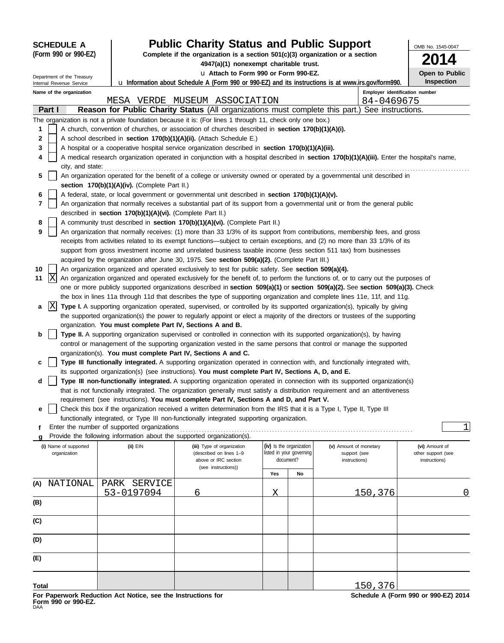|       | <b>SCHEDULE A</b>                                      |                                                                        | <b>Public Charity Status and Public Support</b>                                                                         |     |                                                                                                            |                                                                                                                                                                                                                                                                       | OMB No. 1545-0047                    |
|-------|--------------------------------------------------------|------------------------------------------------------------------------|-------------------------------------------------------------------------------------------------------------------------|-----|------------------------------------------------------------------------------------------------------------|-----------------------------------------------------------------------------------------------------------------------------------------------------------------------------------------------------------------------------------------------------------------------|--------------------------------------|
|       | (Form 990 or 990-EZ)                                   |                                                                        | Complete if the organization is a section $501(c)(3)$ organization or a section                                         |     |                                                                                                            |                                                                                                                                                                                                                                                                       |                                      |
|       |                                                        |                                                                        | 4947(a)(1) nonexempt charitable trust.<br>u Attach to Form 990 or Form 990-EZ.                                          |     |                                                                                                            |                                                                                                                                                                                                                                                                       | Open to Public                       |
|       | Department of the Treasury<br>Internal Revenue Service |                                                                        |                                                                                                                         |     | <b>u</b> Information about Schedule A (Form 990 or 990-EZ) and its instructions is at www.irs.gov/form990. | <b>Inspection</b>                                                                                                                                                                                                                                                     |                                      |
|       | Name of the organization                               |                                                                        |                                                                                                                         |     |                                                                                                            | Employer identification number                                                                                                                                                                                                                                        |                                      |
|       |                                                        |                                                                        | MESA VERDE MUSEUM ASSOCIATION                                                                                           |     |                                                                                                            | 84-0469675                                                                                                                                                                                                                                                            |                                      |
|       | Part I                                                 |                                                                        |                                                                                                                         |     |                                                                                                            | <b>Reason for Public Charity Status</b> (All organizations must complete this part.) See instructions.                                                                                                                                                                |                                      |
|       |                                                        |                                                                        | The organization is not a private foundation because it is: (For lines 1 through 11, check only one box.)               |     |                                                                                                            |                                                                                                                                                                                                                                                                       |                                      |
| 1     |                                                        |                                                                        | A church, convention of churches, or association of churches described in section 170(b)(1)(A)(i).                      |     |                                                                                                            |                                                                                                                                                                                                                                                                       |                                      |
| 2     |                                                        |                                                                        | A school described in section 170(b)(1)(A)(ii). (Attach Schedule E.)                                                    |     |                                                                                                            |                                                                                                                                                                                                                                                                       |                                      |
| 3     |                                                        |                                                                        | A hospital or a cooperative hospital service organization described in section 170(b)(1)(A)(iii).                       |     |                                                                                                            |                                                                                                                                                                                                                                                                       |                                      |
| 4     |                                                        |                                                                        |                                                                                                                         |     |                                                                                                            | A medical research organization operated in conjunction with a hospital described in section 170(b)(1)(A)(iii). Enter the hospital's name,                                                                                                                            |                                      |
| 5     | city, and state:                                       |                                                                        |                                                                                                                         |     |                                                                                                            | An organization operated for the benefit of a college or university owned or operated by a governmental unit described in                                                                                                                                             |                                      |
|       |                                                        | section 170(b)(1)(A)(iv). (Complete Part II.)                          |                                                                                                                         |     |                                                                                                            |                                                                                                                                                                                                                                                                       |                                      |
| 6     |                                                        |                                                                        | A federal, state, or local government or governmental unit described in section 170(b)(1)(A)(v).                        |     |                                                                                                            |                                                                                                                                                                                                                                                                       |                                      |
| 7     |                                                        |                                                                        |                                                                                                                         |     |                                                                                                            | An organization that normally receives a substantial part of its support from a governmental unit or from the general public                                                                                                                                          |                                      |
|       |                                                        | described in section 170(b)(1)(A)(vi). (Complete Part II.)             |                                                                                                                         |     |                                                                                                            |                                                                                                                                                                                                                                                                       |                                      |
| 8     |                                                        |                                                                        | A community trust described in section 170(b)(1)(A)(vi). (Complete Part II.)                                            |     |                                                                                                            |                                                                                                                                                                                                                                                                       |                                      |
| 9     |                                                        |                                                                        |                                                                                                                         |     |                                                                                                            | An organization that normally receives: (1) more than 33 1/3% of its support from contributions, membership fees, and gross                                                                                                                                           |                                      |
|       |                                                        |                                                                        |                                                                                                                         |     |                                                                                                            | receipts from activities related to its exempt functions—subject to certain exceptions, and (2) no more than 33 1/3% of its                                                                                                                                           |                                      |
|       |                                                        |                                                                        |                                                                                                                         |     |                                                                                                            | support from gross investment income and unrelated business taxable income (less section 511 tax) from businesses                                                                                                                                                     |                                      |
|       |                                                        |                                                                        | acquired by the organization after June 30, 1975. See section 509(a)(2). (Complete Part III.)                           |     |                                                                                                            |                                                                                                                                                                                                                                                                       |                                      |
| 10    |                                                        |                                                                        | An organization organized and operated exclusively to test for public safety. See section 509(a)(4).                    |     |                                                                                                            |                                                                                                                                                                                                                                                                       |                                      |
| 11    | X                                                      |                                                                        |                                                                                                                         |     |                                                                                                            | An organization organized and operated exclusively for the benefit of, to perform the functions of, or to carry out the purposes of<br>one or more publicly supported organizations described in section 509(a)(1) or section 509(a)(2). See section 509(a)(3). Check |                                      |
|       |                                                        |                                                                        |                                                                                                                         |     |                                                                                                            | the box in lines 11a through 11d that describes the type of supporting organization and complete lines 11e, 11f, and 11g.                                                                                                                                             |                                      |
| a     | X                                                      |                                                                        |                                                                                                                         |     |                                                                                                            | Type I. A supporting organization operated, supervised, or controlled by its supported organization(s), typically by giving                                                                                                                                           |                                      |
|       |                                                        |                                                                        |                                                                                                                         |     |                                                                                                            | the supported organization(s) the power to regularly appoint or elect a majority of the directors or trustees of the supporting                                                                                                                                       |                                      |
|       |                                                        | organization. You must complete Part IV, Sections A and B.             |                                                                                                                         |     |                                                                                                            |                                                                                                                                                                                                                                                                       |                                      |
| b     |                                                        |                                                                        |                                                                                                                         |     |                                                                                                            | Type II. A supporting organization supervised or controlled in connection with its supported organization(s), by having                                                                                                                                               |                                      |
|       |                                                        |                                                                        |                                                                                                                         |     |                                                                                                            | control or management of the supporting organization vested in the same persons that control or manage the supported                                                                                                                                                  |                                      |
|       |                                                        | organization(s). You must complete Part IV, Sections A and C.          |                                                                                                                         |     |                                                                                                            |                                                                                                                                                                                                                                                                       |                                      |
| с     |                                                        |                                                                        |                                                                                                                         |     |                                                                                                            | Type III functionally integrated. A supporting organization operated in connection with, and functionally integrated with,                                                                                                                                            |                                      |
|       |                                                        |                                                                        | its supported organization(s) (see instructions). You must complete Part IV, Sections A, D, and E.                      |     |                                                                                                            |                                                                                                                                                                                                                                                                       |                                      |
| d     |                                                        |                                                                        |                                                                                                                         |     |                                                                                                            | Type III non-functionally integrated. A supporting organization operated in connection with its supported organization(s)<br>that is not functionally integrated. The organization generally must satisfy a distribution requirement and an attentiveness             |                                      |
|       |                                                        |                                                                        | requirement (see instructions). You must complete Part IV, Sections A and D, and Part V.                                |     |                                                                                                            |                                                                                                                                                                                                                                                                       |                                      |
| е     |                                                        |                                                                        | Check this box if the organization received a written determination from the IRS that it is a Type I, Type II, Type III |     |                                                                                                            |                                                                                                                                                                                                                                                                       |                                      |
|       |                                                        |                                                                        | functionally integrated, or Type III non-functionally integrated supporting organization.                               |     |                                                                                                            |                                                                                                                                                                                                                                                                       |                                      |
|       |                                                        | Enter the number of supported organizations                            |                                                                                                                         |     |                                                                                                            |                                                                                                                                                                                                                                                                       | $\mathbf 1$                          |
|       |                                                        | Provide the following information about the supported organization(s). |                                                                                                                         |     |                                                                                                            |                                                                                                                                                                                                                                                                       |                                      |
|       | (i) Name of supported                                  | (ii) EIN                                                               | (iii) Type of organization                                                                                              |     | (iv) Is the organization                                                                                   | (v) Amount of monetary                                                                                                                                                                                                                                                | (vi) Amount of                       |
|       | organization                                           |                                                                        | (described on lines 1-9<br>above or IRC section                                                                         |     | listed in your governing<br>document?                                                                      | support (see<br>instructions)                                                                                                                                                                                                                                         | other support (see<br>instructions)  |
|       |                                                        |                                                                        | (see instructions))                                                                                                     |     |                                                                                                            |                                                                                                                                                                                                                                                                       |                                      |
|       |                                                        | SERVICE<br><b>PARK</b>                                                 |                                                                                                                         | Yes | No                                                                                                         |                                                                                                                                                                                                                                                                       |                                      |
| (A)   | NATIONAL                                               | 53-0197094                                                             | 6                                                                                                                       | Χ   |                                                                                                            | 150,376                                                                                                                                                                                                                                                               | 0                                    |
| (B)   |                                                        |                                                                        |                                                                                                                         |     |                                                                                                            |                                                                                                                                                                                                                                                                       |                                      |
|       |                                                        |                                                                        |                                                                                                                         |     |                                                                                                            |                                                                                                                                                                                                                                                                       |                                      |
| (C)   |                                                        |                                                                        |                                                                                                                         |     |                                                                                                            |                                                                                                                                                                                                                                                                       |                                      |
|       |                                                        |                                                                        |                                                                                                                         |     |                                                                                                            |                                                                                                                                                                                                                                                                       |                                      |
| (D)   |                                                        |                                                                        |                                                                                                                         |     |                                                                                                            |                                                                                                                                                                                                                                                                       |                                      |
| (E)   |                                                        |                                                                        |                                                                                                                         |     |                                                                                                            |                                                                                                                                                                                                                                                                       |                                      |
|       |                                                        |                                                                        |                                                                                                                         |     |                                                                                                            |                                                                                                                                                                                                                                                                       |                                      |
| Total |                                                        |                                                                        |                                                                                                                         |     |                                                                                                            | 150,376                                                                                                                                                                                                                                                               |                                      |
|       |                                                        | For Paperwork Reduction Act Notice, see the Instructions for           |                                                                                                                         |     |                                                                                                            |                                                                                                                                                                                                                                                                       | Schedule A (Form 990 or 990-EZ) 2014 |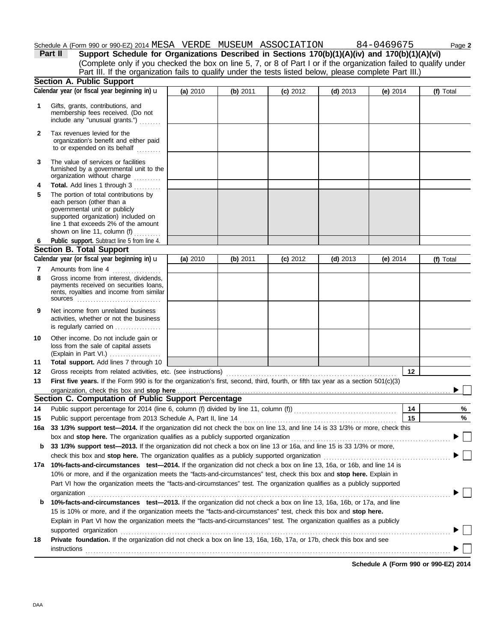## Schedule A (Form 990 or 990-EZ) 2014 MESA VERDE MUSEUM ASSOCIATION 84-0469675 Page 2

**Section A. Public Support** organization's benefit and either paid Tax revenues levied for the include any "unusual grants.") . . . . . . . . membership fees received. (Do not Gifts, grants, contributions, and **2 1 (a)** 2010 **(b)** 2011 **(c)** 2012 **(d)** 2013 **(e)** 2014 (Complete only if you checked the box on line 5, 7, or 8 of Part I or if the organization failed to qualify under **Part II Support Schedule for Organizations Described in Sections 170(b)(1)(A)(iv) and 170(b)(1)(A)(vi) Calendar year (or fiscal year beginning in)**  $\mathbf{u}$  **(a) 2010 (b) 2011 (c) 2012 (d) 2013 (e) 2014 (f) Total** Part III. If the organization fails to qualify under the tests listed below, please complete Part III.)

|   | to or expended on its behalf<br>.                                                                             |
|---|---------------------------------------------------------------------------------------------------------------|
| 3 | The value of services or facilities<br>furnished by a governmental unit to the<br>organization without charge |

|   | <b>Total.</b> Add lines 1 through 3   |
|---|---------------------------------------|
| 5 | The portion of total contributions by |
|   | each person (other than a             |
|   | governmental unit or publicly         |
|   | supported organization) included on   |
|   | line 1 that exceeds 2% of the amount  |
|   | shown on line 11, column (f)          |
|   |                                       |

**6**

#### (Explain in Part VI.) . . . . . . . . . . . . . . . . . . . **Total support.** Add lines 7 through 10 loss from the sale of capital assets Other income. Do not include gain or is regularly carried on ................. activities, whether or not the business Net income from unrelated business rents, royalties and income from similar payments received on securities loans, Gross income from interest, dividends, Gross receipts from related activities, etc. (see instructions) . . . . . . . . . . . . . . . . . . . . . . . . . . . . . . . . . . . . . . . . . . . . . . . . . . . . . . . . . . . . . . . Amounts from line 4 ......... **Public support.** Subtract line 5 from line 4. **12 11 9 8 Section B. Total Support 7** sources **10 12** Calendar year (or fiscal year beginning in)  $\mathbf{u}$  (a) 2010 (b) 2011 (c) 2012 (d) 2013 (e) 2014 (f) Total **(a)** 2010 **(b)** 2011 **(c)** 2012 **(d)** 2013 **(e)** 2014

First five years. If the Form 990 is for the organization's first, second, third, fourth, or fifth tax year as a section 501(c)(3) **13**

|     | organization, check this box and stop here <i>manufactoromana content content to the</i> state of the state of the state of the state of the state of the state of the state of the state of the state of the state of the state of |    |   |  |  |  |  |  |
|-----|-------------------------------------------------------------------------------------------------------------------------------------------------------------------------------------------------------------------------------------|----|---|--|--|--|--|--|
|     | Section C. Computation of Public Support Percentage                                                                                                                                                                                 |    |   |  |  |  |  |  |
| 14  | Public support percentage for 2014 (line 6, column (f) divided by line 11, column (f)) [[[[[[[[[[[[[[[[[[[[[[                                                                                                                       | 14 | % |  |  |  |  |  |
| 15  | Public support percentage from 2013 Schedule A, Part II, line 14                                                                                                                                                                    | 15 | % |  |  |  |  |  |
| 16a | 33 1/3% support test-2014. If the organization did not check the box on line 13, and line 14 is 33 1/3% or more, check this                                                                                                         |    |   |  |  |  |  |  |
|     | box and <b>stop here.</b> The organization qualifies as a publicly supported organization                                                                                                                                           |    |   |  |  |  |  |  |
| b   | 33 1/3% support test-2013. If the organization did not check a box on line 13 or 16a, and line 15 is 33 1/3% or more,                                                                                                               |    |   |  |  |  |  |  |
|     | check this box and stop here. The organization qualifies as a publicly supported organization                                                                                                                                       |    |   |  |  |  |  |  |
| 17a | 10%-facts-and-circumstances test-2014. If the organization did not check a box on line 13, 16a, or 16b, and line 14 is                                                                                                              |    |   |  |  |  |  |  |
|     | 10% or more, and if the organization meets the "facts-and-circumstances" test, check this box and <b>stop here.</b> Explain in                                                                                                      |    |   |  |  |  |  |  |
|     | Part VI how the organization meets the "facts-and-circumstances" test. The organization qualifies as a publicly supported                                                                                                           |    |   |  |  |  |  |  |
|     | organization                                                                                                                                                                                                                        |    |   |  |  |  |  |  |
| b   | 10%-facts-and-circumstances test-2013. If the organization did not check a box on line 13, 16a, 16b, or 17a, and line                                                                                                               |    |   |  |  |  |  |  |
|     | 15 is 10% or more, and if the organization meets the "facts-and-circumstances" test, check this box and <b>stop here.</b>                                                                                                           |    |   |  |  |  |  |  |
|     | Explain in Part VI how the organization meets the "facts-and-circumstances" test. The organization qualifies as a publicly                                                                                                          |    |   |  |  |  |  |  |
|     | supported organization                                                                                                                                                                                                              |    |   |  |  |  |  |  |
| 18  | <b>Private foundation.</b> If the organization did not check a box on line 13, 16a, 16b, 17a, or 17b, check this box and see                                                                                                        |    |   |  |  |  |  |  |
|     | instructions                                                                                                                                                                                                                        |    |   |  |  |  |  |  |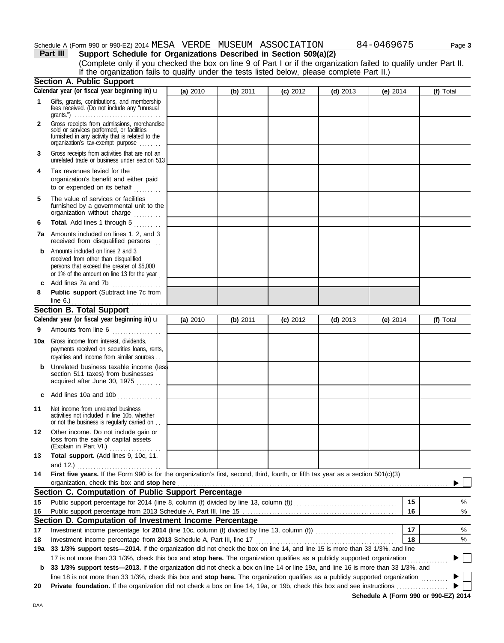|              | Schedule A (Form 990 or 990-EZ) 2014 MESA    VERDE    MUSEUM    ASSOCIATION                                                                                                                        |          |            |            |            | 84-0469675 | Page 3    |
|--------------|----------------------------------------------------------------------------------------------------------------------------------------------------------------------------------------------------|----------|------------|------------|------------|------------|-----------|
|              | Support Schedule for Organizations Described in Section 509(a)(2)<br>Part III<br>(Complete only if you checked the box on line 9 of Part I or if the organization failed to qualify under Part II. |          |            |            |            |            |           |
|              | If the organization fails to qualify under the tests listed below, please complete Part II.)                                                                                                       |          |            |            |            |            |           |
|              | <b>Section A. Public Support</b>                                                                                                                                                                   |          |            |            |            |            |           |
|              | Calendar year (or fiscal year beginning in) u                                                                                                                                                      | (a) 2010 | $(b)$ 2011 | (c) 2012   | $(d)$ 2013 | (e) $2014$ | (f) Total |
| 1            | Gifts, grants, contributions, and membership<br>fees received. (Do not include any "unusual                                                                                                        |          |            |            |            |            |           |
| $\mathbf{2}$ | Gross receipts from admissions, merchandise<br>sold or services performed, or facilities<br>furnished in any activity that is related to the<br>organization's tax-exempt purpose                  |          |            |            |            |            |           |
| 3            | Gross receipts from activities that are not an<br>unrelated trade or business under section 513                                                                                                    |          |            |            |            |            |           |
| 4            | Tax revenues levied for the<br>organization's benefit and either paid<br>to or expended on its behalf<br>.                                                                                         |          |            |            |            |            |           |
| 5            | The value of services or facilities<br>furnished by a governmental unit to the<br>organization without charge                                                                                      |          |            |            |            |            |           |
| 6            | Total. Add lines 1 through 5                                                                                                                                                                       |          |            |            |            |            |           |
|              | 7a Amounts included on lines 1, 2, and 3<br>received from disqualified persons                                                                                                                     |          |            |            |            |            |           |
| b            | Amounts included on lines 2 and 3<br>received from other than disqualified<br>persons that exceed the greater of \$5,000<br>or 1% of the amount on line 13 for the year                            |          |            |            |            |            |           |
| c            | Add lines 7a and 7b                                                                                                                                                                                |          |            |            |            |            |           |
| 8            | Public support (Subtract line 7c from                                                                                                                                                              |          |            |            |            |            |           |
|              | line $6.$ )<br><b>Section B. Total Support</b>                                                                                                                                                     |          |            |            |            |            |           |
|              | Calendar year (or fiscal year beginning in) u                                                                                                                                                      | (a) 2010 | $(b)$ 2011 | $(c)$ 2012 | $(d)$ 2013 | (e) $2014$ | (f) Total |
| 9            | Amounts from line 6                                                                                                                                                                                |          |            |            |            |            |           |
|              | <b>10a</b> Gross income from interest, dividends,<br>payments received on securities loans, rents,<br>royalties and income from similar sources                                                    |          |            |            |            |            |           |
|              | Unrelated business taxable income (less<br>section 511 taxes) from businesses<br>acquired after June 30, 1975                                                                                      |          |            |            |            |            |           |
| c            | Add lines 10a and 10b                                                                                                                                                                              |          |            |            |            |            |           |
| 11           | Net income from unrelated business<br>activities not included in line 10b, whether<br>or not the business is regularly carried on                                                                  |          |            |            |            |            |           |
| 12           | Other income. Do not include gain or<br>loss from the sale of capital assets<br>(Explain in Part VI.)                                                                                              |          |            |            |            |            |           |
| 13           | Total support. (Add lines 9, 10c, 11,<br>and 12.) $\ldots$                                                                                                                                         |          |            |            |            |            |           |
| 14           | First five years. If the Form 990 is for the organization's first, second, third, fourth, or fifth tax year as a section 501(c)(3)                                                                 |          |            |            |            |            |           |
|              | organization, check this box and stop here                                                                                                                                                         |          |            |            |            |            |           |
|              | Section C. Computation of Public Support Percentage                                                                                                                                                |          |            |            |            |            |           |
| 15           | Public support percentage for 2014 (line 8, column (f) divided by line 13, column (f)) [[[[[[[[[[[[[[[[[[[[[[                                                                                      |          |            |            |            | 15         | %         |
| 16           | Section D. Computation of Investment Income Percentage                                                                                                                                             |          |            |            |            | 16         | $\%$      |
| 17           | Investment income percentage for 2014 (line 10c, column (f) divided by line 13, column (f))                                                                                                        |          |            |            |            | 17         | %         |
|              |                                                                                                                                                                                                    |          |            |            |            |            |           |

**18** Investment income percentage for 2014 (line 10c, column (f) divided by line 13, column (f)) ..................... Investment income percentage from **2013** Schedule A, Part III, line 17 . . . . . . . . . . . . . . . . . . . . . . . . . . . . . . . . . . . . . . . . . . . . . . . . . . . .

**19a 33 1/3% support tests—2014.** If the organization did not check the box on line 14, and line 15 is more than 33 1/3%, and line 17 is not more than 33 1/3%, check this box and **stop here.** The organization qualifies as a publicly supported organization . . . . . . . . . . . . . . . ▶ **b 33 1/3% support tests—2013.** If the organization did not check a box on line 14 or line 19a, and line 16 is more than 33 1/3%, and

line 18 is not more than 33 1/3%, check this box and stop here. The organization qualifies as a publicly supported organization ......... 20 Private foundation. If the organization did not check a box on line 14, 19a, or 19b, check this box and see instructions

**Schedule A (Form 990 or 990-EZ) 2014**

**18**

%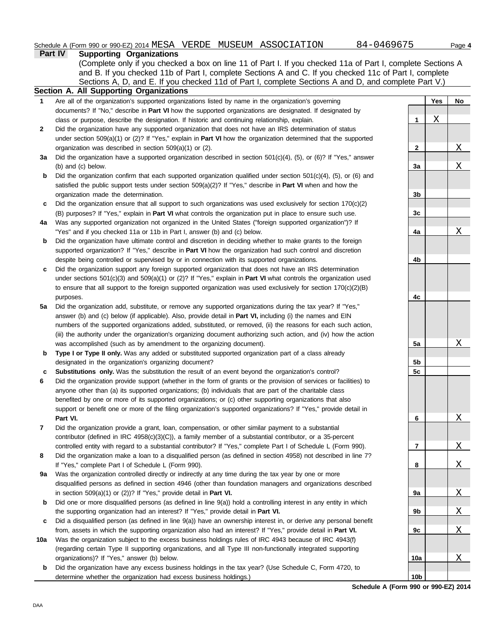|     | Part IV<br><b>Supporting Organizations</b>                                                                                 |                 |     |             |
|-----|----------------------------------------------------------------------------------------------------------------------------|-----------------|-----|-------------|
|     | (Complete only if you checked a box on line 11 of Part I. If you checked 11a of Part I, complete Sections A                |                 |     |             |
|     | and B. If you checked 11b of Part I, complete Sections A and C. If you checked 11c of Part I, complete                     |                 |     |             |
|     | Sections A, D, and E. If you checked 11d of Part I, complete Sections A and D, and complete Part V.)                       |                 |     |             |
|     | Section A. All Supporting Organizations                                                                                    |                 |     |             |
| 1   | Are all of the organization's supported organizations listed by name in the organization's governing                       |                 | Yes | No          |
|     | documents? If "No," describe in Part VI how the supported organizations are designated. If designated by                   |                 |     |             |
|     | class or purpose, describe the designation. If historic and continuing relationship, explain.                              | 1               | Χ   |             |
| 2   | Did the organization have any supported organization that does not have an IRS determination of status                     |                 |     |             |
|     |                                                                                                                            |                 |     |             |
|     | under section 509(a)(1) or (2)? If "Yes," explain in Part VI how the organization determined that the supported            |                 |     | Χ           |
|     | organization was described in section $509(a)(1)$ or (2).                                                                  | $\mathbf{2}$    |     |             |
| За  | Did the organization have a supported organization described in section $501(c)(4)$ , (5), or (6)? If "Yes," answer        |                 |     |             |
|     | (b) and (c) below.                                                                                                         | 3a              |     | Χ           |
| b   | Did the organization confirm that each supported organization qualified under section $501(c)(4)$ , (5), or (6) and        |                 |     |             |
|     | satisfied the public support tests under section $509(a)(2)$ ? If "Yes," describe in <b>Part VI</b> when and how the       |                 |     |             |
|     | organization made the determination.                                                                                       | 3b              |     |             |
| c   | Did the organization ensure that all support to such organizations was used exclusively for section 170(c)(2)              |                 |     |             |
|     | (B) purposes? If "Yes," explain in Part VI what controls the organization put in place to ensure such use.                 | 3c              |     |             |
| 4a  | Was any supported organization not organized in the United States ("foreign supported organization")? If                   |                 |     |             |
|     | "Yes" and if you checked 11a or 11b in Part I, answer (b) and (c) below.                                                   | 4a              |     | Χ           |
| b   | Did the organization have ultimate control and discretion in deciding whether to make grants to the foreign                |                 |     |             |
|     | supported organization? If "Yes," describe in Part VI how the organization had such control and discretion                 |                 |     |             |
|     | despite being controlled or supervised by or in connection with its supported organizations.                               | 4b              |     |             |
| c   | Did the organization support any foreign supported organization that does not have an IRS determination                    |                 |     |             |
|     | under sections $501(c)(3)$ and $509(a)(1)$ or (2)? If "Yes," explain in <b>Part VI</b> what controls the organization used |                 |     |             |
|     | to ensure that all support to the foreign supported organization was used exclusively for section $170(c)(2)(B)$           |                 |     |             |
|     | purposes.                                                                                                                  | 4c              |     |             |
| 5a  | Did the organization add, substitute, or remove any supported organizations during the tax year? If "Yes,"                 |                 |     |             |
|     | answer (b) and (c) below (if applicable). Also, provide detail in <b>Part VI</b> , including (i) the names and EIN         |                 |     |             |
|     | numbers of the supported organizations added, substituted, or removed, (ii) the reasons for each such action,              |                 |     |             |
|     | (iii) the authority under the organization's organizing document authorizing such action, and (iv) how the action          |                 |     |             |
|     | was accomplished (such as by amendment to the organizing document).                                                        | 5a              |     | Χ           |
| b   | Type I or Type II only. Was any added or substituted supported organization part of a class already                        |                 |     |             |
|     | designated in the organization's organizing document?                                                                      | 5b              |     |             |
| c   | Substitutions only. Was the substitution the result of an event beyond the organization's control?                         | 5c              |     |             |
| 6   | Did the organization provide support (whether in the form of grants or the provision of services or facilities) to         |                 |     |             |
|     | anyone other than (a) its supported organizations; (b) individuals that are part of the charitable class                   |                 |     |             |
|     | benefited by one or more of its supported organizations; or (c) other supporting organizations that also                   |                 |     |             |
|     | support or benefit one or more of the filing organization's supported organizations? If "Yes," provide detail in           |                 |     |             |
|     | Part VI.                                                                                                                   | 6               |     | Χ           |
| 7   | Did the organization provide a grant, loan, compensation, or other similar payment to a substantial                        |                 |     |             |
|     | contributor (defined in IRC 4958(c)(3)(C)), a family member of a substantial contributor, or a 35-percent                  |                 |     |             |
|     | controlled entity with regard to a substantial contributor? If "Yes," complete Part I of Schedule L (Form 990).            | $\overline{7}$  |     | $\mathbf X$ |
| 8   | Did the organization make a loan to a disqualified person (as defined in section 4958) not described in line 7?            |                 |     |             |
|     | If "Yes," complete Part I of Schedule L (Form 990).                                                                        | 8               |     | Χ           |
| 9a  | Was the organization controlled directly or indirectly at any time during the tax year by one or more                      |                 |     |             |
|     | disqualified persons as defined in section 4946 (other than foundation managers and organizations described                |                 |     |             |
|     | in section $509(a)(1)$ or $(2)$ ? If "Yes," provide detail in Part VI.                                                     | 9а              |     | X           |
| b   | Did one or more disqualified persons (as defined in line $9(a)$ ) hold a controlling interest in any entity in which       |                 |     |             |
|     | the supporting organization had an interest? If "Yes," provide detail in Part VI.                                          | 9b              |     | <u>х</u>    |
| c   | Did a disqualified person (as defined in line 9(a)) have an ownership interest in, or derive any personal benefit          |                 |     |             |
|     | from, assets in which the supporting organization also had an interest? If "Yes," provide detail in Part VI.               | 9c              |     | Χ           |
| 10a | Was the organization subject to the excess business holdings rules of IRC 4943 because of IRC 4943(f)                      |                 |     |             |
|     | (regarding certain Type II supporting organizations, and all Type III non-functionally integrated supporting               |                 |     |             |
|     | organizations)? If "Yes," answer (b) below.                                                                                | 10a             |     | Χ           |
| b   | Did the organization have any excess business holdings in the tax year? (Use Schedule C, Form 4720, to                     |                 |     |             |
|     | determine whether the organization had excess business holdings.)                                                          | 10 <sub>b</sub> |     |             |

**Schedule A (Form 990 or 990-EZ) 2014**

determine whether the organization had excess business holdings.)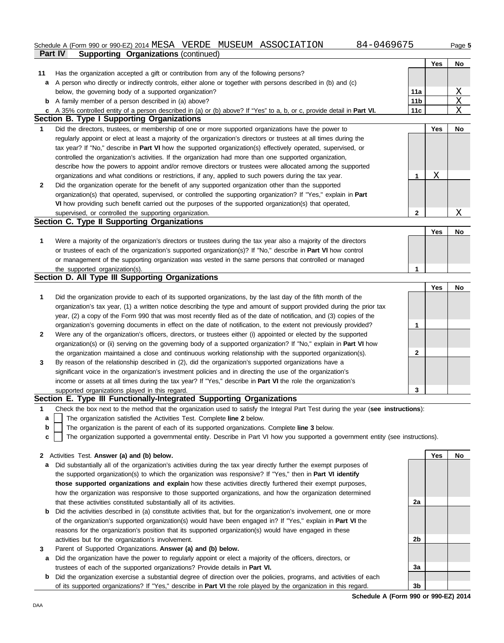## **Part IV Supporting Organizations** (continued) Schedule A (Form 990 or 990-EZ) 2014 MESA VERDE MUSEUM ASSOCIATION 684-0469675 Page 5

|              |                                                                                                                         |                 | Yes | No        |
|--------------|-------------------------------------------------------------------------------------------------------------------------|-----------------|-----|-----------|
| 11           | Has the organization accepted a gift or contribution from any of the following persons?                                 |                 |     |           |
| a            | A person who directly or indirectly controls, either alone or together with persons described in (b) and (c)            |                 |     |           |
|              | below, the governing body of a supported organization?                                                                  | 11a             |     | Χ         |
| b            | A family member of a person described in (a) above?                                                                     | 11 <sub>b</sub> |     | X         |
|              | c A 35% controlled entity of a person described in (a) or (b) above? If "Yes" to a, b, or c, provide detail in Part VI. | 11c             |     | X         |
|              | <b>Section B. Type I Supporting Organizations</b>                                                                       |                 |     |           |
| 1            | Did the directors, trustees, or membership of one or more supported organizations have the power to                     |                 | Yes | No        |
|              | regularly appoint or elect at least a majority of the organization's directors or trustees at all times during the      |                 |     |           |
|              | tax year? If "No," describe in <b>Part VI</b> how the supported organization(s) effectively operated, supervised, or    |                 |     |           |
|              | controlled the organization's activities. If the organization had more than one supported organization,                 |                 |     |           |
|              | describe how the powers to appoint and/or remove directors or trustees were allocated among the supported               |                 |     |           |
|              | organizations and what conditions or restrictions, if any, applied to such powers during the tax year.                  | 1               | Χ   |           |
| $\mathbf{2}$ | Did the organization operate for the benefit of any supported organization other than the supported                     |                 |     |           |
|              | organization(s) that operated, supervised, or controlled the supporting organization? If "Yes," explain in Part         |                 |     |           |
|              | VI how providing such benefit carried out the purposes of the supported organization(s) that operated,                  |                 |     |           |
|              | supervised, or controlled the supporting organization.                                                                  | $\mathbf{2}$    |     | Χ         |
|              | <b>Section C. Type II Supporting Organizations</b>                                                                      |                 |     |           |
|              |                                                                                                                         |                 | Yes | No        |
| 1            | Were a majority of the organization's directors or trustees during the tax year also a majority of the directors        |                 |     |           |
|              | or trustees of each of the organization's supported organization(s)? If "No," describe in Part VI how control           |                 |     |           |
|              | or management of the supporting organization was vested in the same persons that controlled or managed                  |                 |     |           |
|              | the supported organization(s).                                                                                          | 1               |     |           |
|              | Section D. All Type III Supporting Organizations                                                                        |                 |     |           |
|              |                                                                                                                         |                 | Yes | <b>No</b> |
| 1            | Did the organization provide to each of its supported organizations, by the last day of the fifth month of the          |                 |     |           |
|              | organization's tax year, (1) a written notice describing the type and amount of support provided during the prior tax   |                 |     |           |
|              | year, (2) a copy of the Form 990 that was most recently filed as of the date of notification, and (3) copies of the     |                 |     |           |
|              | organization's governing documents in effect on the date of notification, to the extent not previously provided?        | 1               |     |           |
| $\mathbf{2}$ | Were any of the organization's officers, directors, or trustees either (i) appointed or elected by the supported        |                 |     |           |
|              | organization(s) or (ii) serving on the governing body of a supported organization? If "No," explain in Part VI how      |                 |     |           |
|              | the organization maintained a close and continuous working relationship with the supported organization(s).             | 2               |     |           |
| 3            | By reason of the relationship described in (2), did the organization's supported organizations have a                   |                 |     |           |
|              | significant voice in the organization's investment policies and in directing the use of the organization's              |                 |     |           |
|              | income or assets at all times during the tax year? If "Yes," describe in Part VI the role the organization's            |                 |     |           |

supported organizations played in this regard.

**Section E. Type III Functionally-Integrated Supporting Organizations**

- **1** Check the box next to the method that the organization used to satisfy the Integral Part Test during the year (**see instructions**):
	- The organization satisfied the Activities Test. Complete **line 2** below. **a**
	- The organization is the parent of each of its supported organizations. Complete **line 3** below. **b**
	- The organization supported a governmental entity. Describe in Part VI how you supported a government entity (see instructions). **c**

### **2** Activities Test. **Answer (a) and (b) below.**

- **a** Did substantially all of the organization's activities during the tax year directly further the exempt purposes of the supported organization(s) to which the organization was responsive? If "Yes," then in **Part VI identify those supported organizations and explain** how these activities directly furthered their exempt purposes, how the organization was responsive to those supported organizations, and how the organization determined that these activities constituted substantially all of its activities.
- **b** Did the activities described in (a) constitute activities that, but for the organization's involvement, one or more of the organization's supported organization(s) would have been engaged in? If "Yes," explain in **Part VI** the reasons for the organization's position that its supported organization(s) would have engaged in these activities but for the organization's involvement.
- **3** Parent of Supported Organizations. **Answer (a) and (b) below.**
- **a** Did the organization have the power to regularly appoint or elect a majority of the officers, directors, or trustees of each of the supported organizations? Provide details in **Part VI.**
- **b** Did the organization exercise a substantial degree of direction over the policies, programs, and activities of each of its supported organizations? If "Yes," describe in **Part VI** the role played by the organization in this regard.

**Yes No 2a 2b 3a 3b**

**3**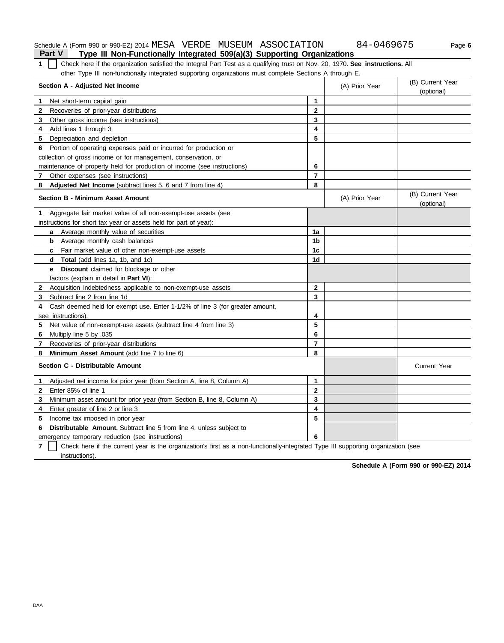## Schedule A (Form 990 or 990-EZ) 2014 MESA VERDE MUSEUM ASSOCIATION 684-0469675 Page 6

**Part V Type III Non-Functionally Integrated 509(a)(3) Supporting Organizations 1** Check here if the organization satisfied the Integral Part Test as a qualifying trust on Nov. 20, 1970. **See instructions.** All other Type III non-functionally integrated supporting organizations must complete Sections A through E.

| Section A - Adjusted Net Income                                                                                                                     | (A) Prior Year | (B) Current Year<br>(optional) |                                |
|-----------------------------------------------------------------------------------------------------------------------------------------------------|----------------|--------------------------------|--------------------------------|
| Net short-term capital gain<br>1                                                                                                                    | 1              |                                |                                |
| $\mathbf{2}$<br>Recoveries of prior-year distributions                                                                                              | $\overline{2}$ |                                |                                |
| 3<br>Other gross income (see instructions)                                                                                                          | 3              |                                |                                |
| Add lines 1 through 3<br>4                                                                                                                          | 4              |                                |                                |
| 5 Depreciation and depletion                                                                                                                        | 5              |                                |                                |
| Portion of operating expenses paid or incurred for production or<br>6                                                                               |                |                                |                                |
| collection of gross income or for management, conservation, or                                                                                      |                |                                |                                |
| maintenance of property held for production of income (see instructions)                                                                            | 6              |                                |                                |
| Other expenses (see instructions)<br>7                                                                                                              | $\overline{7}$ |                                |                                |
| Adjusted Net Income (subtract lines 5, 6 and 7 from line 4)<br>8                                                                                    | 8              |                                |                                |
| <b>Section B - Minimum Asset Amount</b>                                                                                                             |                | (A) Prior Year                 | (B) Current Year<br>(optional) |
| Aggregate fair market value of all non-exempt-use assets (see<br>1.                                                                                 |                |                                |                                |
| instructions for short tax year or assets held for part of year):                                                                                   |                |                                |                                |
| Average monthly value of securities<br>a                                                                                                            | 1a             |                                |                                |
| <b>b</b> Average monthly cash balances                                                                                                              | 1 <sub>b</sub> |                                |                                |
| Fair market value of other non-exempt-use assets<br>c                                                                                               | 1 <sub>c</sub> |                                |                                |
| <b>Total</b> (add lines 1a, 1b, and 1c)<br>d                                                                                                        | 1d             |                                |                                |
| Discount claimed for blockage or other<br>e                                                                                                         |                |                                |                                |
| factors (explain in detail in <b>Part VI)</b> :                                                                                                     |                |                                |                                |
| 2 Acquisition indebtedness applicable to non-exempt-use assets                                                                                      | $\mathbf{2}$   |                                |                                |
| Subtract line 2 from line 1d<br>3                                                                                                                   | 3              |                                |                                |
| Cash deemed held for exempt use. Enter 1-1/2% of line 3 (for greater amount,<br>4                                                                   |                |                                |                                |
| see instructions)                                                                                                                                   | 4              |                                |                                |
| 5<br>Net value of non-exempt-use assets (subtract line 4 from line 3)                                                                               | 5              |                                |                                |
| 6<br>Multiply line 5 by .035                                                                                                                        | 6              |                                |                                |
| Recoveries of prior-year distributions<br>$\mathbf{7}$                                                                                              | $\overline{7}$ |                                |                                |
| Minimum Asset Amount (add line 7 to line 6)<br>8                                                                                                    | 8              |                                |                                |
| Section C - Distributable Amount                                                                                                                    |                |                                | <b>Current Year</b>            |
| Adjusted net income for prior year (from Section A, line 8, Column A)<br>1.                                                                         | 1              |                                |                                |
| Enter 85% of line 1<br>$\mathbf{2}$                                                                                                                 | $\mathbf{2}$   |                                |                                |
| Minimum asset amount for prior year (from Section B, line 8, Column A)<br>3                                                                         | 3              |                                |                                |
| Enter greater of line 2 or line 3<br>4                                                                                                              | 4              |                                |                                |
| Income tax imposed in prior year<br>5.                                                                                                              | 5              |                                |                                |
| <b>Distributable Amount.</b> Subtract line 5 from line 4, unless subject to<br>6                                                                    |                |                                |                                |
| emergency temporary reduction (see instructions)                                                                                                    | 6              |                                |                                |
| $\overline{7}$<br>Check here if the current year is the organization's first as a non-functionally-integrated Type III supporting organization (see |                |                                |                                |
| instructions).                                                                                                                                      |                |                                |                                |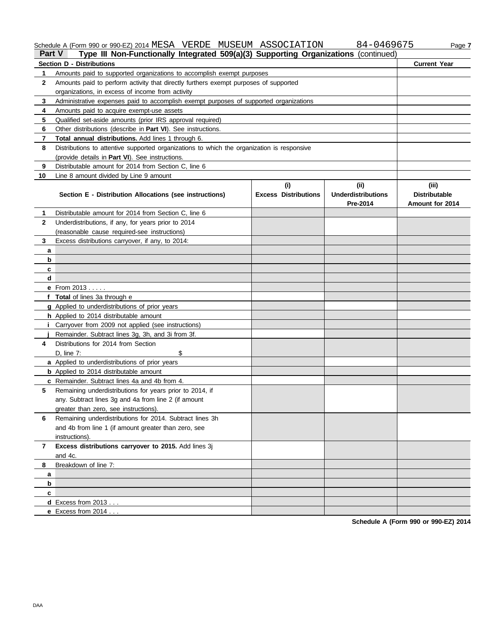Schedule A (Form 990 or 990-EZ) 2014 MESA VERDE MUSEUM ASSOCIATION 84-0469675 Page 7

| <b>Part V</b> | Type III Non-Functionally Integrated 509(a)(3) Supporting Organizations (continued)        |                             |                                       |                                                |
|---------------|--------------------------------------------------------------------------------------------|-----------------------------|---------------------------------------|------------------------------------------------|
|               | <b>Section D - Distributions</b>                                                           |                             |                                       | <b>Current Year</b>                            |
| 1             |                                                                                            |                             |                                       |                                                |
| $\mathbf{2}$  | Amounts paid to perform activity that directly furthers exempt purposes of supported       |                             |                                       |                                                |
|               | organizations, in excess of income from activity                                           |                             |                                       |                                                |
| 3             | Administrative expenses paid to accomplish exempt purposes of supported organizations      |                             |                                       |                                                |
| 4             | Amounts paid to acquire exempt-use assets                                                  |                             |                                       |                                                |
| 5             | Qualified set-aside amounts (prior IRS approval required)                                  |                             |                                       |                                                |
| 6             | Other distributions (describe in Part VI). See instructions.                               |                             |                                       |                                                |
| 7             | Total annual distributions. Add lines 1 through 6.                                         |                             |                                       |                                                |
| 8             | Distributions to attentive supported organizations to which the organization is responsive |                             |                                       |                                                |
|               | (provide details in Part VI). See instructions.                                            |                             |                                       |                                                |
| 9             | Distributable amount for 2014 from Section C, line 6                                       |                             |                                       |                                                |
| 10            | Line 8 amount divided by Line 9 amount                                                     |                             |                                       |                                                |
|               |                                                                                            | (i)                         | (ii)                                  | (iii)                                          |
|               | Section E - Distribution Allocations (see instructions)                                    | <b>Excess Distributions</b> | <b>Underdistributions</b><br>Pre-2014 | <b>Distributable</b><br><b>Amount for 2014</b> |
| 1             | Distributable amount for 2014 from Section C, line 6                                       |                             |                                       |                                                |
| $\mathbf{2}$  | Underdistributions, if any, for years prior to 2014                                        |                             |                                       |                                                |
|               | (reasonable cause required-see instructions)                                               |                             |                                       |                                                |
| 3             | Excess distributions carryover, if any, to 2014:                                           |                             |                                       |                                                |
| a             |                                                                                            |                             |                                       |                                                |
| b             |                                                                                            |                             |                                       |                                                |
| c             |                                                                                            |                             |                                       |                                                |
| d             |                                                                                            |                             |                                       |                                                |
|               | e From 2013                                                                                |                             |                                       |                                                |
|               | f Total of lines 3a through e                                                              |                             |                                       |                                                |
|               | <b>g</b> Applied to underdistributions of prior years                                      |                             |                                       |                                                |
|               | h Applied to 2014 distributable amount                                                     |                             |                                       |                                                |
|               | <i>i</i> Carryover from 2009 not applied (see instructions)                                |                             |                                       |                                                |
|               | Remainder. Subtract lines 3g, 3h, and 3i from 3f.                                          |                             |                                       |                                                |
| 4             | Distributions for 2014 from Section                                                        |                             |                                       |                                                |
|               | \$<br>$D.$ line $7:$                                                                       |                             |                                       |                                                |
|               | a Applied to underdistributions of prior years                                             |                             |                                       |                                                |
|               | <b>b</b> Applied to 2014 distributable amount                                              |                             |                                       |                                                |
|               | c Remainder. Subtract lines 4a and 4b from 4.                                              |                             |                                       |                                                |
| 5             | Remaining underdistributions for years prior to 2014, if                                   |                             |                                       |                                                |
|               | any. Subtract lines 3g and 4a from line 2 (if amount                                       |                             |                                       |                                                |
|               | greater than zero, see instructions).                                                      |                             |                                       |                                                |
| 6             | Remaining underdistributions for 2014. Subtract lines 3h                                   |                             |                                       |                                                |
|               | and 4b from line 1 (if amount greater than zero, see                                       |                             |                                       |                                                |
|               | instructions).                                                                             |                             |                                       |                                                |
| $\mathbf{7}$  | Excess distributions carryover to 2015. Add lines 3j                                       |                             |                                       |                                                |
|               | and 4c.<br>Breakdown of line 7:                                                            |                             |                                       |                                                |
| 8             |                                                                                            |                             |                                       |                                                |
| a             |                                                                                            |                             |                                       |                                                |
| b             |                                                                                            |                             |                                       |                                                |
| c             |                                                                                            |                             |                                       |                                                |
|               | <b>d</b> Excess from $2013$                                                                |                             |                                       |                                                |
|               | e Excess from 2014                                                                         |                             |                                       |                                                |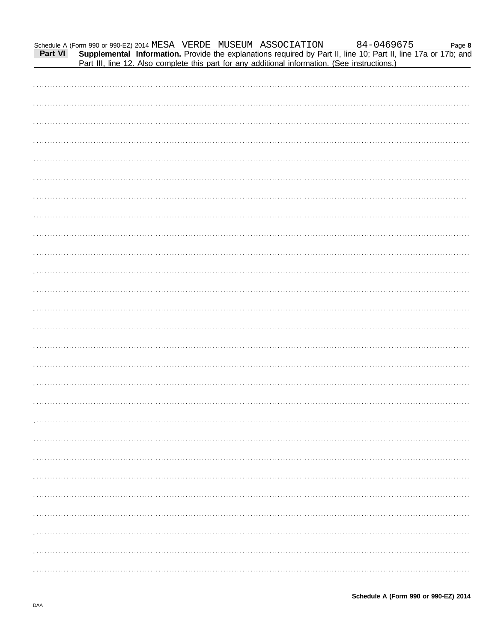| Schedule A (Form 990 or 990-EZ) 2014 MESA VERDE MUSEUM ASSOCIATION 84-0469675 Page 8<br>Part VI Supplemental Information. Provide the explanations required by Part II, line 10; Part II, line 17a or 17b; and<br>Part III, line 1 |  |  |  |  |
|------------------------------------------------------------------------------------------------------------------------------------------------------------------------------------------------------------------------------------|--|--|--|--|
|                                                                                                                                                                                                                                    |  |  |  |  |
|                                                                                                                                                                                                                                    |  |  |  |  |
|                                                                                                                                                                                                                                    |  |  |  |  |
|                                                                                                                                                                                                                                    |  |  |  |  |
|                                                                                                                                                                                                                                    |  |  |  |  |
|                                                                                                                                                                                                                                    |  |  |  |  |
|                                                                                                                                                                                                                                    |  |  |  |  |
|                                                                                                                                                                                                                                    |  |  |  |  |
|                                                                                                                                                                                                                                    |  |  |  |  |
|                                                                                                                                                                                                                                    |  |  |  |  |
|                                                                                                                                                                                                                                    |  |  |  |  |
|                                                                                                                                                                                                                                    |  |  |  |  |
|                                                                                                                                                                                                                                    |  |  |  |  |
|                                                                                                                                                                                                                                    |  |  |  |  |
|                                                                                                                                                                                                                                    |  |  |  |  |
|                                                                                                                                                                                                                                    |  |  |  |  |
|                                                                                                                                                                                                                                    |  |  |  |  |
|                                                                                                                                                                                                                                    |  |  |  |  |
|                                                                                                                                                                                                                                    |  |  |  |  |
|                                                                                                                                                                                                                                    |  |  |  |  |
|                                                                                                                                                                                                                                    |  |  |  |  |
|                                                                                                                                                                                                                                    |  |  |  |  |
|                                                                                                                                                                                                                                    |  |  |  |  |
|                                                                                                                                                                                                                                    |  |  |  |  |
|                                                                                                                                                                                                                                    |  |  |  |  |
|                                                                                                                                                                                                                                    |  |  |  |  |
|                                                                                                                                                                                                                                    |  |  |  |  |
|                                                                                                                                                                                                                                    |  |  |  |  |
|                                                                                                                                                                                                                                    |  |  |  |  |
|                                                                                                                                                                                                                                    |  |  |  |  |
|                                                                                                                                                                                                                                    |  |  |  |  |
|                                                                                                                                                                                                                                    |  |  |  |  |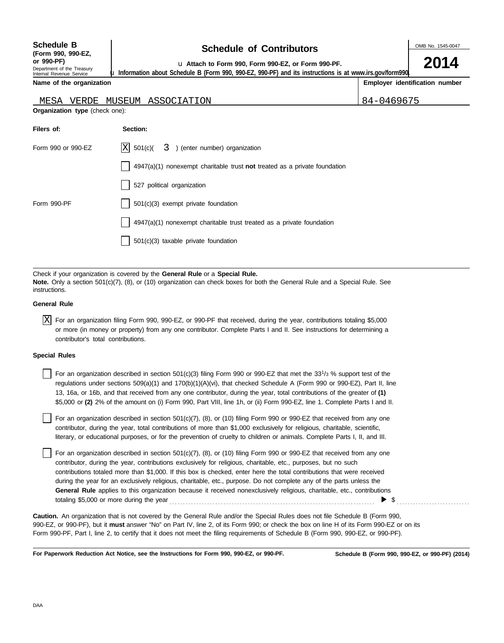| <b>Schedule B</b>          |
|----------------------------|
| (Form 990, 990-EZ,         |
| or 990-PF)                 |
| Department of the Treasury |

Internal Revenue Service

## **Schedule of Contributors**

OMB No. 1545-0047

**2014**

**or 990-PF)** u **Attach to Form 990, Form 990-EZ, or Form 990-PF.**

u **Information about Schedule B (Form 990, 990-EZ, 990-PF) and its instructions is at www.irs.gov/form990.**

**Name of the organization**

| Employer identification number |  |
|--------------------------------|--|
|                                |  |

| VERDE MUSEUM<br>MESA           | ASSOCIATION                                                                       | 84-0469675 |
|--------------------------------|-----------------------------------------------------------------------------------|------------|
| Organization type (check one): |                                                                                   |            |
| Filers of:                     | Section:                                                                          |            |
| Form 990 or 990-EZ             | $ X $ 501(c)(<br>3<br>(enter number) organization                                 |            |
|                                | $\vert$ 4947(a)(1) nonexempt charitable trust not treated as a private foundation |            |
|                                | 527 political organization                                                        |            |
| Form 990-PF                    | 501(c)(3) exempt private foundation                                               |            |

4947(a)(1) nonexempt charitable trust treated as a private foundation

501(c)(3) taxable private foundation

Check if your organization is covered by the **General Rule** or a **Special Rule. Note.** Only a section 501(c)(7), (8), or (10) organization can check boxes for both the General Rule and a Special Rule. See instructions.

## **General Rule**

 $\overline{X}$  For an organization filing Form 990, 990-EZ, or 990-PF that received, during the year, contributions totaling \$5,000 or more (in money or property) from any one contributor. Complete Parts I and II. See instructions for determining a contributor's total contributions.

### **Special Rules**

For an organization described in section 501(c)(3) filing Form 990 or 990-EZ that met the 33<sup>1</sup>/<sub>3</sub> % support test of the regulations under sections 509(a)(1) and 170(b)(1)(A)(vi), that checked Schedule A (Form 990 or 990-EZ), Part II, line 13, 16a, or 16b, and that received from any one contributor, during the year, total contributions of the greater of **(1)** \$5,000 or **(2)** 2% of the amount on (i) Form 990, Part VIII, line 1h, or (ii) Form 990-EZ, line 1. Complete Parts I and II.

literary, or educational purposes, or for the prevention of cruelty to children or animals. Complete Parts I, II, and III. For an organization described in section 501(c)(7), (8), or (10) filing Form 990 or 990-EZ that received from any one contributor, during the year, total contributions of more than \$1,000 exclusively for religious, charitable, scientific,

For an organization described in section  $501(c)(7)$ ,  $(8)$ , or  $(10)$  filing Form 990 or 990-EZ that received from any one contributor, during the year, contributions exclusively for religious, charitable, etc., purposes, but no such contributions totaled more than \$1,000. If this box is checked, enter here the total contributions that were received during the year for an exclusively religious, charitable, etc., purpose. Do not complete any of the parts unless the **General Rule** applies to this organization because it received nonexclusively religious, charitable, etc., contributions totaling \$5,000 or more during the year . . . . . . . . . . . . . . . . . . . . . . . . . . . . . . . . . . . . . . . . . . . . . . . . . . . . . . . . . . . . . . . . . . . . . . . . . . . .  $\blacktriangleright$  \$

990-EZ, or 990-PF), but it **must** answer "No" on Part IV, line 2, of its Form 990; or check the box on line H of its Form 990-EZ or on its Form 990-PF, Part I, line 2, to certify that it does not meet the filing requirements of Schedule B (Form 990, 990-EZ, or 990-PF). **Caution.** An organization that is not covered by the General Rule and/or the Special Rules does not file Schedule B (Form 990,

**For Paperwork Reduction Act Notice, see the Instructions for Form 990, 990-EZ, or 990-PF.**

**Schedule B (Form 990, 990-EZ, or 990-PF) (2014)**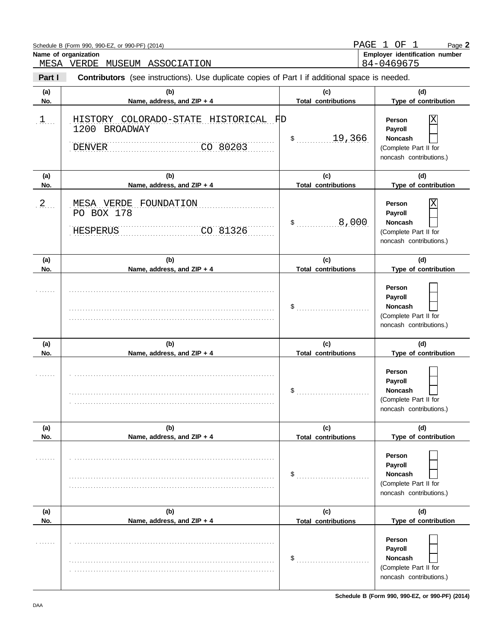|            | Schedule B (Form 990, 990-EZ, or 990-PF) (2014)<br>Name of organization<br>MESA VERDE<br>MUSEUM ASSOCIATION | PAGE 1                            | OF 1<br>Page 2<br>Employer identification number<br>84-0469675                               |
|------------|-------------------------------------------------------------------------------------------------------------|-----------------------------------|----------------------------------------------------------------------------------------------|
| Part I     | <b>Contributors</b> (see instructions). Use duplicate copies of Part I if additional space is needed.       |                                   |                                                                                              |
| (a)<br>No. | (b)<br>Name, address, and ZIP + 4                                                                           | (c)<br><b>Total contributions</b> | (d)<br>Type of contribution                                                                  |
| $1$        | HISTORY COLORADO-STATE HISTORICAL FD<br>1200 BROADWAY<br>CO 80203<br><b>DENVER</b>                          | \$ 19,366                         | Χ<br>Person<br>Payroll<br><b>Noncash</b><br>(Complete Part II for<br>noncash contributions.) |
| (a)<br>No. | (b)<br>Name, address, and ZIP + 4                                                                           | (c)<br><b>Total contributions</b> | (d)<br>Type of contribution                                                                  |
| 2          | MESA VERDE FOUNDATION<br>PO BOX 178<br>CO 81326<br><b>HESPERUS</b>                                          | 8,000<br>\$                       | Χ<br>Person<br>Payroll<br><b>Noncash</b><br>(Complete Part II for<br>noncash contributions.) |
| (a)<br>No. | (b)<br>Name, address, and ZIP + 4                                                                           | (c)<br><b>Total contributions</b> | (d)<br>Type of contribution                                                                  |
|            |                                                                                                             | \$                                | Person<br>Payroll<br><b>Noncash</b><br>(Complete Part II for<br>noncash contributions.)      |
| (a)<br>No. | (b)<br>Name, address, and ZIP + 4                                                                           | (c)<br><b>Total contributions</b> | (d)<br>Type of contribution                                                                  |
|            |                                                                                                             | \$                                | Person<br>Payroll<br><b>Noncash</b><br>(Complete Part II for<br>noncash contributions.)      |
| (a)<br>No. | (b)<br>Name, address, and ZIP + 4                                                                           | (c)<br><b>Total contributions</b> | (d)<br>Type of contribution                                                                  |
|            |                                                                                                             | \$                                | Person<br>Payroll<br><b>Noncash</b><br>(Complete Part II for<br>noncash contributions.)      |
| (a)<br>No. | (b)<br>Name, address, and ZIP + 4                                                                           | (c)<br><b>Total contributions</b> | (d)<br>Type of contribution                                                                  |
|            |                                                                                                             | \$                                | Person<br>Payroll<br><b>Noncash</b><br>(Complete Part II for<br>noncash contributions.)      |

**Schedule B (Form 990, 990-EZ, or 990-PF) (2014)**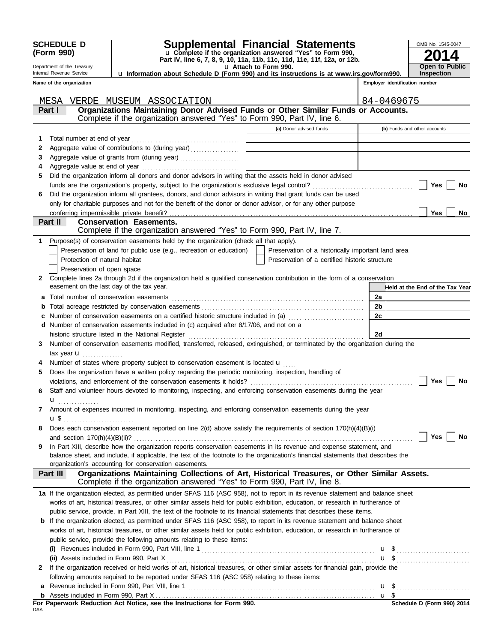| u Information about Schedule D (Form 990) and its instructions is at www.irs.gov/form990.<br>Employer identification number<br>Name of the organization<br>84-0469675<br>MESA<br>VERDE MUSEUM ASSOCIATION<br>Organizations Maintaining Donor Advised Funds or Other Similar Funds or Accounts.<br>Part I<br>Complete if the organization answered "Yes" to Form 990, Part IV, line 6.<br>(a) Donor advised funds<br>(b) Funds and other accounts<br>1<br>2<br>Aggregate value of grants from (during year)<br>3<br>the control of the control of the control of the control of<br>4<br>Did the organization inform all donors and donor advisors in writing that the assets held in donor advised<br>5<br>Yes<br>No<br>Did the organization inform all grantees, donors, and donor advisors in writing that grant funds can be used<br>6<br>only for charitable purposes and not for the benefit of the donor or donor advisor, or for any other purpose<br>Yes<br>No<br>Part II<br><b>Conservation Easements.</b><br>Complete if the organization answered "Yes" to Form 990, Part IV, line 7.<br>Purpose(s) of conservation easements held by the organization (check all that apply).<br>1<br>Preservation of land for public use (e.g., recreation or education)<br>Preservation of a historically important land area<br>Protection of natural habitat<br>Preservation of a certified historic structure<br>Preservation of open space<br>Complete lines 2a through 2d if the organization held a qualified conservation contribution in the form of a conservation<br>$\mathbf{2}$<br>easement on the last day of the tax year.<br>Held at the End of the Tax Year<br>2a<br>2 <sub>b</sub><br>2c<br>c Number of conservation easements on a certified historic structure included in (a)<br>d Number of conservation easements included in (c) acquired after 8/17/06, and not on a<br>2d<br>Number of conservation easements modified, transferred, released, extinguished, or terminated by the organization during the<br>3<br>tax year $\mathbf{u}$<br>Number of states where property subject to conservation easement is located $\mathbf{u}$<br>4<br>Does the organization have a written policy regarding the periodic monitoring, inspection, handling of<br>5<br>Yes<br><b>No</b><br>violations, and enforcement of the conservation easements it holds?<br>Staff and volunteer hours devoted to monitoring, inspecting, and enforcing conservation easements during the year<br>u<br>.<br>Amount of expenses incurred in monitoring, inspecting, and enforcing conservation easements during the year<br>7<br>Does each conservation easement reported on line 2(d) above satisfy the requirements of section 170(h)(4)(B)(i)<br>8<br>Yes<br>No<br>In Part XIII, describe how the organization reports conservation easements in its revenue and expense statement, and<br>9<br>balance sheet, and include, if applicable, the text of the footnote to the organization's financial statements that describes the<br>organization's accounting for conservation easements.<br>Organizations Maintaining Collections of Art, Historical Treasures, or Other Similar Assets.<br>Part III<br>Complete if the organization answered "Yes" to Form 990, Part IV, line 8.<br>1a If the organization elected, as permitted under SFAS 116 (ASC 958), not to report in its revenue statement and balance sheet<br>works of art, historical treasures, or other similar assets held for public exhibition, education, or research in furtherance of<br>public service, provide, in Part XIII, the text of the footnote to its financial statements that describes these items.<br><b>b</b> If the organization elected, as permitted under SFAS 116 (ASC 958), to report in its revenue statement and balance sheet<br>works of art, historical treasures, or other similar assets held for public exhibition, education, or research in furtherance of<br>public service, provide the following amounts relating to these items:<br>$u \$<br>If the organization received or held works of art, historical treasures, or other similar assets for financial gain, provide the<br>2<br>following amounts required to be reported under SFAS 116 (ASC 958) relating to these items:<br>a | <b>SCHEDULE D</b><br>(Form 990)<br>Department of the Treasury<br>Internal Revenue Service |  | OMB No. 1545-0047<br><b>Open to Public</b><br><b>Inspection</b> |  |  |  |  |  |
|-------------------------------------------------------------------------------------------------------------------------------------------------------------------------------------------------------------------------------------------------------------------------------------------------------------------------------------------------------------------------------------------------------------------------------------------------------------------------------------------------------------------------------------------------------------------------------------------------------------------------------------------------------------------------------------------------------------------------------------------------------------------------------------------------------------------------------------------------------------------------------------------------------------------------------------------------------------------------------------------------------------------------------------------------------------------------------------------------------------------------------------------------------------------------------------------------------------------------------------------------------------------------------------------------------------------------------------------------------------------------------------------------------------------------------------------------------------------------------------------------------------------------------------------------------------------------------------------------------------------------------------------------------------------------------------------------------------------------------------------------------------------------------------------------------------------------------------------------------------------------------------------------------------------------------------------------------------------------------------------------------------------------------------------------------------------------------------------------------------------------------------------------------------------------------------------------------------------------------------------------------------------------------------------------------------------------------------------------------------------------------------------------------------------------------------------------------------------------------------------------------------------------------------------------------------------------------------------------------------------------------------------------------------------------------------------------------------------------------------------------------------------------------------------------------------------------------------------------------------------------------------------------------------------------------------------------------------------------------------------------------------------------------------------------------------------------------------------------------------------------------------------------------------------------------------------------------------------------------------------------------------------------------------------------------------------------------------------------------------------------------------------------------------------------------------------------------------------------------------------------------------------------------------------------------------------------------------------------------------------------------------------------------------------------------------------------------------------------------------------------------------------------------------------------------------------------------------------------------------------------------------------------------------------------------------------------------------------------------------------------------------------------------------------------------------------------------------------------------------------------------------------------------------------------------------------------------------------------------------------------------------------------------------------------|-------------------------------------------------------------------------------------------|--|-----------------------------------------------------------------|--|--|--|--|--|
|                                                                                                                                                                                                                                                                                                                                                                                                                                                                                                                                                                                                                                                                                                                                                                                                                                                                                                                                                                                                                                                                                                                                                                                                                                                                                                                                                                                                                                                                                                                                                                                                                                                                                                                                                                                                                                                                                                                                                                                                                                                                                                                                                                                                                                                                                                                                                                                                                                                                                                                                                                                                                                                                                                                                                                                                                                                                                                                                                                                                                                                                                                                                                                                                                                                                                                                                                                                                                                                                                                                                                                                                                                                                                                                                                                                                                                                                                                                                                                                                                                                                                                                                                                                                                                                                                                 |                                                                                           |  |                                                                 |  |  |  |  |  |
|                                                                                                                                                                                                                                                                                                                                                                                                                                                                                                                                                                                                                                                                                                                                                                                                                                                                                                                                                                                                                                                                                                                                                                                                                                                                                                                                                                                                                                                                                                                                                                                                                                                                                                                                                                                                                                                                                                                                                                                                                                                                                                                                                                                                                                                                                                                                                                                                                                                                                                                                                                                                                                                                                                                                                                                                                                                                                                                                                                                                                                                                                                                                                                                                                                                                                                                                                                                                                                                                                                                                                                                                                                                                                                                                                                                                                                                                                                                                                                                                                                                                                                                                                                                                                                                                                                 |                                                                                           |  |                                                                 |  |  |  |  |  |
|                                                                                                                                                                                                                                                                                                                                                                                                                                                                                                                                                                                                                                                                                                                                                                                                                                                                                                                                                                                                                                                                                                                                                                                                                                                                                                                                                                                                                                                                                                                                                                                                                                                                                                                                                                                                                                                                                                                                                                                                                                                                                                                                                                                                                                                                                                                                                                                                                                                                                                                                                                                                                                                                                                                                                                                                                                                                                                                                                                                                                                                                                                                                                                                                                                                                                                                                                                                                                                                                                                                                                                                                                                                                                                                                                                                                                                                                                                                                                                                                                                                                                                                                                                                                                                                                                                 |                                                                                           |  |                                                                 |  |  |  |  |  |
|                                                                                                                                                                                                                                                                                                                                                                                                                                                                                                                                                                                                                                                                                                                                                                                                                                                                                                                                                                                                                                                                                                                                                                                                                                                                                                                                                                                                                                                                                                                                                                                                                                                                                                                                                                                                                                                                                                                                                                                                                                                                                                                                                                                                                                                                                                                                                                                                                                                                                                                                                                                                                                                                                                                                                                                                                                                                                                                                                                                                                                                                                                                                                                                                                                                                                                                                                                                                                                                                                                                                                                                                                                                                                                                                                                                                                                                                                                                                                                                                                                                                                                                                                                                                                                                                                                 |                                                                                           |  |                                                                 |  |  |  |  |  |
|                                                                                                                                                                                                                                                                                                                                                                                                                                                                                                                                                                                                                                                                                                                                                                                                                                                                                                                                                                                                                                                                                                                                                                                                                                                                                                                                                                                                                                                                                                                                                                                                                                                                                                                                                                                                                                                                                                                                                                                                                                                                                                                                                                                                                                                                                                                                                                                                                                                                                                                                                                                                                                                                                                                                                                                                                                                                                                                                                                                                                                                                                                                                                                                                                                                                                                                                                                                                                                                                                                                                                                                                                                                                                                                                                                                                                                                                                                                                                                                                                                                                                                                                                                                                                                                                                                 |                                                                                           |  |                                                                 |  |  |  |  |  |
|                                                                                                                                                                                                                                                                                                                                                                                                                                                                                                                                                                                                                                                                                                                                                                                                                                                                                                                                                                                                                                                                                                                                                                                                                                                                                                                                                                                                                                                                                                                                                                                                                                                                                                                                                                                                                                                                                                                                                                                                                                                                                                                                                                                                                                                                                                                                                                                                                                                                                                                                                                                                                                                                                                                                                                                                                                                                                                                                                                                                                                                                                                                                                                                                                                                                                                                                                                                                                                                                                                                                                                                                                                                                                                                                                                                                                                                                                                                                                                                                                                                                                                                                                                                                                                                                                                 |                                                                                           |  |                                                                 |  |  |  |  |  |
|                                                                                                                                                                                                                                                                                                                                                                                                                                                                                                                                                                                                                                                                                                                                                                                                                                                                                                                                                                                                                                                                                                                                                                                                                                                                                                                                                                                                                                                                                                                                                                                                                                                                                                                                                                                                                                                                                                                                                                                                                                                                                                                                                                                                                                                                                                                                                                                                                                                                                                                                                                                                                                                                                                                                                                                                                                                                                                                                                                                                                                                                                                                                                                                                                                                                                                                                                                                                                                                                                                                                                                                                                                                                                                                                                                                                                                                                                                                                                                                                                                                                                                                                                                                                                                                                                                 |                                                                                           |  |                                                                 |  |  |  |  |  |
|                                                                                                                                                                                                                                                                                                                                                                                                                                                                                                                                                                                                                                                                                                                                                                                                                                                                                                                                                                                                                                                                                                                                                                                                                                                                                                                                                                                                                                                                                                                                                                                                                                                                                                                                                                                                                                                                                                                                                                                                                                                                                                                                                                                                                                                                                                                                                                                                                                                                                                                                                                                                                                                                                                                                                                                                                                                                                                                                                                                                                                                                                                                                                                                                                                                                                                                                                                                                                                                                                                                                                                                                                                                                                                                                                                                                                                                                                                                                                                                                                                                                                                                                                                                                                                                                                                 |                                                                                           |  |                                                                 |  |  |  |  |  |
|                                                                                                                                                                                                                                                                                                                                                                                                                                                                                                                                                                                                                                                                                                                                                                                                                                                                                                                                                                                                                                                                                                                                                                                                                                                                                                                                                                                                                                                                                                                                                                                                                                                                                                                                                                                                                                                                                                                                                                                                                                                                                                                                                                                                                                                                                                                                                                                                                                                                                                                                                                                                                                                                                                                                                                                                                                                                                                                                                                                                                                                                                                                                                                                                                                                                                                                                                                                                                                                                                                                                                                                                                                                                                                                                                                                                                                                                                                                                                                                                                                                                                                                                                                                                                                                                                                 |                                                                                           |  |                                                                 |  |  |  |  |  |
|                                                                                                                                                                                                                                                                                                                                                                                                                                                                                                                                                                                                                                                                                                                                                                                                                                                                                                                                                                                                                                                                                                                                                                                                                                                                                                                                                                                                                                                                                                                                                                                                                                                                                                                                                                                                                                                                                                                                                                                                                                                                                                                                                                                                                                                                                                                                                                                                                                                                                                                                                                                                                                                                                                                                                                                                                                                                                                                                                                                                                                                                                                                                                                                                                                                                                                                                                                                                                                                                                                                                                                                                                                                                                                                                                                                                                                                                                                                                                                                                                                                                                                                                                                                                                                                                                                 |                                                                                           |  |                                                                 |  |  |  |  |  |
|                                                                                                                                                                                                                                                                                                                                                                                                                                                                                                                                                                                                                                                                                                                                                                                                                                                                                                                                                                                                                                                                                                                                                                                                                                                                                                                                                                                                                                                                                                                                                                                                                                                                                                                                                                                                                                                                                                                                                                                                                                                                                                                                                                                                                                                                                                                                                                                                                                                                                                                                                                                                                                                                                                                                                                                                                                                                                                                                                                                                                                                                                                                                                                                                                                                                                                                                                                                                                                                                                                                                                                                                                                                                                                                                                                                                                                                                                                                                                                                                                                                                                                                                                                                                                                                                                                 |                                                                                           |  |                                                                 |  |  |  |  |  |
|                                                                                                                                                                                                                                                                                                                                                                                                                                                                                                                                                                                                                                                                                                                                                                                                                                                                                                                                                                                                                                                                                                                                                                                                                                                                                                                                                                                                                                                                                                                                                                                                                                                                                                                                                                                                                                                                                                                                                                                                                                                                                                                                                                                                                                                                                                                                                                                                                                                                                                                                                                                                                                                                                                                                                                                                                                                                                                                                                                                                                                                                                                                                                                                                                                                                                                                                                                                                                                                                                                                                                                                                                                                                                                                                                                                                                                                                                                                                                                                                                                                                                                                                                                                                                                                                                                 |                                                                                           |  |                                                                 |  |  |  |  |  |
|                                                                                                                                                                                                                                                                                                                                                                                                                                                                                                                                                                                                                                                                                                                                                                                                                                                                                                                                                                                                                                                                                                                                                                                                                                                                                                                                                                                                                                                                                                                                                                                                                                                                                                                                                                                                                                                                                                                                                                                                                                                                                                                                                                                                                                                                                                                                                                                                                                                                                                                                                                                                                                                                                                                                                                                                                                                                                                                                                                                                                                                                                                                                                                                                                                                                                                                                                                                                                                                                                                                                                                                                                                                                                                                                                                                                                                                                                                                                                                                                                                                                                                                                                                                                                                                                                                 |                                                                                           |  |                                                                 |  |  |  |  |  |
|                                                                                                                                                                                                                                                                                                                                                                                                                                                                                                                                                                                                                                                                                                                                                                                                                                                                                                                                                                                                                                                                                                                                                                                                                                                                                                                                                                                                                                                                                                                                                                                                                                                                                                                                                                                                                                                                                                                                                                                                                                                                                                                                                                                                                                                                                                                                                                                                                                                                                                                                                                                                                                                                                                                                                                                                                                                                                                                                                                                                                                                                                                                                                                                                                                                                                                                                                                                                                                                                                                                                                                                                                                                                                                                                                                                                                                                                                                                                                                                                                                                                                                                                                                                                                                                                                                 |                                                                                           |  |                                                                 |  |  |  |  |  |
|                                                                                                                                                                                                                                                                                                                                                                                                                                                                                                                                                                                                                                                                                                                                                                                                                                                                                                                                                                                                                                                                                                                                                                                                                                                                                                                                                                                                                                                                                                                                                                                                                                                                                                                                                                                                                                                                                                                                                                                                                                                                                                                                                                                                                                                                                                                                                                                                                                                                                                                                                                                                                                                                                                                                                                                                                                                                                                                                                                                                                                                                                                                                                                                                                                                                                                                                                                                                                                                                                                                                                                                                                                                                                                                                                                                                                                                                                                                                                                                                                                                                                                                                                                                                                                                                                                 |                                                                                           |  |                                                                 |  |  |  |  |  |
|                                                                                                                                                                                                                                                                                                                                                                                                                                                                                                                                                                                                                                                                                                                                                                                                                                                                                                                                                                                                                                                                                                                                                                                                                                                                                                                                                                                                                                                                                                                                                                                                                                                                                                                                                                                                                                                                                                                                                                                                                                                                                                                                                                                                                                                                                                                                                                                                                                                                                                                                                                                                                                                                                                                                                                                                                                                                                                                                                                                                                                                                                                                                                                                                                                                                                                                                                                                                                                                                                                                                                                                                                                                                                                                                                                                                                                                                                                                                                                                                                                                                                                                                                                                                                                                                                                 |                                                                                           |  |                                                                 |  |  |  |  |  |
|                                                                                                                                                                                                                                                                                                                                                                                                                                                                                                                                                                                                                                                                                                                                                                                                                                                                                                                                                                                                                                                                                                                                                                                                                                                                                                                                                                                                                                                                                                                                                                                                                                                                                                                                                                                                                                                                                                                                                                                                                                                                                                                                                                                                                                                                                                                                                                                                                                                                                                                                                                                                                                                                                                                                                                                                                                                                                                                                                                                                                                                                                                                                                                                                                                                                                                                                                                                                                                                                                                                                                                                                                                                                                                                                                                                                                                                                                                                                                                                                                                                                                                                                                                                                                                                                                                 |                                                                                           |  |                                                                 |  |  |  |  |  |
|                                                                                                                                                                                                                                                                                                                                                                                                                                                                                                                                                                                                                                                                                                                                                                                                                                                                                                                                                                                                                                                                                                                                                                                                                                                                                                                                                                                                                                                                                                                                                                                                                                                                                                                                                                                                                                                                                                                                                                                                                                                                                                                                                                                                                                                                                                                                                                                                                                                                                                                                                                                                                                                                                                                                                                                                                                                                                                                                                                                                                                                                                                                                                                                                                                                                                                                                                                                                                                                                                                                                                                                                                                                                                                                                                                                                                                                                                                                                                                                                                                                                                                                                                                                                                                                                                                 |                                                                                           |  |                                                                 |  |  |  |  |  |
|                                                                                                                                                                                                                                                                                                                                                                                                                                                                                                                                                                                                                                                                                                                                                                                                                                                                                                                                                                                                                                                                                                                                                                                                                                                                                                                                                                                                                                                                                                                                                                                                                                                                                                                                                                                                                                                                                                                                                                                                                                                                                                                                                                                                                                                                                                                                                                                                                                                                                                                                                                                                                                                                                                                                                                                                                                                                                                                                                                                                                                                                                                                                                                                                                                                                                                                                                                                                                                                                                                                                                                                                                                                                                                                                                                                                                                                                                                                                                                                                                                                                                                                                                                                                                                                                                                 |                                                                                           |  |                                                                 |  |  |  |  |  |
|                                                                                                                                                                                                                                                                                                                                                                                                                                                                                                                                                                                                                                                                                                                                                                                                                                                                                                                                                                                                                                                                                                                                                                                                                                                                                                                                                                                                                                                                                                                                                                                                                                                                                                                                                                                                                                                                                                                                                                                                                                                                                                                                                                                                                                                                                                                                                                                                                                                                                                                                                                                                                                                                                                                                                                                                                                                                                                                                                                                                                                                                                                                                                                                                                                                                                                                                                                                                                                                                                                                                                                                                                                                                                                                                                                                                                                                                                                                                                                                                                                                                                                                                                                                                                                                                                                 |                                                                                           |  |                                                                 |  |  |  |  |  |
|                                                                                                                                                                                                                                                                                                                                                                                                                                                                                                                                                                                                                                                                                                                                                                                                                                                                                                                                                                                                                                                                                                                                                                                                                                                                                                                                                                                                                                                                                                                                                                                                                                                                                                                                                                                                                                                                                                                                                                                                                                                                                                                                                                                                                                                                                                                                                                                                                                                                                                                                                                                                                                                                                                                                                                                                                                                                                                                                                                                                                                                                                                                                                                                                                                                                                                                                                                                                                                                                                                                                                                                                                                                                                                                                                                                                                                                                                                                                                                                                                                                                                                                                                                                                                                                                                                 |                                                                                           |  |                                                                 |  |  |  |  |  |
|                                                                                                                                                                                                                                                                                                                                                                                                                                                                                                                                                                                                                                                                                                                                                                                                                                                                                                                                                                                                                                                                                                                                                                                                                                                                                                                                                                                                                                                                                                                                                                                                                                                                                                                                                                                                                                                                                                                                                                                                                                                                                                                                                                                                                                                                                                                                                                                                                                                                                                                                                                                                                                                                                                                                                                                                                                                                                                                                                                                                                                                                                                                                                                                                                                                                                                                                                                                                                                                                                                                                                                                                                                                                                                                                                                                                                                                                                                                                                                                                                                                                                                                                                                                                                                                                                                 |                                                                                           |  |                                                                 |  |  |  |  |  |
|                                                                                                                                                                                                                                                                                                                                                                                                                                                                                                                                                                                                                                                                                                                                                                                                                                                                                                                                                                                                                                                                                                                                                                                                                                                                                                                                                                                                                                                                                                                                                                                                                                                                                                                                                                                                                                                                                                                                                                                                                                                                                                                                                                                                                                                                                                                                                                                                                                                                                                                                                                                                                                                                                                                                                                                                                                                                                                                                                                                                                                                                                                                                                                                                                                                                                                                                                                                                                                                                                                                                                                                                                                                                                                                                                                                                                                                                                                                                                                                                                                                                                                                                                                                                                                                                                                 |                                                                                           |  |                                                                 |  |  |  |  |  |
|                                                                                                                                                                                                                                                                                                                                                                                                                                                                                                                                                                                                                                                                                                                                                                                                                                                                                                                                                                                                                                                                                                                                                                                                                                                                                                                                                                                                                                                                                                                                                                                                                                                                                                                                                                                                                                                                                                                                                                                                                                                                                                                                                                                                                                                                                                                                                                                                                                                                                                                                                                                                                                                                                                                                                                                                                                                                                                                                                                                                                                                                                                                                                                                                                                                                                                                                                                                                                                                                                                                                                                                                                                                                                                                                                                                                                                                                                                                                                                                                                                                                                                                                                                                                                                                                                                 |                                                                                           |  |                                                                 |  |  |  |  |  |
|                                                                                                                                                                                                                                                                                                                                                                                                                                                                                                                                                                                                                                                                                                                                                                                                                                                                                                                                                                                                                                                                                                                                                                                                                                                                                                                                                                                                                                                                                                                                                                                                                                                                                                                                                                                                                                                                                                                                                                                                                                                                                                                                                                                                                                                                                                                                                                                                                                                                                                                                                                                                                                                                                                                                                                                                                                                                                                                                                                                                                                                                                                                                                                                                                                                                                                                                                                                                                                                                                                                                                                                                                                                                                                                                                                                                                                                                                                                                                                                                                                                                                                                                                                                                                                                                                                 |                                                                                           |  |                                                                 |  |  |  |  |  |
|                                                                                                                                                                                                                                                                                                                                                                                                                                                                                                                                                                                                                                                                                                                                                                                                                                                                                                                                                                                                                                                                                                                                                                                                                                                                                                                                                                                                                                                                                                                                                                                                                                                                                                                                                                                                                                                                                                                                                                                                                                                                                                                                                                                                                                                                                                                                                                                                                                                                                                                                                                                                                                                                                                                                                                                                                                                                                                                                                                                                                                                                                                                                                                                                                                                                                                                                                                                                                                                                                                                                                                                                                                                                                                                                                                                                                                                                                                                                                                                                                                                                                                                                                                                                                                                                                                 |                                                                                           |  |                                                                 |  |  |  |  |  |
|                                                                                                                                                                                                                                                                                                                                                                                                                                                                                                                                                                                                                                                                                                                                                                                                                                                                                                                                                                                                                                                                                                                                                                                                                                                                                                                                                                                                                                                                                                                                                                                                                                                                                                                                                                                                                                                                                                                                                                                                                                                                                                                                                                                                                                                                                                                                                                                                                                                                                                                                                                                                                                                                                                                                                                                                                                                                                                                                                                                                                                                                                                                                                                                                                                                                                                                                                                                                                                                                                                                                                                                                                                                                                                                                                                                                                                                                                                                                                                                                                                                                                                                                                                                                                                                                                                 |                                                                                           |  |                                                                 |  |  |  |  |  |
|                                                                                                                                                                                                                                                                                                                                                                                                                                                                                                                                                                                                                                                                                                                                                                                                                                                                                                                                                                                                                                                                                                                                                                                                                                                                                                                                                                                                                                                                                                                                                                                                                                                                                                                                                                                                                                                                                                                                                                                                                                                                                                                                                                                                                                                                                                                                                                                                                                                                                                                                                                                                                                                                                                                                                                                                                                                                                                                                                                                                                                                                                                                                                                                                                                                                                                                                                                                                                                                                                                                                                                                                                                                                                                                                                                                                                                                                                                                                                                                                                                                                                                                                                                                                                                                                                                 |                                                                                           |  |                                                                 |  |  |  |  |  |
|                                                                                                                                                                                                                                                                                                                                                                                                                                                                                                                                                                                                                                                                                                                                                                                                                                                                                                                                                                                                                                                                                                                                                                                                                                                                                                                                                                                                                                                                                                                                                                                                                                                                                                                                                                                                                                                                                                                                                                                                                                                                                                                                                                                                                                                                                                                                                                                                                                                                                                                                                                                                                                                                                                                                                                                                                                                                                                                                                                                                                                                                                                                                                                                                                                                                                                                                                                                                                                                                                                                                                                                                                                                                                                                                                                                                                                                                                                                                                                                                                                                                                                                                                                                                                                                                                                 |                                                                                           |  |                                                                 |  |  |  |  |  |
|                                                                                                                                                                                                                                                                                                                                                                                                                                                                                                                                                                                                                                                                                                                                                                                                                                                                                                                                                                                                                                                                                                                                                                                                                                                                                                                                                                                                                                                                                                                                                                                                                                                                                                                                                                                                                                                                                                                                                                                                                                                                                                                                                                                                                                                                                                                                                                                                                                                                                                                                                                                                                                                                                                                                                                                                                                                                                                                                                                                                                                                                                                                                                                                                                                                                                                                                                                                                                                                                                                                                                                                                                                                                                                                                                                                                                                                                                                                                                                                                                                                                                                                                                                                                                                                                                                 |                                                                                           |  |                                                                 |  |  |  |  |  |
|                                                                                                                                                                                                                                                                                                                                                                                                                                                                                                                                                                                                                                                                                                                                                                                                                                                                                                                                                                                                                                                                                                                                                                                                                                                                                                                                                                                                                                                                                                                                                                                                                                                                                                                                                                                                                                                                                                                                                                                                                                                                                                                                                                                                                                                                                                                                                                                                                                                                                                                                                                                                                                                                                                                                                                                                                                                                                                                                                                                                                                                                                                                                                                                                                                                                                                                                                                                                                                                                                                                                                                                                                                                                                                                                                                                                                                                                                                                                                                                                                                                                                                                                                                                                                                                                                                 |                                                                                           |  |                                                                 |  |  |  |  |  |
|                                                                                                                                                                                                                                                                                                                                                                                                                                                                                                                                                                                                                                                                                                                                                                                                                                                                                                                                                                                                                                                                                                                                                                                                                                                                                                                                                                                                                                                                                                                                                                                                                                                                                                                                                                                                                                                                                                                                                                                                                                                                                                                                                                                                                                                                                                                                                                                                                                                                                                                                                                                                                                                                                                                                                                                                                                                                                                                                                                                                                                                                                                                                                                                                                                                                                                                                                                                                                                                                                                                                                                                                                                                                                                                                                                                                                                                                                                                                                                                                                                                                                                                                                                                                                                                                                                 |                                                                                           |  |                                                                 |  |  |  |  |  |
|                                                                                                                                                                                                                                                                                                                                                                                                                                                                                                                                                                                                                                                                                                                                                                                                                                                                                                                                                                                                                                                                                                                                                                                                                                                                                                                                                                                                                                                                                                                                                                                                                                                                                                                                                                                                                                                                                                                                                                                                                                                                                                                                                                                                                                                                                                                                                                                                                                                                                                                                                                                                                                                                                                                                                                                                                                                                                                                                                                                                                                                                                                                                                                                                                                                                                                                                                                                                                                                                                                                                                                                                                                                                                                                                                                                                                                                                                                                                                                                                                                                                                                                                                                                                                                                                                                 |                                                                                           |  |                                                                 |  |  |  |  |  |
|                                                                                                                                                                                                                                                                                                                                                                                                                                                                                                                                                                                                                                                                                                                                                                                                                                                                                                                                                                                                                                                                                                                                                                                                                                                                                                                                                                                                                                                                                                                                                                                                                                                                                                                                                                                                                                                                                                                                                                                                                                                                                                                                                                                                                                                                                                                                                                                                                                                                                                                                                                                                                                                                                                                                                                                                                                                                                                                                                                                                                                                                                                                                                                                                                                                                                                                                                                                                                                                                                                                                                                                                                                                                                                                                                                                                                                                                                                                                                                                                                                                                                                                                                                                                                                                                                                 |                                                                                           |  |                                                                 |  |  |  |  |  |
|                                                                                                                                                                                                                                                                                                                                                                                                                                                                                                                                                                                                                                                                                                                                                                                                                                                                                                                                                                                                                                                                                                                                                                                                                                                                                                                                                                                                                                                                                                                                                                                                                                                                                                                                                                                                                                                                                                                                                                                                                                                                                                                                                                                                                                                                                                                                                                                                                                                                                                                                                                                                                                                                                                                                                                                                                                                                                                                                                                                                                                                                                                                                                                                                                                                                                                                                                                                                                                                                                                                                                                                                                                                                                                                                                                                                                                                                                                                                                                                                                                                                                                                                                                                                                                                                                                 |                                                                                           |  |                                                                 |  |  |  |  |  |
|                                                                                                                                                                                                                                                                                                                                                                                                                                                                                                                                                                                                                                                                                                                                                                                                                                                                                                                                                                                                                                                                                                                                                                                                                                                                                                                                                                                                                                                                                                                                                                                                                                                                                                                                                                                                                                                                                                                                                                                                                                                                                                                                                                                                                                                                                                                                                                                                                                                                                                                                                                                                                                                                                                                                                                                                                                                                                                                                                                                                                                                                                                                                                                                                                                                                                                                                                                                                                                                                                                                                                                                                                                                                                                                                                                                                                                                                                                                                                                                                                                                                                                                                                                                                                                                                                                 |                                                                                           |  |                                                                 |  |  |  |  |  |
|                                                                                                                                                                                                                                                                                                                                                                                                                                                                                                                                                                                                                                                                                                                                                                                                                                                                                                                                                                                                                                                                                                                                                                                                                                                                                                                                                                                                                                                                                                                                                                                                                                                                                                                                                                                                                                                                                                                                                                                                                                                                                                                                                                                                                                                                                                                                                                                                                                                                                                                                                                                                                                                                                                                                                                                                                                                                                                                                                                                                                                                                                                                                                                                                                                                                                                                                                                                                                                                                                                                                                                                                                                                                                                                                                                                                                                                                                                                                                                                                                                                                                                                                                                                                                                                                                                 |                                                                                           |  |                                                                 |  |  |  |  |  |
|                                                                                                                                                                                                                                                                                                                                                                                                                                                                                                                                                                                                                                                                                                                                                                                                                                                                                                                                                                                                                                                                                                                                                                                                                                                                                                                                                                                                                                                                                                                                                                                                                                                                                                                                                                                                                                                                                                                                                                                                                                                                                                                                                                                                                                                                                                                                                                                                                                                                                                                                                                                                                                                                                                                                                                                                                                                                                                                                                                                                                                                                                                                                                                                                                                                                                                                                                                                                                                                                                                                                                                                                                                                                                                                                                                                                                                                                                                                                                                                                                                                                                                                                                                                                                                                                                                 |                                                                                           |  |                                                                 |  |  |  |  |  |
|                                                                                                                                                                                                                                                                                                                                                                                                                                                                                                                                                                                                                                                                                                                                                                                                                                                                                                                                                                                                                                                                                                                                                                                                                                                                                                                                                                                                                                                                                                                                                                                                                                                                                                                                                                                                                                                                                                                                                                                                                                                                                                                                                                                                                                                                                                                                                                                                                                                                                                                                                                                                                                                                                                                                                                                                                                                                                                                                                                                                                                                                                                                                                                                                                                                                                                                                                                                                                                                                                                                                                                                                                                                                                                                                                                                                                                                                                                                                                                                                                                                                                                                                                                                                                                                                                                 |                                                                                           |  |                                                                 |  |  |  |  |  |
|                                                                                                                                                                                                                                                                                                                                                                                                                                                                                                                                                                                                                                                                                                                                                                                                                                                                                                                                                                                                                                                                                                                                                                                                                                                                                                                                                                                                                                                                                                                                                                                                                                                                                                                                                                                                                                                                                                                                                                                                                                                                                                                                                                                                                                                                                                                                                                                                                                                                                                                                                                                                                                                                                                                                                                                                                                                                                                                                                                                                                                                                                                                                                                                                                                                                                                                                                                                                                                                                                                                                                                                                                                                                                                                                                                                                                                                                                                                                                                                                                                                                                                                                                                                                                                                                                                 |                                                                                           |  |                                                                 |  |  |  |  |  |
|                                                                                                                                                                                                                                                                                                                                                                                                                                                                                                                                                                                                                                                                                                                                                                                                                                                                                                                                                                                                                                                                                                                                                                                                                                                                                                                                                                                                                                                                                                                                                                                                                                                                                                                                                                                                                                                                                                                                                                                                                                                                                                                                                                                                                                                                                                                                                                                                                                                                                                                                                                                                                                                                                                                                                                                                                                                                                                                                                                                                                                                                                                                                                                                                                                                                                                                                                                                                                                                                                                                                                                                                                                                                                                                                                                                                                                                                                                                                                                                                                                                                                                                                                                                                                                                                                                 |                                                                                           |  |                                                                 |  |  |  |  |  |
|                                                                                                                                                                                                                                                                                                                                                                                                                                                                                                                                                                                                                                                                                                                                                                                                                                                                                                                                                                                                                                                                                                                                                                                                                                                                                                                                                                                                                                                                                                                                                                                                                                                                                                                                                                                                                                                                                                                                                                                                                                                                                                                                                                                                                                                                                                                                                                                                                                                                                                                                                                                                                                                                                                                                                                                                                                                                                                                                                                                                                                                                                                                                                                                                                                                                                                                                                                                                                                                                                                                                                                                                                                                                                                                                                                                                                                                                                                                                                                                                                                                                                                                                                                                                                                                                                                 |                                                                                           |  |                                                                 |  |  |  |  |  |
|                                                                                                                                                                                                                                                                                                                                                                                                                                                                                                                                                                                                                                                                                                                                                                                                                                                                                                                                                                                                                                                                                                                                                                                                                                                                                                                                                                                                                                                                                                                                                                                                                                                                                                                                                                                                                                                                                                                                                                                                                                                                                                                                                                                                                                                                                                                                                                                                                                                                                                                                                                                                                                                                                                                                                                                                                                                                                                                                                                                                                                                                                                                                                                                                                                                                                                                                                                                                                                                                                                                                                                                                                                                                                                                                                                                                                                                                                                                                                                                                                                                                                                                                                                                                                                                                                                 |                                                                                           |  |                                                                 |  |  |  |  |  |
|                                                                                                                                                                                                                                                                                                                                                                                                                                                                                                                                                                                                                                                                                                                                                                                                                                                                                                                                                                                                                                                                                                                                                                                                                                                                                                                                                                                                                                                                                                                                                                                                                                                                                                                                                                                                                                                                                                                                                                                                                                                                                                                                                                                                                                                                                                                                                                                                                                                                                                                                                                                                                                                                                                                                                                                                                                                                                                                                                                                                                                                                                                                                                                                                                                                                                                                                                                                                                                                                                                                                                                                                                                                                                                                                                                                                                                                                                                                                                                                                                                                                                                                                                                                                                                                                                                 |                                                                                           |  |                                                                 |  |  |  |  |  |
|                                                                                                                                                                                                                                                                                                                                                                                                                                                                                                                                                                                                                                                                                                                                                                                                                                                                                                                                                                                                                                                                                                                                                                                                                                                                                                                                                                                                                                                                                                                                                                                                                                                                                                                                                                                                                                                                                                                                                                                                                                                                                                                                                                                                                                                                                                                                                                                                                                                                                                                                                                                                                                                                                                                                                                                                                                                                                                                                                                                                                                                                                                                                                                                                                                                                                                                                                                                                                                                                                                                                                                                                                                                                                                                                                                                                                                                                                                                                                                                                                                                                                                                                                                                                                                                                                                 |                                                                                           |  |                                                                 |  |  |  |  |  |
|                                                                                                                                                                                                                                                                                                                                                                                                                                                                                                                                                                                                                                                                                                                                                                                                                                                                                                                                                                                                                                                                                                                                                                                                                                                                                                                                                                                                                                                                                                                                                                                                                                                                                                                                                                                                                                                                                                                                                                                                                                                                                                                                                                                                                                                                                                                                                                                                                                                                                                                                                                                                                                                                                                                                                                                                                                                                                                                                                                                                                                                                                                                                                                                                                                                                                                                                                                                                                                                                                                                                                                                                                                                                                                                                                                                                                                                                                                                                                                                                                                                                                                                                                                                                                                                                                                 |                                                                                           |  |                                                                 |  |  |  |  |  |
|                                                                                                                                                                                                                                                                                                                                                                                                                                                                                                                                                                                                                                                                                                                                                                                                                                                                                                                                                                                                                                                                                                                                                                                                                                                                                                                                                                                                                                                                                                                                                                                                                                                                                                                                                                                                                                                                                                                                                                                                                                                                                                                                                                                                                                                                                                                                                                                                                                                                                                                                                                                                                                                                                                                                                                                                                                                                                                                                                                                                                                                                                                                                                                                                                                                                                                                                                                                                                                                                                                                                                                                                                                                                                                                                                                                                                                                                                                                                                                                                                                                                                                                                                                                                                                                                                                 |                                                                                           |  |                                                                 |  |  |  |  |  |
|                                                                                                                                                                                                                                                                                                                                                                                                                                                                                                                                                                                                                                                                                                                                                                                                                                                                                                                                                                                                                                                                                                                                                                                                                                                                                                                                                                                                                                                                                                                                                                                                                                                                                                                                                                                                                                                                                                                                                                                                                                                                                                                                                                                                                                                                                                                                                                                                                                                                                                                                                                                                                                                                                                                                                                                                                                                                                                                                                                                                                                                                                                                                                                                                                                                                                                                                                                                                                                                                                                                                                                                                                                                                                                                                                                                                                                                                                                                                                                                                                                                                                                                                                                                                                                                                                                 |                                                                                           |  |                                                                 |  |  |  |  |  |
|                                                                                                                                                                                                                                                                                                                                                                                                                                                                                                                                                                                                                                                                                                                                                                                                                                                                                                                                                                                                                                                                                                                                                                                                                                                                                                                                                                                                                                                                                                                                                                                                                                                                                                                                                                                                                                                                                                                                                                                                                                                                                                                                                                                                                                                                                                                                                                                                                                                                                                                                                                                                                                                                                                                                                                                                                                                                                                                                                                                                                                                                                                                                                                                                                                                                                                                                                                                                                                                                                                                                                                                                                                                                                                                                                                                                                                                                                                                                                                                                                                                                                                                                                                                                                                                                                                 |                                                                                           |  |                                                                 |  |  |  |  |  |
|                                                                                                                                                                                                                                                                                                                                                                                                                                                                                                                                                                                                                                                                                                                                                                                                                                                                                                                                                                                                                                                                                                                                                                                                                                                                                                                                                                                                                                                                                                                                                                                                                                                                                                                                                                                                                                                                                                                                                                                                                                                                                                                                                                                                                                                                                                                                                                                                                                                                                                                                                                                                                                                                                                                                                                                                                                                                                                                                                                                                                                                                                                                                                                                                                                                                                                                                                                                                                                                                                                                                                                                                                                                                                                                                                                                                                                                                                                                                                                                                                                                                                                                                                                                                                                                                                                 |                                                                                           |  |                                                                 |  |  |  |  |  |

**For Paperwork Reduction Act Notice, see the Instructions for Form 990.**<br><sub>DAA</sub>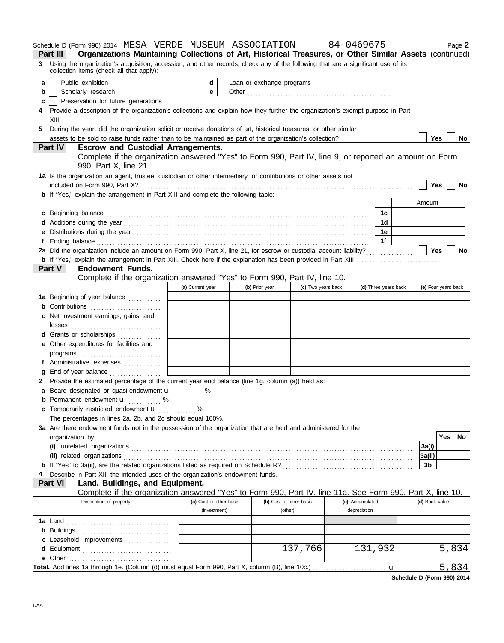|    | Schedule D (Form 990) 2014 MESA VERDE MUSEUM ASSOCIATION 84-0469675<br>Organizations Maintaining Collections of Art, Historical Treasures, or Other Similar Assets (continued)<br><b>Part III</b>                                                |                         |                           |                    |                 |                      | Page 2                  |  |  |
|----|--------------------------------------------------------------------------------------------------------------------------------------------------------------------------------------------------------------------------------------------------|-------------------------|---------------------------|--------------------|-----------------|----------------------|-------------------------|--|--|
| 3  | Using the organization's acquisition, accession, and other records, check any of the following that are a significant use of its                                                                                                                 |                         |                           |                    |                 |                      |                         |  |  |
|    | collection items (check all that apply):                                                                                                                                                                                                         |                         |                           |                    |                 |                      |                         |  |  |
| a  | Public exhibition                                                                                                                                                                                                                                | d                       | Loan or exchange programs |                    |                 |                      |                         |  |  |
| b  | Scholarly research                                                                                                                                                                                                                               | е                       |                           |                    |                 |                      |                         |  |  |
| c  | Preservation for future generations                                                                                                                                                                                                              |                         |                           |                    |                 |                      |                         |  |  |
| 4  | Provide a description of the organization's collections and explain how they further the organization's exempt purpose in Part                                                                                                                   |                         |                           |                    |                 |                      |                         |  |  |
|    | XIII.                                                                                                                                                                                                                                            |                         |                           |                    |                 |                      |                         |  |  |
| 5. | During the year, did the organization solicit or receive donations of art, historical treasures, or other similar<br>assets to be sold to raise funds rather than to be maintained as part of the organization's collection?<br>Yes<br><b>No</b> |                         |                           |                    |                 |                      |                         |  |  |
|    | <b>Part IV</b><br><b>Escrow and Custodial Arrangements.</b>                                                                                                                                                                                      |                         |                           |                    |                 |                      |                         |  |  |
|    | Complete if the organization answered "Yes" to Form 990, Part IV, line 9, or reported an amount on Form                                                                                                                                          |                         |                           |                    |                 |                      |                         |  |  |
|    | 990, Part X, line 21.                                                                                                                                                                                                                            |                         |                           |                    |                 |                      |                         |  |  |
|    | 1a Is the organization an agent, trustee, custodian or other intermediary for contributions or other assets not                                                                                                                                  |                         |                           |                    |                 |                      |                         |  |  |
|    | included on Form 990, Part X?                                                                                                                                                                                                                    |                         |                           |                    |                 |                      | <b>Yes</b><br><b>No</b> |  |  |
|    | <b>b</b> If "Yes," explain the arrangement in Part XIII and complete the following table:                                                                                                                                                        |                         |                           |                    |                 |                      |                         |  |  |
|    |                                                                                                                                                                                                                                                  |                         |                           |                    |                 |                      | Amount                  |  |  |
| c  | Beginning balance                                                                                                                                                                                                                                |                         |                           |                    |                 | 1c                   |                         |  |  |
|    |                                                                                                                                                                                                                                                  |                         |                           |                    |                 | 1 <sub>d</sub><br>1е |                         |  |  |
| f  |                                                                                                                                                                                                                                                  |                         |                           |                    |                 | $-1f$                |                         |  |  |
|    | 2a Did the organization include an amount on Form 990, Part X, line 21, for escrow or custodial account liability?                                                                                                                               |                         |                           |                    |                 |                      | Yes<br>No               |  |  |
|    |                                                                                                                                                                                                                                                  |                         |                           |                    |                 |                      |                         |  |  |
|    | Part V<br><b>Endowment Funds.</b>                                                                                                                                                                                                                |                         |                           |                    |                 |                      |                         |  |  |
|    | Complete if the organization answered "Yes" to Form 990, Part IV, line 10.                                                                                                                                                                       |                         |                           |                    |                 |                      |                         |  |  |
|    |                                                                                                                                                                                                                                                  | (a) Current year        | (b) Prior year            | (c) Two years back |                 | (d) Three years back | (e) Four years back     |  |  |
|    | 1a Beginning of year balance                                                                                                                                                                                                                     |                         |                           |                    |                 |                      |                         |  |  |
|    | <b>b</b> Contributions <b>contributions</b>                                                                                                                                                                                                      |                         |                           |                    |                 |                      |                         |  |  |
|    | c Net investment earnings, gains, and                                                                                                                                                                                                            |                         |                           |                    |                 |                      |                         |  |  |
|    | d Grants or scholarships                                                                                                                                                                                                                         |                         |                           |                    |                 |                      |                         |  |  |
|    | e Other expenditures for facilities and                                                                                                                                                                                                          |                         |                           |                    |                 |                      |                         |  |  |
|    | programs                                                                                                                                                                                                                                         |                         |                           |                    |                 |                      |                         |  |  |
|    | f Administrative expenses                                                                                                                                                                                                                        |                         |                           |                    |                 |                      |                         |  |  |
| a  | End of year balance                                                                                                                                                                                                                              |                         |                           |                    |                 |                      |                         |  |  |
|    | 2 Provide the estimated percentage of the current year end balance (line 1g, column (a)) held as:                                                                                                                                                |                         |                           |                    |                 |                      |                         |  |  |
|    | a Board designated or quasi-endowment u                                                                                                                                                                                                          | %                       |                           |                    |                 |                      |                         |  |  |
| b  | Permanent endowment <b>u</b> %                                                                                                                                                                                                                   |                         |                           |                    |                 |                      |                         |  |  |
| c  | Temporarily restricted endowment u<br>The percentages in lines 2a, 2b, and 2c should equal 100%.                                                                                                                                                 | %                       |                           |                    |                 |                      |                         |  |  |
|    | 3a Are there endowment funds not in the possession of the organization that are held and administered for the                                                                                                                                    |                         |                           |                    |                 |                      |                         |  |  |
|    | organization by:                                                                                                                                                                                                                                 |                         |                           |                    |                 |                      | Yes<br>No               |  |  |
|    |                                                                                                                                                                                                                                                  |                         |                           |                    |                 |                      | 3a(i)                   |  |  |
|    |                                                                                                                                                                                                                                                  |                         |                           |                    |                 |                      | 3a(ii)                  |  |  |
|    |                                                                                                                                                                                                                                                  |                         |                           |                    |                 |                      | 3b                      |  |  |
|    | Describe in Part XIII the intended uses of the organization's endowment funds.                                                                                                                                                                   |                         |                           |                    |                 |                      |                         |  |  |
|    | Land, Buildings, and Equipment.<br><b>Part VI</b>                                                                                                                                                                                                |                         |                           |                    |                 |                      |                         |  |  |
|    | Complete if the organization answered "Yes" to Form 990, Part IV, line 11a. See Form 990, Part X, line 10.<br>Description of property                                                                                                            | (a) Cost or other basis | (b) Cost or other basis   |                    | (c) Accumulated |                      | (d) Book value          |  |  |
|    |                                                                                                                                                                                                                                                  | (investment)            | (other)                   |                    | depreciation    |                      |                         |  |  |
|    |                                                                                                                                                                                                                                                  |                         |                           |                    |                 |                      |                         |  |  |
|    |                                                                                                                                                                                                                                                  |                         |                           |                    |                 |                      |                         |  |  |
|    | c Leasehold improvements                                                                                                                                                                                                                         |                         |                           |                    |                 |                      |                         |  |  |
|    |                                                                                                                                                                                                                                                  |                         |                           | 137,766            |                 | 131,932              | 5,834                   |  |  |
|    | e Other                                                                                                                                                                                                                                          |                         |                           |                    |                 |                      |                         |  |  |
|    |                                                                                                                                                                                                                                                  |                         |                           |                    |                 | u                    | 5,834                   |  |  |

**Schedule D (Form 990) 2014**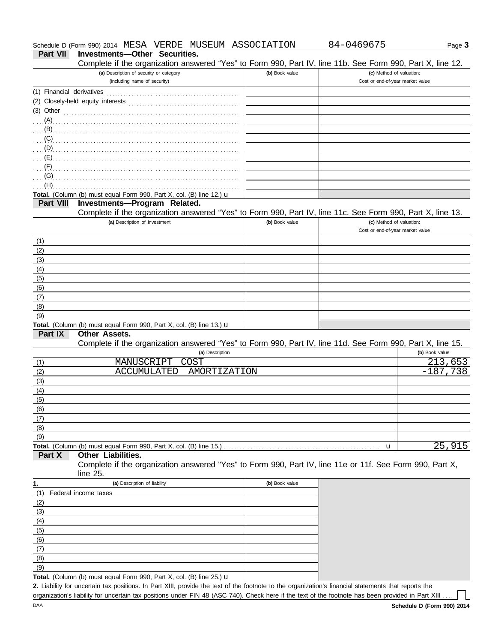| Schedule D (Form 990) 2014 | MESA | VERDE | MUSEUM | ASSOCIATION | 04696<br>ו⁄ני | ს age ა |
|----------------------------|------|-------|--------|-------------|---------------|---------|
|                            |      |       |        |             |               |         |

## **Part VII Investments—Other Securities.**

Complete if the organization answered "Yes" to Form 990, Part IV, line 11b. See Form 990, Part X, line 12.

| Complete in the organization answered these to Form 990, Part by, line into. See Form 990, Part A, line TZ.                                          |                |                                                              |                |
|------------------------------------------------------------------------------------------------------------------------------------------------------|----------------|--------------------------------------------------------------|----------------|
| (a) Description of security or category<br>(including name of security)                                                                              | (b) Book value | (c) Method of valuation:<br>Cost or end-of-year market value |                |
| (1) Financial derivatives                                                                                                                            |                |                                                              |                |
|                                                                                                                                                      |                |                                                              |                |
| (3) Other                                                                                                                                            |                |                                                              |                |
|                                                                                                                                                      |                |                                                              |                |
| $\ldots$ (A) $\ldots$                                                                                                                                |                |                                                              |                |
|                                                                                                                                                      |                |                                                              |                |
| (C)                                                                                                                                                  |                |                                                              |                |
|                                                                                                                                                      |                |                                                              |                |
|                                                                                                                                                      |                |                                                              |                |
|                                                                                                                                                      |                |                                                              |                |
| (G)                                                                                                                                                  |                |                                                              |                |
| (H)<br>Total. (Column (b) must equal Form 990, Part X, col. (B) line 12.) u                                                                          |                |                                                              |                |
| Investments-Program Related.<br><b>Part VIII</b>                                                                                                     |                |                                                              |                |
| Complete if the organization answered "Yes" to Form 990, Part IV, line 11c. See Form 990, Part X, line 13.                                           |                |                                                              |                |
| (a) Description of investment                                                                                                                        | (b) Book value | (c) Method of valuation:                                     |                |
|                                                                                                                                                      |                | Cost or end-of-year market value                             |                |
|                                                                                                                                                      |                |                                                              |                |
| (1)                                                                                                                                                  |                |                                                              |                |
| (2)                                                                                                                                                  |                |                                                              |                |
| (3)                                                                                                                                                  |                |                                                              |                |
| (4)                                                                                                                                                  |                |                                                              |                |
| (5)                                                                                                                                                  |                |                                                              |                |
| (6)                                                                                                                                                  |                |                                                              |                |
| (7)                                                                                                                                                  |                |                                                              |                |
| (8)                                                                                                                                                  |                |                                                              |                |
| (9)                                                                                                                                                  |                |                                                              |                |
| Total. (Column (b) must equal Form 990, Part X, col. (B) line 13.) u<br>Part IX<br><b>Other Assets.</b>                                              |                |                                                              |                |
| Complete if the organization answered "Yes" to Form 990, Part IV, line 11d. See Form 990, Part X, line 15.                                           |                |                                                              |                |
| (a) Description                                                                                                                                      |                |                                                              | (b) Book value |
| <b>MANUSCRIPT</b><br>COST                                                                                                                            |                |                                                              | 213,653        |
| (1)<br><b>ACCUMULATED</b><br>AMORTIZATION<br>(2)                                                                                                     |                |                                                              | $-187,738$     |
| (3)                                                                                                                                                  |                |                                                              |                |
|                                                                                                                                                      |                |                                                              |                |
| (4)<br>(5)                                                                                                                                           |                |                                                              |                |
| (6)                                                                                                                                                  |                |                                                              |                |
|                                                                                                                                                      |                |                                                              |                |
| (7)                                                                                                                                                  |                |                                                              |                |
| (8)                                                                                                                                                  |                |                                                              |                |
| (9)                                                                                                                                                  |                |                                                              | 25,915         |
| Total. (Column (b) must equal Form 990, Part X, col. (B) line 15.)<br><b>Other Liabilities.</b><br>Part X                                            |                | u                                                            |                |
| Complete if the organization answered "Yes" to Form 990, Part IV, line 11e or 11f. See Form 990, Part X,                                             |                |                                                              |                |
| line 25.                                                                                                                                             |                |                                                              |                |
| (a) Description of liability                                                                                                                         | (b) Book value |                                                              |                |
| 1.<br>Federal income taxes                                                                                                                           |                |                                                              |                |
| (1)                                                                                                                                                  |                |                                                              |                |
| (2)                                                                                                                                                  |                |                                                              |                |
| (3)                                                                                                                                                  |                |                                                              |                |
| (4)                                                                                                                                                  |                |                                                              |                |
| (5)                                                                                                                                                  |                |                                                              |                |
| (6)                                                                                                                                                  |                |                                                              |                |
| (7)                                                                                                                                                  |                |                                                              |                |
| (8)                                                                                                                                                  |                |                                                              |                |
| (9)                                                                                                                                                  |                |                                                              |                |
| Total. (Column (b) must equal Form 990, Part X, col. (B) line 25.) $\mathbf u$                                                                       |                |                                                              |                |
| 2. Liability for uncertain tax positions. In Part XIII, provide the text of the footnote to the organization's financial statements that reports the |                |                                                              |                |

organization's liability for uncertain tax positions under FIN 48 (ASC 740). Check here if the text of the footnote has been provided in Part XIII.

 $\Box$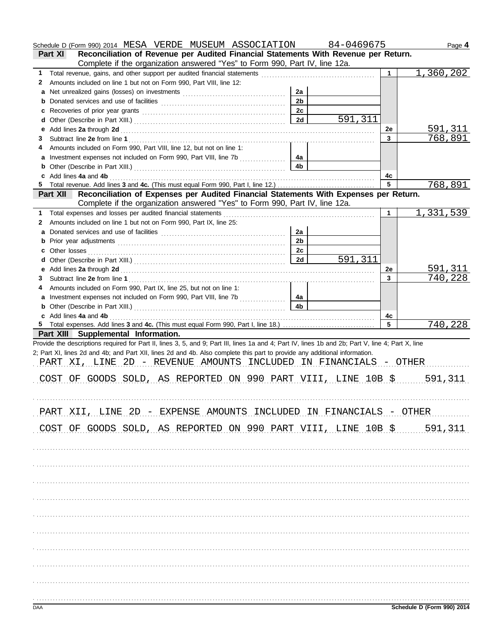|                   | Schedule D (Form 990) 2014 MESA VERDE MUSEUM ASSOCIATION 84-0469675                                                                                                                                                           |                |         |             | Page 4                     |
|-------------------|-------------------------------------------------------------------------------------------------------------------------------------------------------------------------------------------------------------------------------|----------------|---------|-------------|----------------------------|
|                   | Reconciliation of Revenue per Audited Financial Statements With Revenue per Return.<br>Part XI                                                                                                                                |                |         |             |                            |
|                   | Complete if the organization answered "Yes" to Form 990, Part IV, line 12a.                                                                                                                                                   |                |         |             |                            |
| $\mathbf{1}$<br>2 | Amounts included on line 1 but not on Form 990, Part VIII, line 12:                                                                                                                                                           |                |         | $\mathbf 1$ | 1,360,202                  |
|                   |                                                                                                                                                                                                                               | 2a             |         |             |                            |
|                   |                                                                                                                                                                                                                               | 2 <sub>b</sub> |         |             |                            |
|                   |                                                                                                                                                                                                                               | 2c             |         |             |                            |
| d                 |                                                                                                                                                                                                                               | 2d             | 591,311 |             |                            |
| е                 |                                                                                                                                                                                                                               |                |         | 2e          | 591,311                    |
| 3                 |                                                                                                                                                                                                                               |                |         | 3           | <u>768,891</u>             |
| 4                 | Amounts included on Form 990, Part VIII, line 12, but not on line 1:                                                                                                                                                          |                |         |             |                            |
|                   | a Investment expenses not included on Form 990, Part VIII, line 7b                                                                                                                                                            | 4a             |         |             |                            |
|                   |                                                                                                                                                                                                                               | 4 <sub>b</sub> |         |             |                            |
|                   | c Add lines 4a and 4b                                                                                                                                                                                                         |                |         | 4с          |                            |
|                   | Reconciliation of Expenses per Audited Financial Statements With Expenses per Return.                                                                                                                                         |                |         | 5           | 768,891                    |
|                   | <b>Part XII</b><br>Complete if the organization answered "Yes" to Form 990, Part IV, line 12a.                                                                                                                                |                |         |             |                            |
| 1.                |                                                                                                                                                                                                                               |                |         | 1           | 1,331,539                  |
| 2                 | Amounts included on line 1 but not on Form 990, Part IX, line 25:                                                                                                                                                             |                |         |             |                            |
|                   |                                                                                                                                                                                                                               | 2a             |         |             |                            |
|                   |                                                                                                                                                                                                                               | 2 <sub>b</sub> |         |             |                            |
|                   |                                                                                                                                                                                                                               | 2c             |         |             |                            |
|                   |                                                                                                                                                                                                                               | 2d             | 591,311 |             |                            |
|                   |                                                                                                                                                                                                                               |                |         | 2e          | 591,311                    |
| 3                 |                                                                                                                                                                                                                               |                |         | 3           | <u>740,228</u>             |
| 4                 | Amounts included on Form 990, Part IX, line 25, but not on line 1:                                                                                                                                                            |                |         |             |                            |
|                   | a Investment expenses not included on Form 990, Part VIII, line 7b                                                                                                                                                            | 4a             |         |             |                            |
|                   |                                                                                                                                                                                                                               | 4 <sub>b</sub> |         |             |                            |
|                   | c Add lines 4a and 4b (a) and the contract of the set of the set of the set of the set of the set of the set of the set of the set of the set of the set of the set of the set of the set of the set of the set of the set of |                |         | 4c          |                            |
|                   |                                                                                                                                                                                                                               |                |         | 5           | 740,228                    |
|                   | Part XIII Supplemental Information.                                                                                                                                                                                           |                |         |             |                            |
|                   | Provide the descriptions required for Part II, lines 3, 5, and 9; Part III, lines 1a and 4; Part IV, lines 1b and 2b; Part V, line 4; Part X, line                                                                            |                |         |             |                            |
|                   | 2; Part XI, lines 2d and 4b; and Part XII, lines 2d and 4b. Also complete this part to provide any additional information.<br>PART XI, LINE 2D - REVENUE AMOUNTS INCLUDED IN FINANCIALS - OTHER                               |                |         |             |                            |
|                   |                                                                                                                                                                                                                               |                |         |             |                            |
|                   | OF GOODS SOLD, AS REPORTED ON 990 PART VIII, LINE 10B \$ 591,311<br>COS'T                                                                                                                                                     |                |         |             |                            |
|                   |                                                                                                                                                                                                                               |                |         |             |                            |
|                   |                                                                                                                                                                                                                               |                |         |             |                            |
|                   | PART XII, LINE 2D - EXPENSE AMOUNTS INCLUDED IN FINANCIALS - OTHER                                                                                                                                                            |                |         |             |                            |
|                   |                                                                                                                                                                                                                               |                |         |             |                            |
|                   | COST OF GOODS SOLD, AS REPORTED ON 990 PART VIII, LINE 10B \$ 501,311                                                                                                                                                         |                |         |             |                            |
|                   |                                                                                                                                                                                                                               |                |         |             |                            |
|                   |                                                                                                                                                                                                                               |                |         |             |                            |
|                   |                                                                                                                                                                                                                               |                |         |             |                            |
|                   |                                                                                                                                                                                                                               |                |         |             |                            |
|                   |                                                                                                                                                                                                                               |                |         |             |                            |
|                   |                                                                                                                                                                                                                               |                |         |             |                            |
|                   |                                                                                                                                                                                                                               |                |         |             |                            |
|                   |                                                                                                                                                                                                                               |                |         |             |                            |
|                   |                                                                                                                                                                                                                               |                |         |             |                            |
|                   |                                                                                                                                                                                                                               |                |         |             |                            |
|                   |                                                                                                                                                                                                                               |                |         |             |                            |
|                   |                                                                                                                                                                                                                               |                |         |             |                            |
|                   |                                                                                                                                                                                                                               |                |         |             |                            |
|                   |                                                                                                                                                                                                                               |                |         |             |                            |
|                   |                                                                                                                                                                                                                               |                |         |             |                            |
|                   |                                                                                                                                                                                                                               |                |         |             |                            |
|                   |                                                                                                                                                                                                                               |                |         |             |                            |
| DAA               |                                                                                                                                                                                                                               |                |         |             | Schedule D (Form 990) 2014 |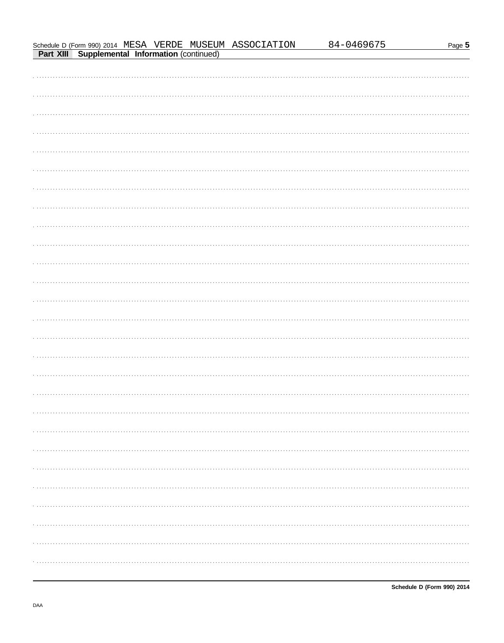# 84-0469675 Schedule D (Form 990) 2014 MESA VERDE MUSEUM ASSOCIATION Part XIII Supplemental Information (continued)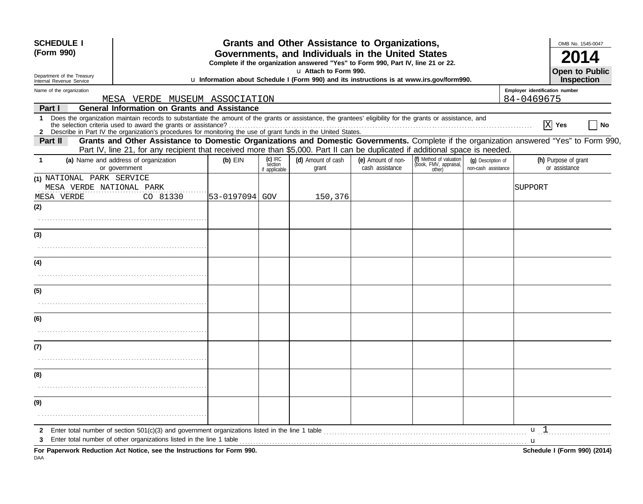| <b>SCHEDULE I</b><br>(Form 990)                        |                           |                                                                                                                                                                                                                                                     |                                                                                                                    |                                       | Grants and Other Assistance to Organizations,<br>Governments, and Individuals in the United States<br>Complete if the organization answered "Yes" to Form 990, Part IV, line 21 or 22. |                                       |                                                            |                                           | OMB No. 1545-0047                                                                                                                        |
|--------------------------------------------------------|---------------------------|-----------------------------------------------------------------------------------------------------------------------------------------------------------------------------------------------------------------------------------------------------|--------------------------------------------------------------------------------------------------------------------|---------------------------------------|----------------------------------------------------------------------------------------------------------------------------------------------------------------------------------------|---------------------------------------|------------------------------------------------------------|-------------------------------------------|------------------------------------------------------------------------------------------------------------------------------------------|
| Department of the Treasury<br>Internal Revenue Service |                           |                                                                                                                                                                                                                                                     | u Attach to Form 990.<br>u Information about Schedule I (Form 990) and its instructions is at www.irs.gov/form990. |                                       |                                                                                                                                                                                        |                                       |                                                            |                                           | <b>Open to Public</b><br>Inspection                                                                                                      |
| Name of the organization                               |                           |                                                                                                                                                                                                                                                     |                                                                                                                    |                                       |                                                                                                                                                                                        |                                       |                                                            |                                           | Employer identification number                                                                                                           |
|                                                        |                           | MESA VERDE MUSEUM ASSOCIATION<br><b>General Information on Grants and Assistance</b>                                                                                                                                                                |                                                                                                                    |                                       |                                                                                                                                                                                        |                                       |                                                            |                                           | 84-0469675                                                                                                                               |
| <b>Part I</b><br>1                                     |                           | Does the organization maintain records to substantiate the amount of the grants or assistance, the grantees' eligibility for the grants or assistance, and<br>the selection criteria used to award the grants or assistance?                        |                                                                                                                    |                                       |                                                                                                                                                                                        |                                       |                                                            |                                           | $X$ Yes<br>No                                                                                                                            |
| <b>Part II</b>                                         |                           | Part IV, line 21, for any recipient that received more than \$5,000. Part II can be duplicated if additional space is needed.                                                                                                                       |                                                                                                                    |                                       |                                                                                                                                                                                        |                                       |                                                            |                                           | Grants and Other Assistance to Domestic Organizations and Domestic Governments. Complete if the organization answered "Yes" to Form 990, |
| 1.                                                     |                           | (a) Name and address of organization<br>or government                                                                                                                                                                                               | $(b)$ EIN                                                                                                          | $(c)$ IRC<br>section<br>if applicable | (d) Amount of cash<br>grant                                                                                                                                                            | (e) Amount of non-<br>cash assistance | (f) Method of valuation<br>(book, FMV, appraisal<br>other) | (q) Description of<br>non-cash assistance | (h) Purpose of grant<br>or assistance                                                                                                    |
| MESA VERDE                                             | (1) NATIONAL PARK SERVICE | MESA VERDE NATIONAL PARK<br>CO 81330                                                                                                                                                                                                                | 53-0197094 GOV                                                                                                     |                                       | 150,376                                                                                                                                                                                |                                       |                                                            |                                           | SUPPORT                                                                                                                                  |
| (2)                                                    |                           |                                                                                                                                                                                                                                                     |                                                                                                                    |                                       |                                                                                                                                                                                        |                                       |                                                            |                                           |                                                                                                                                          |
| (3)                                                    |                           |                                                                                                                                                                                                                                                     |                                                                                                                    |                                       |                                                                                                                                                                                        |                                       |                                                            |                                           |                                                                                                                                          |
| (4)                                                    |                           |                                                                                                                                                                                                                                                     |                                                                                                                    |                                       |                                                                                                                                                                                        |                                       |                                                            |                                           |                                                                                                                                          |
| (5)                                                    |                           |                                                                                                                                                                                                                                                     |                                                                                                                    |                                       |                                                                                                                                                                                        |                                       |                                                            |                                           |                                                                                                                                          |
| (6)                                                    |                           |                                                                                                                                                                                                                                                     |                                                                                                                    |                                       |                                                                                                                                                                                        |                                       |                                                            |                                           |                                                                                                                                          |
| (7)                                                    |                           |                                                                                                                                                                                                                                                     |                                                                                                                    |                                       |                                                                                                                                                                                        |                                       |                                                            |                                           |                                                                                                                                          |
| (8)                                                    |                           |                                                                                                                                                                                                                                                     |                                                                                                                    |                                       |                                                                                                                                                                                        |                                       |                                                            |                                           |                                                                                                                                          |
| (9)                                                    |                           |                                                                                                                                                                                                                                                     |                                                                                                                    |                                       |                                                                                                                                                                                        |                                       |                                                            |                                           |                                                                                                                                          |
| 2                                                      |                           | Enter total number of section $501(c)(3)$ and government organizations listed in the line 1 table<br>Enter total number of other organizations listed in the line 1 table<br>For Paperwork Reduction Act Notice, see the Instructions for Form 990. |                                                                                                                    |                                       |                                                                                                                                                                                        |                                       |                                                            |                                           | u l<br>u<br>Schedule I (Form 990) (2014)                                                                                                 |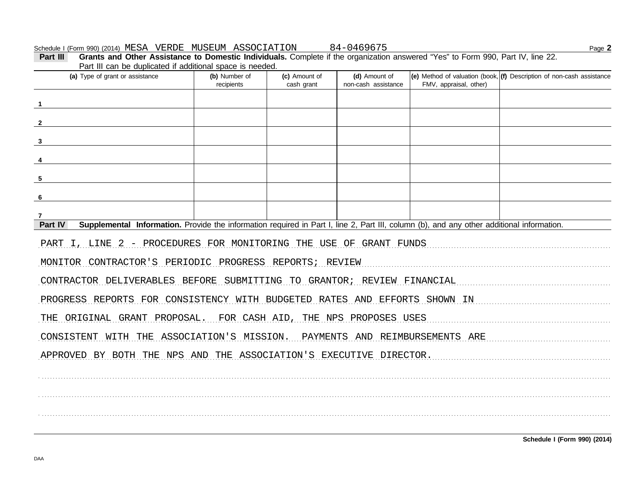Part III can be duplicated if additional space is needed. (a) Type of grant or assistance (b) Number of (d) Amount of (e) Method of valuation (book, (f) Description of non-cash assistance (c) Amount of recipients cash grant non-cash assistance FMV, appraisal, other)  $\overline{\mathbf{1}}$  $\mathbf{2}$  $\overline{\mathbf{3}}$  $\overline{4}$ 5 6  $\overline{7}$ Part IV Supplemental Information. Provide the information required in Part I, line 2, Part III, column (b), and any other additional information. PART I, LINE 2 - PROCEDURES FOR MONITORING THE USE OF GRANT FUNDS MONITOR CONTRACTOR'S PERIODIC PROGRESS REPORTS; REVIEW CONTRACTOR DELIVERABLES BEFORE SUBMITTING TO GRANTOR; REVIEW FINANCIAL PROGRESS REPORTS FOR CONSISTENCY WITH BUDGETED RATES AND EFFORTS SHOWN IN THE ORIGINAL GRANT PROPOSAL. FOR CASH AID, THE NPS PROPOSES USES CONSISTENT WITH THE ASSOCIATION'S MISSION. PAYMENTS AND REIMBURSEMENTS ARE APPROVED BY BOTH THE NPS AND THE ASSOCIATION'S EXECUTIVE DIRECTOR.

Page 2

**DAA** 

Part III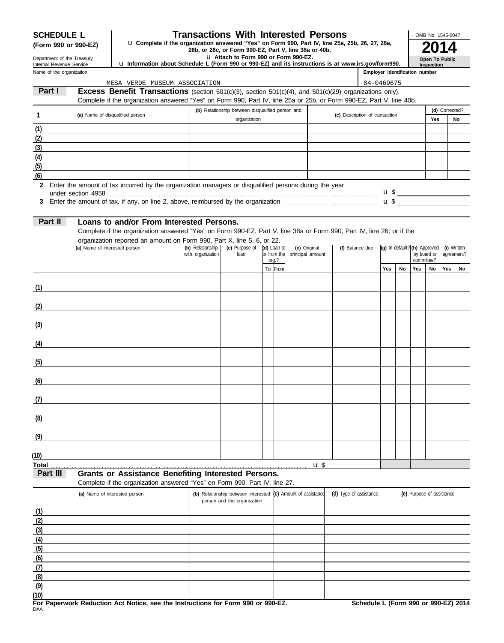## **SCHEDULE L Transactions With Interested Persons**

**28b, or 28c, or Form 990, Part IV, line 25a, 25b, 26, 27, 28a,**<br>28b, or 28c, or Form 990-EZ, Part V, line 38a or 40b.<br>**2014 (Form 990 or 990-EZ)** u **Complete if the organization answered "Yes" on Form 990, Part IV, line 25a, 25b, 26, 27, 28a,**

u **Attach to Form 990 or Form 990-EZ.**

Department of the Treasury Internal Revenue Service

**(6) (5)**

**(7) (8) (9)**

## u **Information about Schedule L (Form 990 or 990-EZ) and its instructions is at www.irs.gov/form990.**

| Open To Public<br>Inspection |
|------------------------------|
|                              |

OMB No. 1545-0047

| <b>INCING INCRENTE OCIVICE</b><br>Name of the organization | $\alpha$ information about beheating E (i only you or you EE) and its modulations is at www.ms.gov/romiosole $\vert$                     |                   |                                                                    |                      |                             |                                | Employer identification number |                              |                           | <b>1115Dection</b>        |                |                          |
|------------------------------------------------------------|------------------------------------------------------------------------------------------------------------------------------------------|-------------------|--------------------------------------------------------------------|----------------------|-----------------------------|--------------------------------|--------------------------------|------------------------------|---------------------------|---------------------------|----------------|--------------------------|
|                                                            | MESA VERDE MUSEUM ASSOCIATION                                                                                                            |                   |                                                                    |                      |                             |                                | 84-0469675                     |                              |                           |                           |                |                          |
| Part I                                                     | <b>Excess Benefit Transactions</b> (section $501(c)(3)$ , section $501(c)(4)$ , and $501(c)(29)$ organizations only).                    |                   |                                                                    |                      |                             |                                |                                |                              |                           |                           |                |                          |
|                                                            | Complete if the organization answered "Yes" on Form 990, Part IV, line 25a or 25b, or Form 990-EZ, Part V, line 40b.                     |                   |                                                                    |                      |                             |                                |                                |                              |                           |                           |                |                          |
| $\mathbf{1}$                                               | (a) Name of disqualified person                                                                                                          |                   | (b) Relationship between disqualified person and                   |                      |                             | (c) Description of transaction |                                |                              |                           |                           | (d) Corrected? |                          |
|                                                            |                                                                                                                                          |                   | organization                                                       |                      |                             |                                |                                |                              |                           | Yes                       |                | No                       |
| (1)                                                        |                                                                                                                                          |                   |                                                                    |                      |                             |                                |                                |                              |                           |                           |                |                          |
| (2)                                                        |                                                                                                                                          |                   |                                                                    |                      |                             |                                |                                |                              |                           |                           |                |                          |
| (3)                                                        |                                                                                                                                          |                   |                                                                    |                      |                             |                                |                                |                              |                           |                           |                |                          |
| (4)<br>(5)                                                 |                                                                                                                                          |                   |                                                                    |                      |                             |                                |                                |                              |                           |                           |                |                          |
| (6)                                                        |                                                                                                                                          |                   |                                                                    |                      |                             |                                |                                |                              |                           |                           |                |                          |
|                                                            | 2 Enter the amount of tax incurred by the organization managers or disqualified persons during the year                                  |                   |                                                                    |                      |                             |                                |                                |                              |                           |                           |                |                          |
|                                                            |                                                                                                                                          |                   |                                                                    |                      |                             |                                |                                |                              |                           |                           |                | $\mathbf{u} \mathbf{\$}$ |
| 3                                                          |                                                                                                                                          |                   |                                                                    |                      |                             |                                |                                |                              |                           |                           |                | $\mathbf{u}$ \$          |
|                                                            |                                                                                                                                          |                   |                                                                    |                      |                             |                                |                                |                              |                           |                           |                |                          |
| Part II                                                    | Loans to and/or From Interested Persons.                                                                                                 |                   |                                                                    |                      |                             |                                |                                |                              |                           |                           |                |                          |
|                                                            | Complete if the organization answered "Yes" on Form 990-EZ, Part V, line 38a or Form 990, Part IV, line 26; or if the                    |                   |                                                                    |                      |                             |                                |                                |                              |                           |                           |                |                          |
|                                                            | organization reported an amount on Form 990, Part X, line 5, 6, or 22.<br>(a) Name of interested person                                  | (b) Relationship  | (c) Purpose of                                                     | (d) Loan to          | (e) Original                | (f) Balance due                |                                | (g) In default? (h) Approved |                           |                           |                | (i) Written              |
|                                                            |                                                                                                                                          | with organization | loan                                                               | or from the<br>org.? | principal amount            |                                |                                |                              |                           | by board or<br>committee? |                | agreement?               |
|                                                            |                                                                                                                                          |                   |                                                                    | To From              |                             |                                | Yes                            | <b>No</b>                    | Yes                       | No                        | Yes            | No                       |
|                                                            |                                                                                                                                          |                   |                                                                    |                      |                             |                                |                                |                              |                           |                           |                |                          |
| (1)                                                        |                                                                                                                                          |                   |                                                                    |                      |                             |                                |                                |                              |                           |                           |                |                          |
|                                                            |                                                                                                                                          |                   |                                                                    |                      |                             |                                |                                |                              |                           |                           |                |                          |
| (2)                                                        | <u> 1989 - Johann Stoff, deutscher Stoffen und der Stoffen und der Stoffen und der Stoffen und der Stoffen und der </u>                  |                   |                                                                    |                      |                             |                                |                                |                              |                           |                           |                |                          |
|                                                            |                                                                                                                                          |                   |                                                                    |                      |                             |                                |                                |                              |                           |                           |                |                          |
| (3)                                                        | <u> 1989 - Johann Stoff, deutscher Stoffen und der Stoffen und der Stoffen und der Stoffen und der Stoffen und der </u>                  |                   |                                                                    |                      |                             |                                |                                |                              |                           |                           |                |                          |
| (4)                                                        |                                                                                                                                          |                   |                                                                    |                      |                             |                                |                                |                              |                           |                           |                |                          |
|                                                            |                                                                                                                                          |                   |                                                                    |                      |                             |                                |                                |                              |                           |                           |                |                          |
| (5)                                                        | <u> Alexandria de la contrada de la contrada de la contrada de la contrada de la contrada de la contrada de la c</u>                     |                   |                                                                    |                      |                             |                                |                                |                              |                           |                           |                |                          |
|                                                            |                                                                                                                                          |                   |                                                                    |                      |                             |                                |                                |                              |                           |                           |                |                          |
| (6)                                                        |                                                                                                                                          |                   |                                                                    |                      |                             |                                |                                |                              |                           |                           |                |                          |
|                                                            |                                                                                                                                          |                   |                                                                    |                      |                             |                                |                                |                              |                           |                           |                |                          |
| (7)                                                        |                                                                                                                                          |                   |                                                                    |                      |                             |                                |                                |                              |                           |                           |                |                          |
| (8)                                                        |                                                                                                                                          |                   |                                                                    |                      |                             |                                |                                |                              |                           |                           |                |                          |
|                                                            |                                                                                                                                          |                   |                                                                    |                      |                             |                                |                                |                              |                           |                           |                |                          |
| (9)                                                        |                                                                                                                                          |                   |                                                                    |                      |                             |                                |                                |                              |                           |                           |                |                          |
|                                                            |                                                                                                                                          |                   |                                                                    |                      |                             |                                |                                |                              |                           |                           |                |                          |
| (10)                                                       |                                                                                                                                          |                   |                                                                    |                      |                             |                                |                                |                              |                           |                           |                |                          |
| Total                                                      |                                                                                                                                          |                   |                                                                    |                      | $\mathbf{u} \, \mathbf{\$}$ |                                |                                |                              |                           |                           |                |                          |
| Part III                                                   | <b>Grants or Assistance Benefiting Interested Persons.</b><br>Complete if the organization answered "Yes" on Form 990, Part IV, line 27. |                   |                                                                    |                      |                             |                                |                                |                              |                           |                           |                |                          |
|                                                            | (a) Name of interested person                                                                                                            |                   | (b) Relationship between interested<br>person and the organization |                      | (c) Amount of assistance    | (d) Type of assistance         |                                |                              | (e) Purpose of assistance |                           |                |                          |
| (1)                                                        |                                                                                                                                          |                   |                                                                    |                      |                             |                                |                                |                              |                           |                           |                |                          |
| (2)                                                        |                                                                                                                                          |                   |                                                                    |                      |                             |                                |                                |                              |                           |                           |                |                          |
| (3)                                                        |                                                                                                                                          |                   |                                                                    |                      |                             |                                |                                |                              |                           |                           |                |                          |
| (4)                                                        |                                                                                                                                          |                   |                                                                    |                      |                             |                                |                                |                              |                           |                           |                |                          |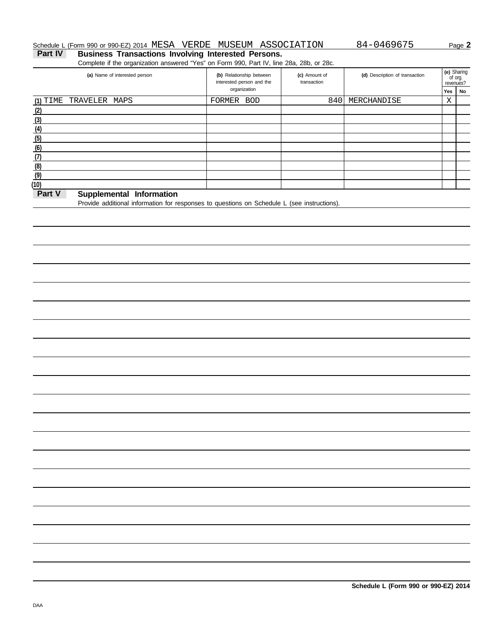## Schedule L (Form 990 or 990-EZ) 2014 MESA VERDE MUSEUM ASSOCIATION 84-0469675 Page 2

Part IV Business Transactions Involving Interested Persons.

Complete if the organization answered "Yes" on Form 990, Part IV, line 28a, 28b, or 28c.

| (a) Name of interested person          | (b) Relationship between<br>interested person and the | (c) Amount of<br>transaction | (d) Description of transaction |     | (e) Sharing<br>of org.<br>revenues? |
|----------------------------------------|-------------------------------------------------------|------------------------------|--------------------------------|-----|-------------------------------------|
|                                        | organization                                          |                              |                                | Yes | No                                  |
| $(1)$ TIME<br>TRAVELER MAPS            | FORMER<br>BOD                                         | 8401                         | MERCHANDISE                    | Χ   |                                     |
| (2)                                    |                                                       |                              |                                |     |                                     |
| (3)                                    |                                                       |                              |                                |     |                                     |
| (4)                                    |                                                       |                              |                                |     |                                     |
| (5)                                    |                                                       |                              |                                |     |                                     |
| (6)                                    |                                                       |                              |                                |     |                                     |
| (7)                                    |                                                       |                              |                                |     |                                     |
| (8)                                    |                                                       |                              |                                |     |                                     |
| (9)                                    |                                                       |                              |                                |     |                                     |
| (10)                                   |                                                       |                              |                                |     |                                     |
| $Dout$ $M$<br>Cupulamental Information |                                                       |                              |                                |     |                                     |

## **Part V** Supplemental Information

Provide additional information for responses to questions on Schedule L (see instructions).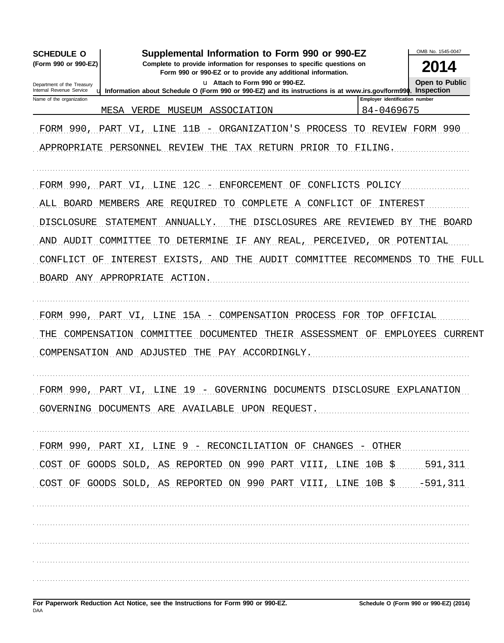| Supplemental Information to Form 990 or 990-EZ<br><b>SCHEDULE O</b>                                                                                                    |                                | OMB No. 1545-0047     |
|------------------------------------------------------------------------------------------------------------------------------------------------------------------------|--------------------------------|-----------------------|
| (Form 990 or 990-EZ)<br>Complete to provide information for responses to specific questions on<br>Form 990 or 990-EZ or to provide any additional information.         |                                | 2014                  |
| u Attach to Form 990 or 990-EZ.<br>Department of the Treasury                                                                                                          |                                | <b>Open to Public</b> |
| Internal Revenue Service<br>u Information about Schedule O (Form 990 or 990-EZ) and its instructions is at www.irs.gov/form990. Inspection<br>Name of the organization | Employer identification number |                       |
| MESA<br>VERDE<br>MUSEUM<br>ASSOCIATION                                                                                                                                 | 84-0469675                     |                       |
| FORM 990, PART VI, LINE<br>11B<br>- ORGANIZATION'S PROCESS                                                                                                             | TО                             | REVIEW FORM 990       |
| APPROPRIATE PERSONNEL REVIEW<br>TAX RETURN PRIOR TO FILING.<br>THE                                                                                                     |                                |                       |
| 12C -<br>FORM 990, PART VI, LINE<br>ENFORCEMENT<br>CONFLICTS<br>ΟF                                                                                                     | POLICY                         |                       |
| BOARD<br>MEMBERS<br>COMPLETE<br>CONFLICT<br>ALL<br>ARE<br>REQUIRED<br>TО<br>A                                                                                          | INTEREST<br>ΟF                 |                       |
| <b>DISCLOSURE</b><br>STATEMENT<br><b>DISCLOSURES</b><br>ANNUALLY.<br>THE<br>ARE                                                                                        | REVIEWED<br>BY                 | BOARD<br>THE          |
| AUDIT<br>COMMITTEE<br>DETERMINE<br>ΙF<br>ANY REAL<br>PERCEIVED<br>AND<br>TО                                                                                            | OR POTENTIAL                   |                       |
| EXISTS, AND<br>CONFLICT<br>OF<br>INTEREST<br>THE<br>AUDIT<br>COMMITTEE                                                                                                 | RECOMMENDS                     | TO<br>THE<br>FULL     |
| BOARD ANY APPROPRIATE<br>ACTION.                                                                                                                                       |                                |                       |
|                                                                                                                                                                        |                                |                       |
| FORM 990, PART VI, LINE 15A - COMPENSATION PROCESS FOR TOP OFFICIAL                                                                                                    |                                |                       |
| THEIR ASSESSMENT<br>COMPENSATION<br>COMMITTEE<br>DOCUMENTED<br>THE                                                                                                     | OF<br>EMPLOYEES                | CURRENT               |
| THE PAY ACCORDINGLY.<br>COMPENSATION AND ADJUSTED                                                                                                                      |                                |                       |
|                                                                                                                                                                        |                                |                       |
| FORM 990, PART VI, LINE 19 - GOVERNING DOCUMENTS DISCLOSURE EXPLANATION                                                                                                |                                |                       |
| GOVERNING DOCUMENTS ARE AVAILABLE UPON REQUEST.                                                                                                                        |                                |                       |
|                                                                                                                                                                        |                                |                       |
| FORM 990, PART XI, LINE 9 - RECONCILIATION OF CHANGES - OTHER                                                                                                          |                                |                       |
| COST OF GOODS SOLD, AS REPORTED ON 990 PART VIII, LINE 10B \$ 591,311                                                                                                  |                                |                       |
| COST OF GOODS SOLD, AS REPORTED ON 990 PART VIII, LINE 10B \$ -591, 311                                                                                                |                                |                       |
|                                                                                                                                                                        |                                |                       |
|                                                                                                                                                                        |                                |                       |
|                                                                                                                                                                        |                                |                       |
|                                                                                                                                                                        |                                |                       |
|                                                                                                                                                                        |                                |                       |
|                                                                                                                                                                        |                                |                       |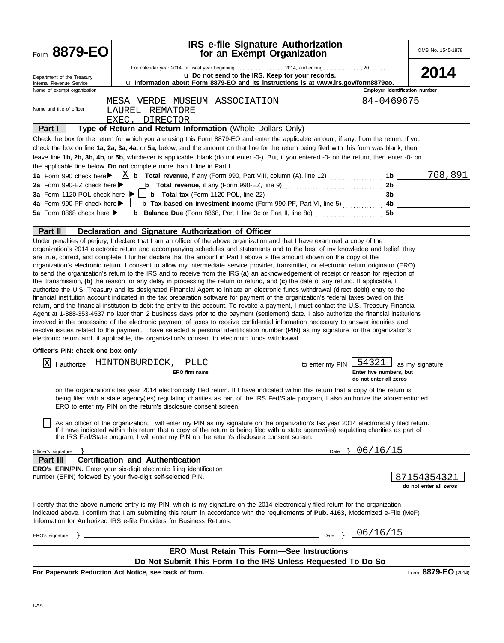| Form 8879-EO                                                 |                                                                                                                                                                                                                                                                                                                                                                                                                                                                                                                                                                                                                                                                                                                                                                                                                                                                                                                                                                                                                                                                                                                                                                                                                                                                                                                                                                                         | <b>IRS e-file Signature Authorization</b><br>for an Exempt Organization                                                                                                                                           |                                                            | OMB No. 1545-1878                     |
|--------------------------------------------------------------|-----------------------------------------------------------------------------------------------------------------------------------------------------------------------------------------------------------------------------------------------------------------------------------------------------------------------------------------------------------------------------------------------------------------------------------------------------------------------------------------------------------------------------------------------------------------------------------------------------------------------------------------------------------------------------------------------------------------------------------------------------------------------------------------------------------------------------------------------------------------------------------------------------------------------------------------------------------------------------------------------------------------------------------------------------------------------------------------------------------------------------------------------------------------------------------------------------------------------------------------------------------------------------------------------------------------------------------------------------------------------------------------|-------------------------------------------------------------------------------------------------------------------------------------------------------------------------------------------------------------------|------------------------------------------------------------|---------------------------------------|
| Department of the Treasury<br>Internal Revenue Service       |                                                                                                                                                                                                                                                                                                                                                                                                                                                                                                                                                                                                                                                                                                                                                                                                                                                                                                                                                                                                                                                                                                                                                                                                                                                                                                                                                                                         | For calendar year 2014, or fiscal year beginning  2014, and ending  20<br>u Do not send to the IRS. Keep for your records.<br>u Information about Form 8879-EO and its instructions is at www.irs.gov/form8879eo. |                                                            | 2014                                  |
| Name of exempt organization                                  |                                                                                                                                                                                                                                                                                                                                                                                                                                                                                                                                                                                                                                                                                                                                                                                                                                                                                                                                                                                                                                                                                                                                                                                                                                                                                                                                                                                         |                                                                                                                                                                                                                   | Employer identification number                             |                                       |
| Name and title of officer                                    | MESA VERDE MUSEUM ASSOCIATION                                                                                                                                                                                                                                                                                                                                                                                                                                                                                                                                                                                                                                                                                                                                                                                                                                                                                                                                                                                                                                                                                                                                                                                                                                                                                                                                                           |                                                                                                                                                                                                                   | 84-0469675                                                 |                                       |
|                                                              | LAUREL REMATORE<br>EXEC. DIRECTOR                                                                                                                                                                                                                                                                                                                                                                                                                                                                                                                                                                                                                                                                                                                                                                                                                                                                                                                                                                                                                                                                                                                                                                                                                                                                                                                                                       |                                                                                                                                                                                                                   |                                                            |                                       |
| Part I                                                       | Type of Return and Return Information (Whole Dollars Only)                                                                                                                                                                                                                                                                                                                                                                                                                                                                                                                                                                                                                                                                                                                                                                                                                                                                                                                                                                                                                                                                                                                                                                                                                                                                                                                              |                                                                                                                                                                                                                   |                                                            |                                       |
|                                                              | Check the box for the return for which you are using this Form 8879-EO and enter the applicable amount, if any, from the return. If you                                                                                                                                                                                                                                                                                                                                                                                                                                                                                                                                                                                                                                                                                                                                                                                                                                                                                                                                                                                                                                                                                                                                                                                                                                                 |                                                                                                                                                                                                                   |                                                            |                                       |
|                                                              | check the box on line 1a, 2a, 3a, 4a, or 5a, below, and the amount on that line for the return being filed with this form was blank, then                                                                                                                                                                                                                                                                                                                                                                                                                                                                                                                                                                                                                                                                                                                                                                                                                                                                                                                                                                                                                                                                                                                                                                                                                                               |                                                                                                                                                                                                                   |                                                            |                                       |
|                                                              | leave line 1b, 2b, 3b, 4b, or 5b, whichever is applicable, blank (do not enter -0-). But, if you entered -0- on the return, then enter -0- on                                                                                                                                                                                                                                                                                                                                                                                                                                                                                                                                                                                                                                                                                                                                                                                                                                                                                                                                                                                                                                                                                                                                                                                                                                           |                                                                                                                                                                                                                   |                                                            |                                       |
|                                                              | the applicable line below. Do not complete more than 1 line in Part I.                                                                                                                                                                                                                                                                                                                                                                                                                                                                                                                                                                                                                                                                                                                                                                                                                                                                                                                                                                                                                                                                                                                                                                                                                                                                                                                  |                                                                                                                                                                                                                   |                                                            |                                       |
| 1a Form 990 check here▶                                      | $\boxed{\underline{X} \underline{b}}$ Total revenue, if any (Form 990, Part VIII, column (A), line 12)                                                                                                                                                                                                                                                                                                                                                                                                                                                                                                                                                                                                                                                                                                                                                                                                                                                                                                                                                                                                                                                                                                                                                                                                                                                                                  |                                                                                                                                                                                                                   |                                                            | 768,891                               |
| 2a Form 990-EZ check here ▶<br>3a Form 1120-POL check here ▶ |                                                                                                                                                                                                                                                                                                                                                                                                                                                                                                                                                                                                                                                                                                                                                                                                                                                                                                                                                                                                                                                                                                                                                                                                                                                                                                                                                                                         | <b>b</b> Total revenue, if any (Form 990-EZ, line 9) $\ldots$ $\ldots$ $\ldots$ $\ldots$ $\ldots$ $\ldots$                                                                                                        |                                                            | 2b<br>3b                              |
| 4a Form 990-PF check here ▶                                  |                                                                                                                                                                                                                                                                                                                                                                                                                                                                                                                                                                                                                                                                                                                                                                                                                                                                                                                                                                                                                                                                                                                                                                                                                                                                                                                                                                                         |                                                                                                                                                                                                                   |                                                            |                                       |
|                                                              |                                                                                                                                                                                                                                                                                                                                                                                                                                                                                                                                                                                                                                                                                                                                                                                                                                                                                                                                                                                                                                                                                                                                                                                                                                                                                                                                                                                         |                                                                                                                                                                                                                   | 5b                                                         |                                       |
|                                                              |                                                                                                                                                                                                                                                                                                                                                                                                                                                                                                                                                                                                                                                                                                                                                                                                                                                                                                                                                                                                                                                                                                                                                                                                                                                                                                                                                                                         |                                                                                                                                                                                                                   |                                                            |                                       |
| Part II                                                      | Declaration and Signature Authorization of Officer<br>Under penalties of perjury, I declare that I am an officer of the above organization and that I have examined a copy of the                                                                                                                                                                                                                                                                                                                                                                                                                                                                                                                                                                                                                                                                                                                                                                                                                                                                                                                                                                                                                                                                                                                                                                                                       |                                                                                                                                                                                                                   |                                                            |                                       |
|                                                              | organization's electronic return. I consent to allow my intermediate service provider, transmitter, or electronic return originator (ERO)<br>to send the organization's return to the IRS and to receive from the IRS (a) an acknowledgement of receipt or reason for rejection of<br>the transmission, (b) the reason for any delay in processing the return or refund, and (c) the date of any refund. If applicable, I<br>authorize the U.S. Treasury and its designated Financial Agent to initiate an electronic funds withdrawal (direct debit) entry to the<br>financial institution account indicated in the tax preparation software for payment of the organization's federal taxes owed on this<br>return, and the financial institution to debit the entry to this account. To revoke a payment, I must contact the U.S. Treasury Financial<br>Agent at 1-888-353-4537 no later than 2 business days prior to the payment (settlement) date. I also authorize the financial institutions<br>involved in the processing of the electronic payment of taxes to receive confidential information necessary to answer inquiries and<br>resolve issues related to the payment. I have selected a personal identification number (PIN) as my signature for the organization's<br>electronic return and, if applicable, the organization's consent to electronic funds withdrawal. |                                                                                                                                                                                                                   |                                                            |                                       |
| Officer's PIN: check one box only                            |                                                                                                                                                                                                                                                                                                                                                                                                                                                                                                                                                                                                                                                                                                                                                                                                                                                                                                                                                                                                                                                                                                                                                                                                                                                                                                                                                                                         |                                                                                                                                                                                                                   |                                                            |                                       |
| Ιx                                                           | I authorize _HINTONBURDICK,<br><b>PLLC</b><br>ERO firm name                                                                                                                                                                                                                                                                                                                                                                                                                                                                                                                                                                                                                                                                                                                                                                                                                                                                                                                                                                                                                                                                                                                                                                                                                                                                                                                             | to enter my PIN                                                                                                                                                                                                   | 54321<br>Enter five numbers, but<br>do not enter all zeros | as my signature                       |
|                                                              | on the organization's tax year 2014 electronically filed return. If I have indicated within this return that a copy of the return is<br>being filed with a state agency(ies) regulating charities as part of the IRS Fed/State program, I also authorize the aforementioned<br>ERO to enter my PIN on the return's disclosure consent screen.                                                                                                                                                                                                                                                                                                                                                                                                                                                                                                                                                                                                                                                                                                                                                                                                                                                                                                                                                                                                                                           |                                                                                                                                                                                                                   |                                                            |                                       |
|                                                              | As an officer of the organization, I will enter my PIN as my signature on the organization's tax year 2014 electronically filed return.<br>If I have indicated within this return that a copy of the return is being filed with a state agency(ies) regulating charities as part of<br>the IRS Fed/State program, I will enter my PIN on the return's disclosure consent screen.                                                                                                                                                                                                                                                                                                                                                                                                                                                                                                                                                                                                                                                                                                                                                                                                                                                                                                                                                                                                        |                                                                                                                                                                                                                   |                                                            |                                       |
| Officer's signature                                          |                                                                                                                                                                                                                                                                                                                                                                                                                                                                                                                                                                                                                                                                                                                                                                                                                                                                                                                                                                                                                                                                                                                                                                                                                                                                                                                                                                                         | Date $\}$                                                                                                                                                                                                         | 06/16/15                                                   |                                       |
| Part III                                                     | <b>Certification and Authentication</b>                                                                                                                                                                                                                                                                                                                                                                                                                                                                                                                                                                                                                                                                                                                                                                                                                                                                                                                                                                                                                                                                                                                                                                                                                                                                                                                                                 |                                                                                                                                                                                                                   |                                                            |                                       |
|                                                              | <b>ERO's EFIN/PIN.</b> Enter your six-digit electronic filing identification<br>number (EFIN) followed by your five-digit self-selected PIN.                                                                                                                                                                                                                                                                                                                                                                                                                                                                                                                                                                                                                                                                                                                                                                                                                                                                                                                                                                                                                                                                                                                                                                                                                                            |                                                                                                                                                                                                                   |                                                            | 87154354321<br>do not enter all zeros |
|                                                              | I certify that the above numeric entry is my PIN, which is my signature on the 2014 electronically filed return for the organization<br>indicated above. I confirm that I am submitting this return in accordance with the requirements of Pub. 4163, Modernized e-File (MeF)<br>Information for Authorized IRS e-file Providers for Business Returns.                                                                                                                                                                                                                                                                                                                                                                                                                                                                                                                                                                                                                                                                                                                                                                                                                                                                                                                                                                                                                                  |                                                                                                                                                                                                                   |                                                            |                                       |
| ERO's signature                                              |                                                                                                                                                                                                                                                                                                                                                                                                                                                                                                                                                                                                                                                                                                                                                                                                                                                                                                                                                                                                                                                                                                                                                                                                                                                                                                                                                                                         | Date }                                                                                                                                                                                                            | 06/16/15                                                   |                                       |
|                                                              |                                                                                                                                                                                                                                                                                                                                                                                                                                                                                                                                                                                                                                                                                                                                                                                                                                                                                                                                                                                                                                                                                                                                                                                                                                                                                                                                                                                         | <b>ERO Must Retain This Form-See Instructions</b>                                                                                                                                                                 |                                                            |                                       |
|                                                              |                                                                                                                                                                                                                                                                                                                                                                                                                                                                                                                                                                                                                                                                                                                                                                                                                                                                                                                                                                                                                                                                                                                                                                                                                                                                                                                                                                                         | Do Not Submit This Form To the IRS Unless Requested To Do So                                                                                                                                                      |                                                            |                                       |
|                                                              | For Paperwork Reduction Act Notice, see back of form.                                                                                                                                                                                                                                                                                                                                                                                                                                                                                                                                                                                                                                                                                                                                                                                                                                                                                                                                                                                                                                                                                                                                                                                                                                                                                                                                   |                                                                                                                                                                                                                   |                                                            | Form 8879-EO (2014)                   |
|                                                              |                                                                                                                                                                                                                                                                                                                                                                                                                                                                                                                                                                                                                                                                                                                                                                                                                                                                                                                                                                                                                                                                                                                                                                                                                                                                                                                                                                                         |                                                                                                                                                                                                                   |                                                            |                                       |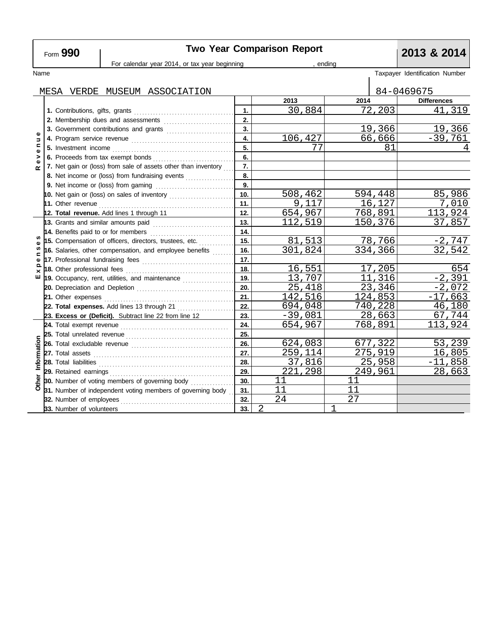# **Two Year Comparison Report**<br>or tax year beginning **1990 Report 1991 Participal Proport**

|                                       |                                                                                                                                                                                                                                     | For calendar year 2014, or tax year beginning | ending                |           |         |                      |                                |
|---------------------------------------|-------------------------------------------------------------------------------------------------------------------------------------------------------------------------------------------------------------------------------------|-----------------------------------------------|-----------------------|-----------|---------|----------------------|--------------------------------|
| Name                                  |                                                                                                                                                                                                                                     |                                               |                       |           |         |                      | Taxpayer Identification Number |
|                                       | MESA VERDE MUSEUM ASSOCIATION                                                                                                                                                                                                       |                                               |                       |           |         |                      | 84-0469675                     |
|                                       |                                                                                                                                                                                                                                     |                                               |                       | 2013      | 2014    |                      | <b>Differences</b>             |
|                                       |                                                                                                                                                                                                                                     |                                               | $\mathbf 1$ .         | 30,884    |         | 72,203               | 41,319                         |
|                                       | 2. Membership dues and assessments                                                                                                                                                                                                  |                                               | 2.                    |           |         |                      |                                |
|                                       | 3. Government contributions and grants                                                                                                                                                                                              |                                               | 3.                    |           |         | $\overline{1}$ 9,366 | 19,366                         |
| $\overline{a}$<br>$\blacksquare$<br>Ф |                                                                                                                                                                                                                                     |                                               | 4.                    | 106,427   |         | 66,666               | $-39,761$                      |
|                                       |                                                                                                                                                                                                                                     |                                               | 5.                    | 77        |         | 81                   |                                |
| >                                     |                                                                                                                                                                                                                                     |                                               | 6.                    |           |         |                      |                                |
| ω<br>œ                                | 7. Net gain or (loss) from sale of assets other than inventory                                                                                                                                                                      |                                               | 7.                    |           |         |                      |                                |
|                                       | 8. Net income or (loss) from fundraising events                                                                                                                                                                                     |                                               | 8.                    |           |         |                      |                                |
|                                       |                                                                                                                                                                                                                                     |                                               | 9.                    |           |         |                      |                                |
|                                       |                                                                                                                                                                                                                                     |                                               | 10.                   | 508,462   | 594,448 |                      | 85,986                         |
|                                       |                                                                                                                                                                                                                                     |                                               | 11.                   | 9,117     |         | 16,127               | 7,010                          |
|                                       | 12. Total revenue. Add lines 1 through 11                                                                                                                                                                                           |                                               | 12.                   | 654,967   | 768,891 |                      | 113,924                        |
|                                       | 13. Grants and similar amounts paid <b>container and all an</b> d and an amount of the set of the set of the set of the                                                                                                             |                                               | 13.                   | 112,519   | 150,376 |                      | 37,857                         |
|                                       | 14. Benefits paid to or for members                                                                                                                                                                                                 |                                               | 14.                   |           |         |                      |                                |
| ω                                     | 15. Compensation of officers, directors, trustees, etc.                                                                                                                                                                             |                                               | 15.                   | 81,513    |         | 78,766               | $-2,747$                       |
| S<br>$\blacksquare$                   | 16. Salaries, other compensation, and employee benefits $\ldots$                                                                                                                                                                    |                                               | 16.                   | 301,824   | 334,366 |                      | 32,542                         |
| Ф                                     |                                                                                                                                                                                                                                     |                                               | 17.                   |           |         |                      |                                |
| ×                                     |                                                                                                                                                                                                                                     |                                               | 18.                   | 16,551    |         | 17,205               | 654                            |
| ш                                     | 19. Occupancy, rent, utilities, and maintenance <i>maintering</i>                                                                                                                                                                   |                                               | 19.                   | 13,707    |         | 11,316               | $-2,391$                       |
|                                       |                                                                                                                                                                                                                                     |                                               | 20.                   | 25,418    |         | 23,346               | $-2,072$                       |
|                                       | 21. Other expenses                                                                                                                                                                                                                  |                                               | 21.                   | 142,516   | 124,853 |                      | $-17,663$                      |
|                                       | 22. Total expenses. Add lines 13 through 21                                                                                                                                                                                         |                                               | 22.                   | 694,048   | 740,228 |                      | 46,180                         |
|                                       | 23. Excess or (Deficit). Subtract line 22 from line 12                                                                                                                                                                              |                                               | 23.                   | $-39,081$ |         | 28,663               | 67,744                         |
|                                       |                                                                                                                                                                                                                                     |                                               | 24.                   | 654,967   | 768,891 |                      | 113,924                        |
|                                       |                                                                                                                                                                                                                                     |                                               | 25.                   |           |         |                      |                                |
|                                       |                                                                                                                                                                                                                                     |                                               | 26.                   | 624,083   | 677,322 |                      | 53,239                         |
|                                       | 27. Total assets <b>constant and all all assets</b> in the construction of the construction of the construction of the construction of the construction of the construction of the construction of the construction of the construc |                                               | 27.                   | 259,114   | 275,919 |                      | 16,805                         |
| Information                           |                                                                                                                                                                                                                                     |                                               | 28.                   | 37,816    |         | 25,958               | $-11,858$                      |
|                                       | 29. Retained earnings                                                                                                                                                                                                               |                                               | 29.                   | 221,298   | 249,961 |                      | 28,663                         |
| Other                                 | 30. Number of voting members of governing body                                                                                                                                                                                      |                                               | 30.                   | 11        | 11      |                      |                                |
|                                       | 31. Number of independent voting members of governing body                                                                                                                                                                          |                                               | 31.                   | 11        | 11      |                      |                                |
|                                       | 32. Number of employees                                                                                                                                                                                                             |                                               | 32.                   | 24        | 27      |                      |                                |
|                                       | 33. Number of volunteers                                                                                                                                                                                                            |                                               | $\overline{2}$<br>33. |           | 1       |                      |                                |